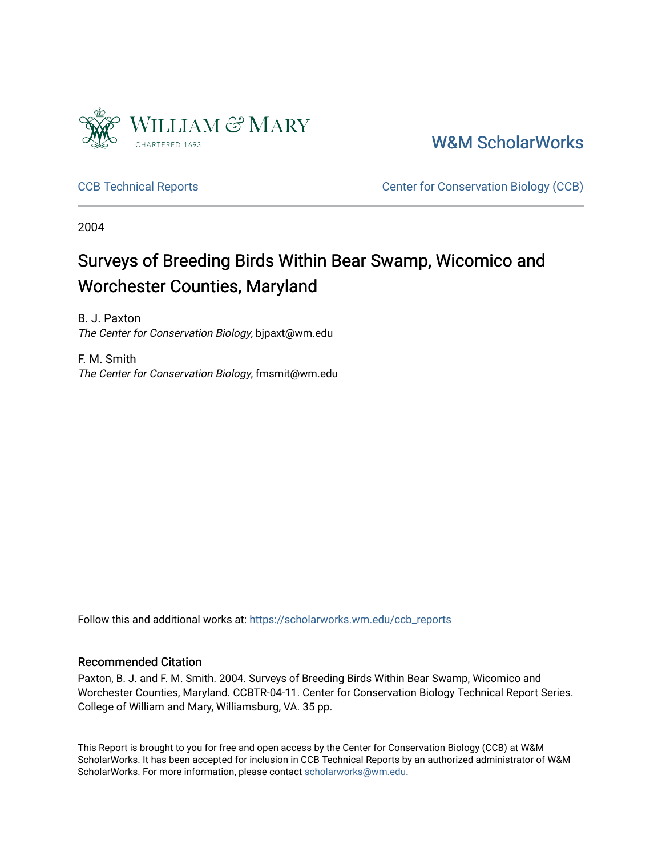

[W&M ScholarWorks](https://scholarworks.wm.edu/) 

[CCB Technical Reports](https://scholarworks.wm.edu/ccb_reports) **CCB** Technical Reports **CCB** Center for Conservation Biology (CCB)

2004

# Surveys of Breeding Birds Within Bear Swamp, Wicomico and Worchester Counties, Maryland

B. J. Paxton The Center for Conservation Biology, bjpaxt@wm.edu

F. M. Smith The Center for Conservation Biology, fmsmit@wm.edu

Follow this and additional works at: [https://scholarworks.wm.edu/ccb\\_reports](https://scholarworks.wm.edu/ccb_reports?utm_source=scholarworks.wm.edu%2Fccb_reports%2F405&utm_medium=PDF&utm_campaign=PDFCoverPages) 

#### Recommended Citation

Paxton, B. J. and F. M. Smith. 2004. Surveys of Breeding Birds Within Bear Swamp, Wicomico and Worchester Counties, Maryland. CCBTR-04-11. Center for Conservation Biology Technical Report Series. College of William and Mary, Williamsburg, VA. 35 pp.

This Report is brought to you for free and open access by the Center for Conservation Biology (CCB) at W&M ScholarWorks. It has been accepted for inclusion in CCB Technical Reports by an authorized administrator of W&M ScholarWorks. For more information, please contact [scholarworks@wm.edu.](mailto:scholarworks@wm.edu)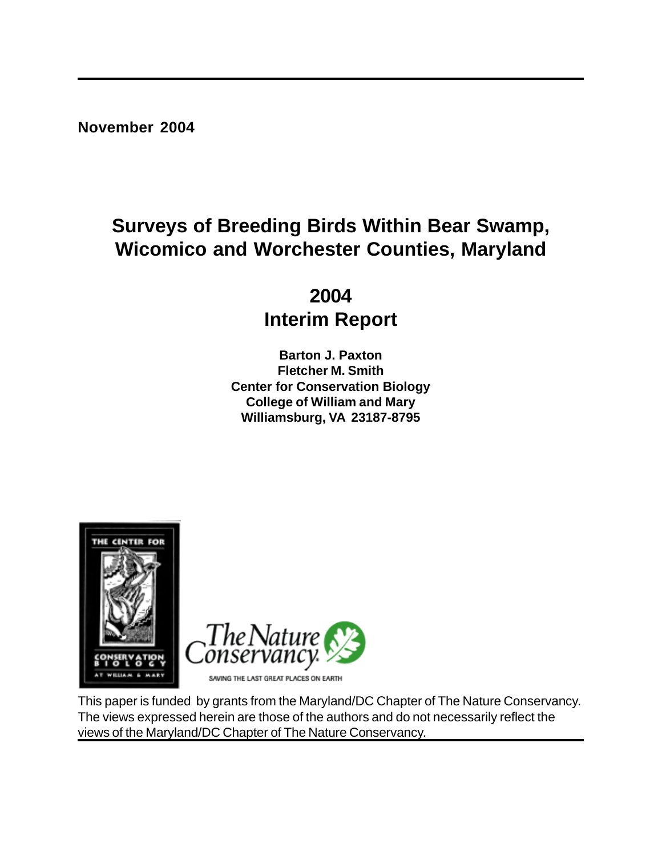**November 2004**

# **Surveys of Breeding Birds Within Bear Swamp, Wicomico and Worchester Counties, Maryland**

**2004 Interim Report**

**Barton J. Paxton Fletcher M. Smith Center for Conservation Biology College of William and Mary Williamsburg, VA 23187-8795**



This paper is funded by grants from the Maryland/DC Chapter of The Nature Conservancy. The views expressed herein are those of the authors and do not necessarily reflect the views of the Maryland/DC Chapter of The Nature Conservancy.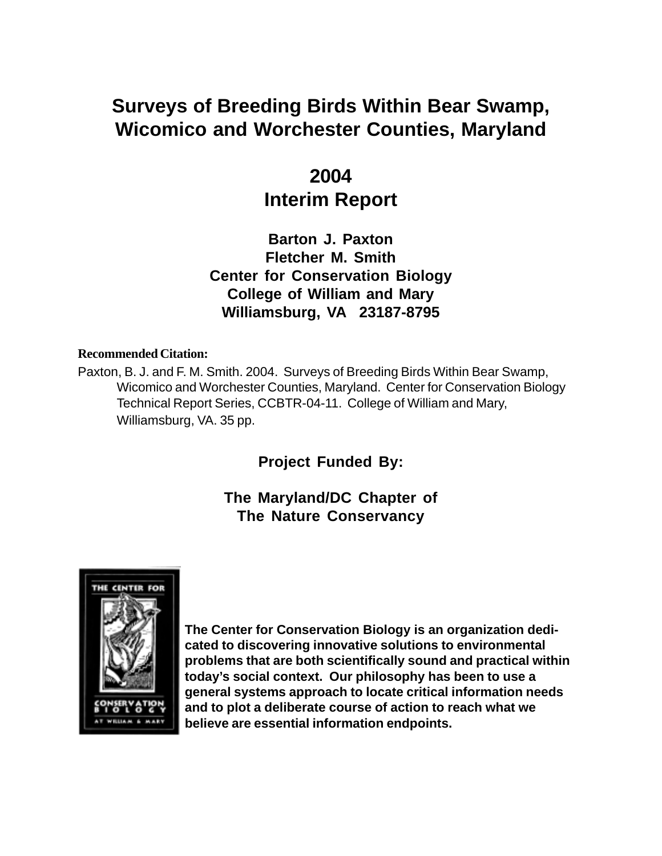# **Surveys of Breeding Birds Within Bear Swamp, Wicomico and Worchester Counties, Maryland**

# **2004 Interim Report**

**Barton J. Paxton Fletcher M. Smith Center for Conservation Biology College of William and Mary Williamsburg, VA 23187-8795**

#### **Recommended Citation:**

Paxton, B. J. and F. M. Smith. 2004. Surveys of Breeding Birds Within Bear Swamp, Wicomico and Worchester Counties, Maryland. Center for Conservation Biology Technical Report Series, CCBTR-04-11. College of William and Mary, Williamsburg, VA. 35 pp.

**Project Funded By:**

# **The Maryland/DC Chapter of The Nature Conservancy**



**The Center for Conservation Biology is an organization dedicated to discovering innovative solutions to environmental problems that are both scientifically sound and practical within today's social context. Our philosophy has been to use a general systems approach to locate critical information needs and to plot a deliberate course of action to reach what we believe are essential information endpoints.**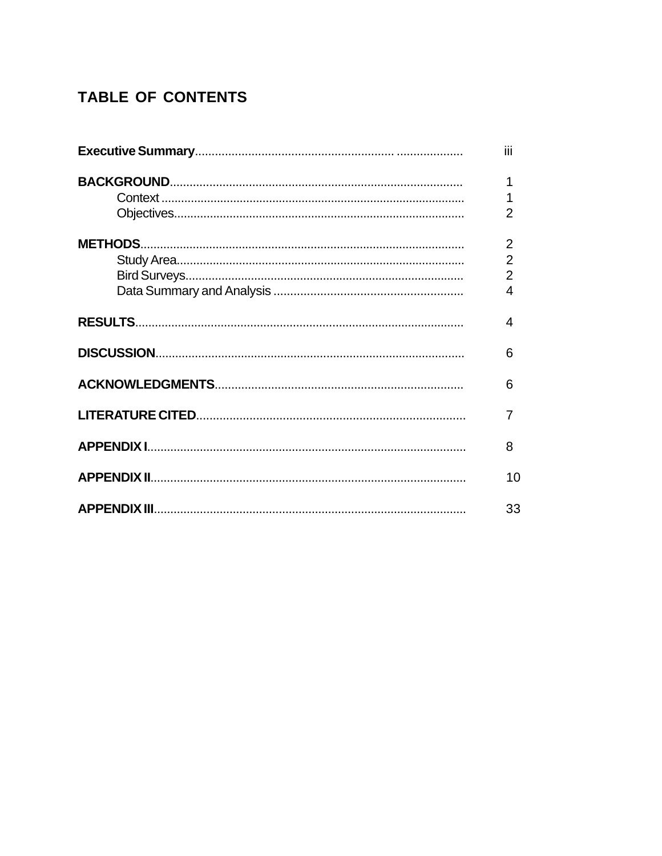# **TABLE OF CONTENTS**

| iii            |
|----------------|
|                |
|                |
| $\overline{2}$ |
| $\overline{2}$ |
| $\overline{2}$ |
| $\overline{2}$ |
| 4              |
| 4              |
| 6              |
| 6              |
| 7              |
| 8              |
| 10             |
| 33             |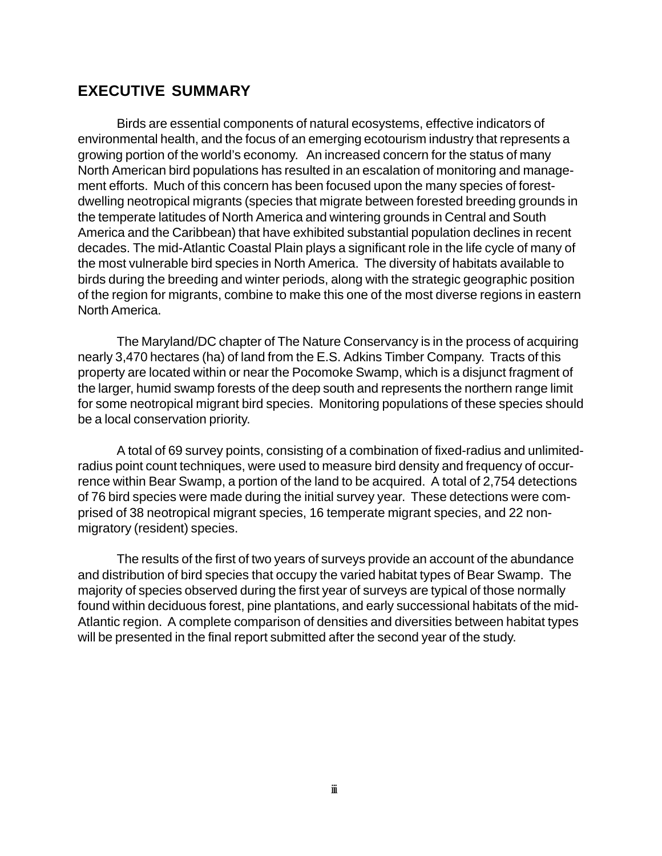## **EXECUTIVE SUMMARY**

Birds are essential components of natural ecosystems, effective indicators of environmental health, and the focus of an emerging ecotourism industry that represents a growing portion of the world's economy. An increased concern for the status of many North American bird populations has resulted in an escalation of monitoring and management efforts. Much of this concern has been focused upon the many species of forestdwelling neotropical migrants (species that migrate between forested breeding grounds in the temperate latitudes of North America and wintering grounds in Central and South America and the Caribbean) that have exhibited substantial population declines in recent decades. The mid-Atlantic Coastal Plain plays a significant role in the life cycle of many of the most vulnerable bird species in North America. The diversity of habitats available to birds during the breeding and winter periods, along with the strategic geographic position of the region for migrants, combine to make this one of the most diverse regions in eastern North America.

The Maryland/DC chapter of The Nature Conservancy is in the process of acquiring nearly 3,470 hectares (ha) of land from the E.S. Adkins Timber Company. Tracts of this property are located within or near the Pocomoke Swamp, which is a disjunct fragment of the larger, humid swamp forests of the deep south and represents the northern range limit for some neotropical migrant bird species. Monitoring populations of these species should be a local conservation priority.

A total of 69 survey points, consisting of a combination of fixed-radius and unlimitedradius point count techniques, were used to measure bird density and frequency of occurrence within Bear Swamp, a portion of the land to be acquired. A total of 2,754 detections of 76 bird species were made during the initial survey year. These detections were comprised of 38 neotropical migrant species, 16 temperate migrant species, and 22 nonmigratory (resident) species.

The results of the first of two years of surveys provide an account of the abundance and distribution of bird species that occupy the varied habitat types of Bear Swamp. The majority of species observed during the first year of surveys are typical of those normally found within deciduous forest, pine plantations, and early successional habitats of the mid-Atlantic region. A complete comparison of densities and diversities between habitat types will be presented in the final report submitted after the second year of the study.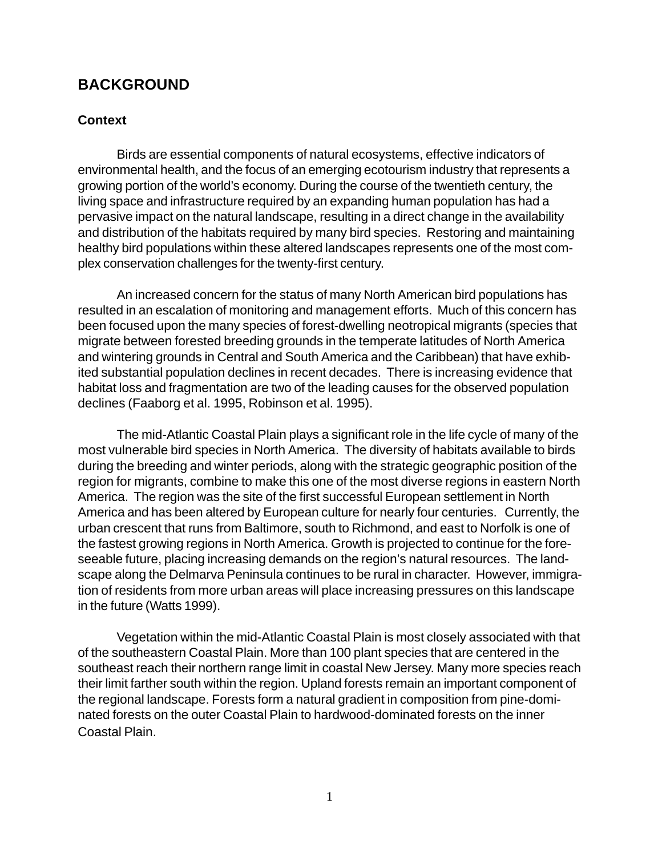## **BACKGROUND**

#### **Context**

Birds are essential components of natural ecosystems, effective indicators of environmental health, and the focus of an emerging ecotourism industry that represents a growing portion of the world's economy. During the course of the twentieth century, the living space and infrastructure required by an expanding human population has had a pervasive impact on the natural landscape, resulting in a direct change in the availability and distribution of the habitats required by many bird species. Restoring and maintaining healthy bird populations within these altered landscapes represents one of the most complex conservation challenges for the twenty-first century.

An increased concern for the status of many North American bird populations has resulted in an escalation of monitoring and management efforts. Much of this concern has been focused upon the many species of forest-dwelling neotropical migrants (species that migrate between forested breeding grounds in the temperate latitudes of North America and wintering grounds in Central and South America and the Caribbean) that have exhibited substantial population declines in recent decades. There is increasing evidence that habitat loss and fragmentation are two of the leading causes for the observed population declines (Faaborg et al. 1995, Robinson et al. 1995).

The mid-Atlantic Coastal Plain plays a significant role in the life cycle of many of the most vulnerable bird species in North America. The diversity of habitats available to birds during the breeding and winter periods, along with the strategic geographic position of the region for migrants, combine to make this one of the most diverse regions in eastern North America. The region was the site of the first successful European settlement in North America and has been altered by European culture for nearly four centuries. Currently, the urban crescent that runs from Baltimore, south to Richmond, and east to Norfolk is one of the fastest growing regions in North America. Growth is projected to continue for the foreseeable future, placing increasing demands on the region's natural resources. The landscape along the Delmarva Peninsula continues to be rural in character. However, immigration of residents from more urban areas will place increasing pressures on this landscape in the future (Watts 1999).

Vegetation within the mid-Atlantic Coastal Plain is most closely associated with that of the southeastern Coastal Plain. More than 100 plant species that are centered in the southeast reach their northern range limit in coastal New Jersey. Many more species reach their limit farther south within the region. Upland forests remain an important component of the regional landscape. Forests form a natural gradient in composition from pine-dominated forests on the outer Coastal Plain to hardwood-dominated forests on the inner Coastal Plain.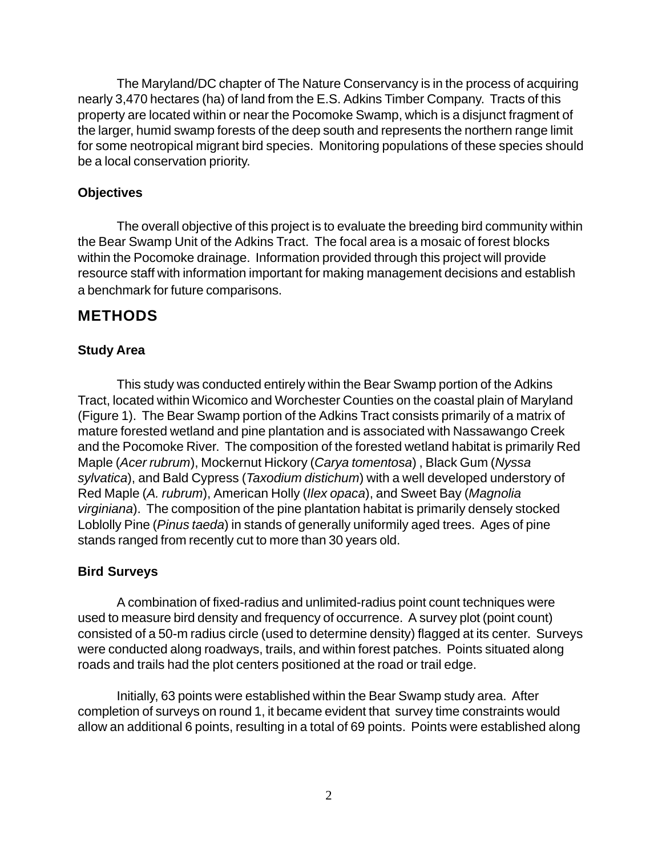The Maryland/DC chapter of The Nature Conservancy is in the process of acquiring nearly 3,470 hectares (ha) of land from the E.S. Adkins Timber Company. Tracts of this property are located within or near the Pocomoke Swamp, which is a disjunct fragment of the larger, humid swamp forests of the deep south and represents the northern range limit for some neotropical migrant bird species. Monitoring populations of these species should be a local conservation priority.

### **Objectives**

The overall objective of this project is to evaluate the breeding bird community within the Bear Swamp Unit of the Adkins Tract. The focal area is a mosaic of forest blocks within the Pocomoke drainage. Information provided through this project will provide resource staff with information important for making management decisions and establish a benchmark for future comparisons.

# **METHODS**

## **Study Area**

This study was conducted entirely within the Bear Swamp portion of the Adkins Tract, located within Wicomico and Worchester Counties on the coastal plain of Maryland (Figure 1). The Bear Swamp portion of the Adkins Tract consists primarily of a matrix of mature forested wetland and pine plantation and is associated with Nassawango Creek and the Pocomoke River. The composition of the forested wetland habitat is primarily Red Maple (*Acer rubrum*), Mockernut Hickory (*Carya tomentosa*) , Black Gum (*Nyssa sylvatica*), and Bald Cypress (*Taxodium distichum*) with a well developed understory of Red Maple (*A. rubrum*), American Holly (*Ilex opaca*), and Sweet Bay (*Magnolia virginiana*). The composition of the pine plantation habitat is primarily densely stocked Loblolly Pine (*Pinus taeda*) in stands of generally uniformily aged trees. Ages of pine stands ranged from recently cut to more than 30 years old.

### **Bird Surveys**

A combination of fixed-radius and unlimited-radius point count techniques were used to measure bird density and frequency of occurrence. A survey plot (point count) consisted of a 50-m radius circle (used to determine density) flagged at its center. Surveys were conducted along roadways, trails, and within forest patches. Points situated along roads and trails had the plot centers positioned at the road or trail edge.

Initially, 63 points were established within the Bear Swamp study area. After completion of surveys on round 1, it became evident that survey time constraints would allow an additional 6 points, resulting in a total of 69 points. Points were established along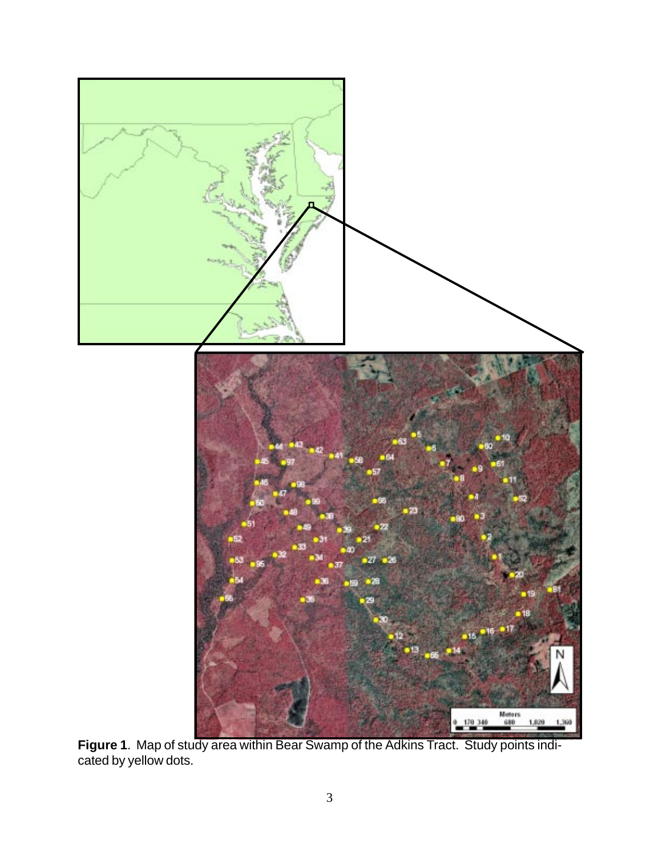

**Figure 1**. Map of study area within Bear Swamp of the Adkins Tract. Study points indicated by yellow dots.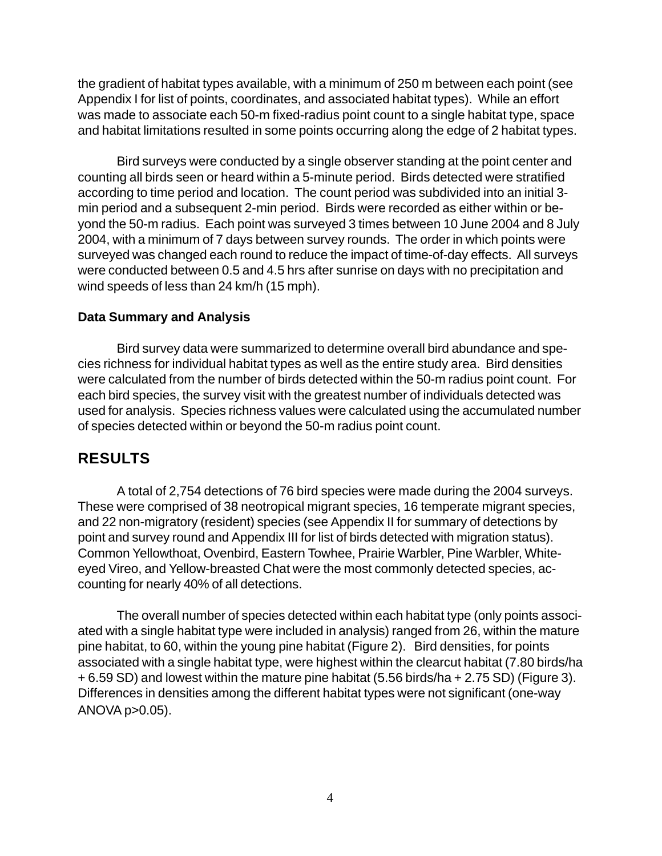the gradient of habitat types available, with a minimum of 250 m between each point (see Appendix I for list of points, coordinates, and associated habitat types). While an effort was made to associate each 50-m fixed-radius point count to a single habitat type, space and habitat limitations resulted in some points occurring along the edge of 2 habitat types.

Bird surveys were conducted by a single observer standing at the point center and counting all birds seen or heard within a 5-minute period. Birds detected were stratified according to time period and location. The count period was subdivided into an initial 3 min period and a subsequent 2-min period. Birds were recorded as either within or beyond the 50-m radius. Each point was surveyed 3 times between 10 June 2004 and 8 July 2004, with a minimum of 7 days between survey rounds. The order in which points were surveyed was changed each round to reduce the impact of time-of-day effects. All surveys were conducted between 0.5 and 4.5 hrs after sunrise on days with no precipitation and wind speeds of less than 24 km/h (15 mph).

#### **Data Summary and Analysis**

Bird survey data were summarized to determine overall bird abundance and species richness for individual habitat types as well as the entire study area. Bird densities were calculated from the number of birds detected within the 50-m radius point count. For each bird species, the survey visit with the greatest number of individuals detected was used for analysis. Species richness values were calculated using the accumulated number of species detected within or beyond the 50-m radius point count.

# **RESULTS**

A total of 2,754 detections of 76 bird species were made during the 2004 surveys. These were comprised of 38 neotropical migrant species, 16 temperate migrant species, and 22 non-migratory (resident) species (see Appendix II for summary of detections by point and survey round and Appendix III for list of birds detected with migration status). Common Yellowthoat, Ovenbird, Eastern Towhee, Prairie Warbler, Pine Warbler, Whiteeyed Vireo, and Yellow-breasted Chat were the most commonly detected species, accounting for nearly 40% of all detections.

The overall number of species detected within each habitat type (only points associated with a single habitat type were included in analysis) ranged from 26, within the mature pine habitat, to 60, within the young pine habitat (Figure 2). Bird densities, for points associated with a single habitat type, were highest within the clearcut habitat (7.80 birds/ha + 6.59 SD) and lowest within the mature pine habitat (5.56 birds/ha + 2.75 SD) (Figure 3). Differences in densities among the different habitat types were not significant (one-way ANOVA p>0.05).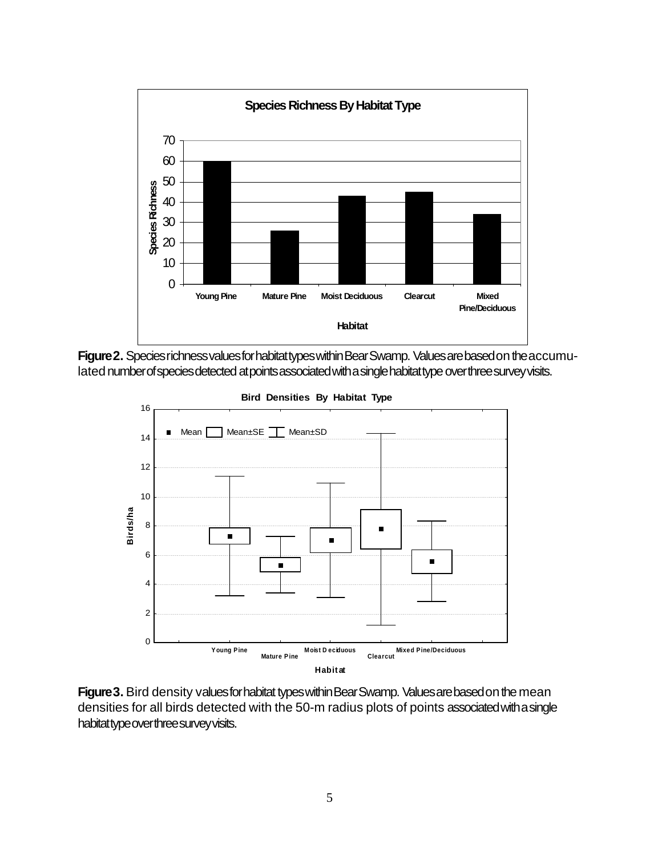

**Figure 2.** Species richness values for habitat types within Bear Swamp. Values are based on the accumulated number of species detected at points associated with a single habitat type over three survey visits.



**Bird Densities By Habitat Type**

**Figure 3.** Bird density values for habitat types within Bear Swamp. Values are based on the mean densities for all birds detected with the 50-m radius plots of points associated with a single habitat type over three survey visits.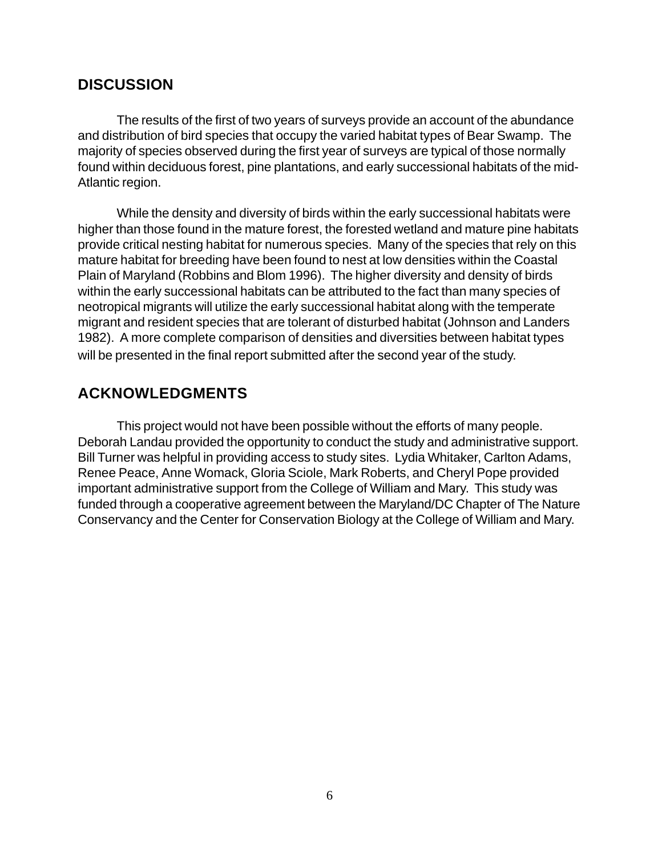# **DISCUSSION**

The results of the first of two years of surveys provide an account of the abundance and distribution of bird species that occupy the varied habitat types of Bear Swamp. The majority of species observed during the first year of surveys are typical of those normally found within deciduous forest, pine plantations, and early successional habitats of the mid-Atlantic region.

While the density and diversity of birds within the early successional habitats were higher than those found in the mature forest, the forested wetland and mature pine habitats provide critical nesting habitat for numerous species. Many of the species that rely on this mature habitat for breeding have been found to nest at low densities within the Coastal Plain of Maryland (Robbins and Blom 1996). The higher diversity and density of birds within the early successional habitats can be attributed to the fact than many species of neotropical migrants will utilize the early successional habitat along with the temperate migrant and resident species that are tolerant of disturbed habitat (Johnson and Landers 1982). A more complete comparison of densities and diversities between habitat types will be presented in the final report submitted after the second year of the study.

## **ACKNOWLEDGMENTS**

This project would not have been possible without the efforts of many people. Deborah Landau provided the opportunity to conduct the study and administrative support. Bill Turner was helpful in providing access to study sites. Lydia Whitaker, Carlton Adams, Renee Peace, Anne Womack, Gloria Sciole, Mark Roberts, and Cheryl Pope provided important administrative support from the College of William and Mary. This study was funded through a cooperative agreement between the Maryland/DC Chapter of The Nature Conservancy and the Center for Conservation Biology at the College of William and Mary.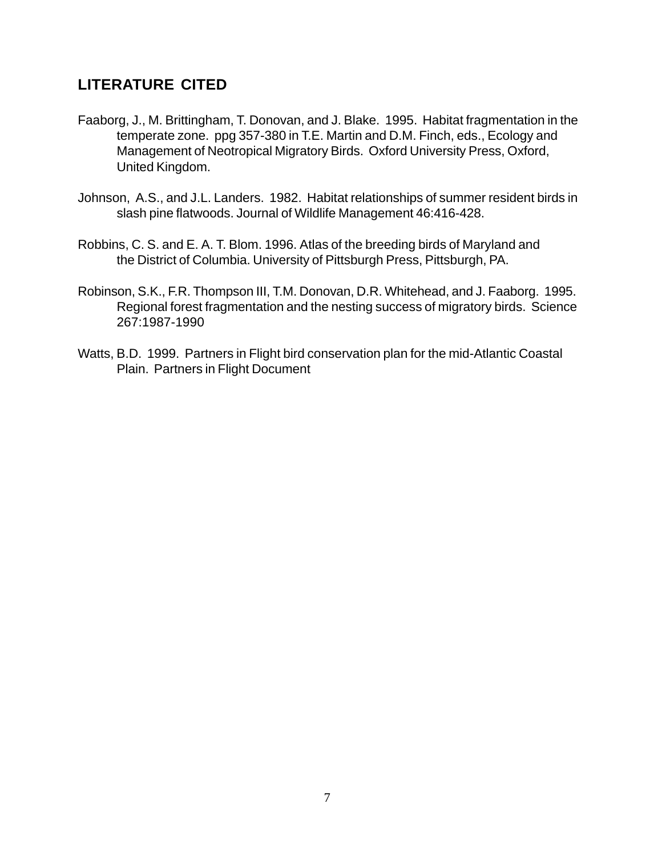# **LITERATURE CITED**

- Faaborg, J., M. Brittingham, T. Donovan, and J. Blake. 1995. Habitat fragmentation in the temperate zone. ppg 357-380 in T.E. Martin and D.M. Finch, eds., Ecology and Management of Neotropical Migratory Birds. Oxford University Press, Oxford, United Kingdom.
- Johnson, A.S., and J.L. Landers. 1982. Habitat relationships of summer resident birds in slash pine flatwoods. Journal of Wildlife Management 46:416-428.
- Robbins, C. S. and E. A. T. Blom. 1996. Atlas of the breeding birds of Maryland and the District of Columbia. University of Pittsburgh Press, Pittsburgh, PA.
- Robinson, S.K., F.R. Thompson III, T.M. Donovan, D.R. Whitehead, and J. Faaborg. 1995. Regional forest fragmentation and the nesting success of migratory birds. Science 267:1987-1990
- Watts, B.D. 1999. Partners in Flight bird conservation plan for the mid-Atlantic Coastal Plain. Partners in Flight Document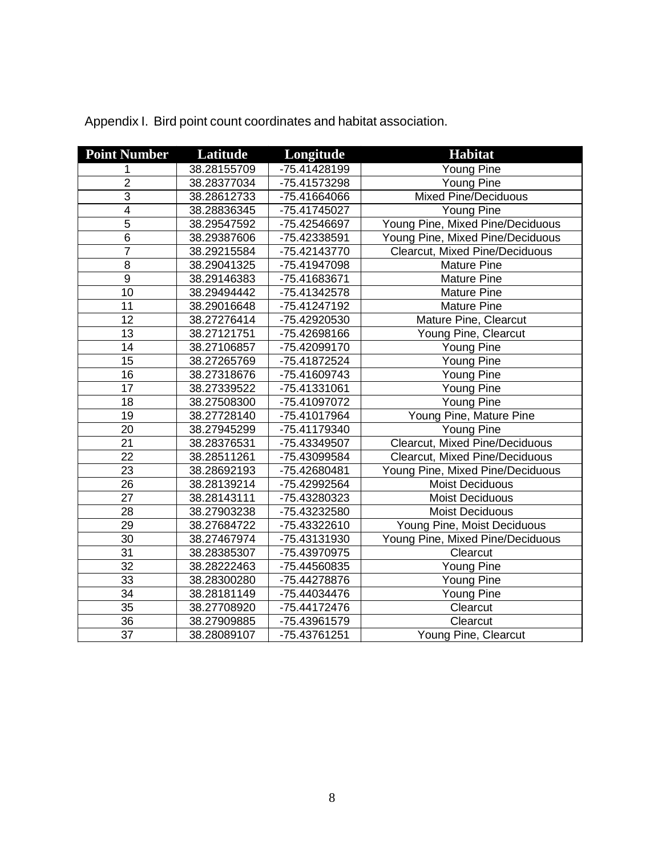| <b>Point Number</b> | Latitude    | Longitude    | <b>Habitat</b>                   |
|---------------------|-------------|--------------|----------------------------------|
| 1                   | 38.28155709 | -75.41428199 | Young Pine                       |
| $\overline{2}$      | 38.28377034 | -75.41573298 | Young Pine                       |
| $\overline{3}$      | 38.28612733 | -75.41664066 | <b>Mixed Pine/Deciduous</b>      |
| $\overline{4}$      | 38.28836345 | -75.41745027 | Young Pine                       |
| $\overline{5}$      | 38.29547592 | -75.42546697 | Young Pine, Mixed Pine/Deciduous |
| $6\phantom{1}6$     | 38.29387606 | -75.42338591 | Young Pine, Mixed Pine/Deciduous |
| 7                   | 38.29215584 | -75.42143770 | Clearcut, Mixed Pine/Deciduous   |
| $\overline{8}$      | 38.29041325 | -75.41947098 | <b>Mature Pine</b>               |
| $\overline{9}$      | 38.29146383 | -75.41683671 | <b>Mature Pine</b>               |
| $\overline{10}$     | 38.29494442 | -75.41342578 | <b>Mature Pine</b>               |
| 11                  | 38.29016648 | -75.41247192 | <b>Mature Pine</b>               |
| $\overline{12}$     | 38.27276414 | -75.42920530 | Mature Pine, Clearcut            |
| 13                  | 38.27121751 | -75.42698166 | Young Pine, Clearcut             |
| 14                  | 38.27106857 | -75.42099170 | Young Pine                       |
| 15                  | 38.27265769 | -75.41872524 | Young Pine                       |
| 16                  | 38.27318676 | -75.41609743 | Young Pine                       |
| 17                  | 38.27339522 | -75.41331061 | Young Pine                       |
| 18                  | 38.27508300 | -75.41097072 | <b>Young Pine</b>                |
| 19                  | 38.27728140 | -75.41017964 | Young Pine, Mature Pine          |
| 20                  | 38.27945299 | -75.41179340 | Young Pine                       |
| 21                  | 38.28376531 | -75.43349507 | Clearcut, Mixed Pine/Deciduous   |
| $\overline{22}$     | 38.28511261 | -75.43099584 | Clearcut, Mixed Pine/Deciduous   |
| 23                  | 38.28692193 | -75.42680481 | Young Pine, Mixed Pine/Deciduous |
| 26                  | 38.28139214 | -75.42992564 | <b>Moist Deciduous</b>           |
| 27                  | 38.28143111 | -75.43280323 | Moist Deciduous                  |
| 28                  | 38.27903238 | -75.43232580 | <b>Moist Deciduous</b>           |
| 29                  | 38.27684722 | -75.43322610 | Young Pine, Moist Deciduous      |
| 30                  | 38.27467974 | -75.43131930 | Young Pine, Mixed Pine/Deciduous |
| 31                  | 38.28385307 | -75.43970975 | Clearcut                         |
| 32                  | 38.28222463 | -75.44560835 | Young Pine                       |
| 33                  | 38.28300280 | -75.44278876 | Young Pine                       |
| 34                  | 38.28181149 | -75.44034476 | Young Pine                       |
| 35                  | 38.27708920 | -75.44172476 | Clearcut                         |
| $\overline{36}$     | 38.27909885 | -75.43961579 | Clearcut                         |
| $\overline{37}$     | 38.28089107 | -75.43761251 | Young Pine, Clearcut             |

Appendix I. Bird point count coordinates and habitat association.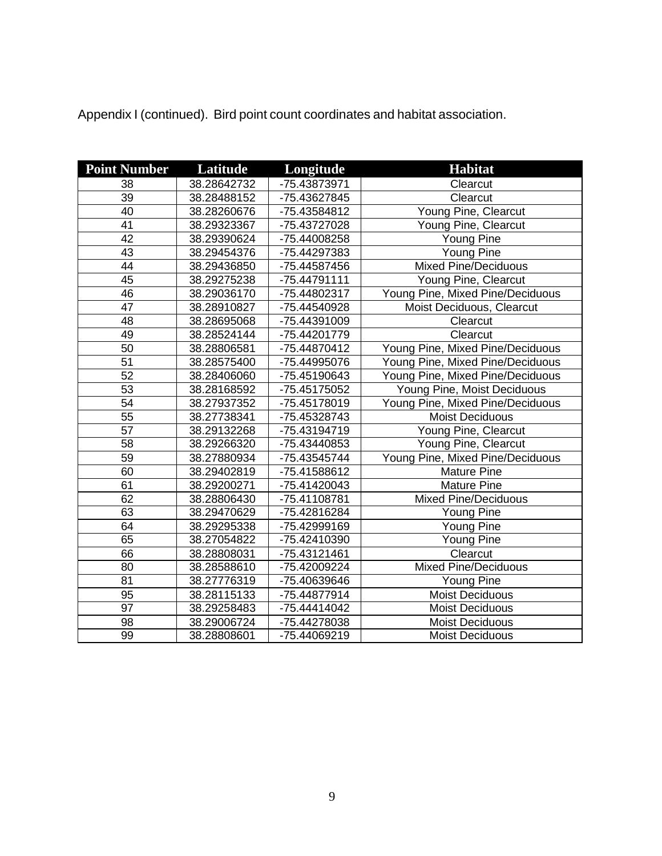| <b>Point Number</b> | Latitude    | Longitude    | <b>Habitat</b>                   |
|---------------------|-------------|--------------|----------------------------------|
| 38                  | 38.28642732 | -75.43873971 | Clearcut                         |
| $\overline{39}$     | 38.28488152 | -75.43627845 | Clearcut                         |
| 40                  | 38.28260676 | -75.43584812 | Young Pine, Clearcut             |
| 41                  | 38.29323367 | -75.43727028 | Young Pine, Clearcut             |
| 42                  | 38.29390624 | -75.44008258 | Young Pine                       |
| 43                  | 38.29454376 | -75.44297383 | Young Pine                       |
| 44                  | 38.29436850 | -75.44587456 | <b>Mixed Pine/Deciduous</b>      |
| 45                  | 38.29275238 | -75.44791111 | Young Pine, Clearcut             |
| 46                  | 38.29036170 | -75.44802317 | Young Pine, Mixed Pine/Deciduous |
| 47                  | 38.28910827 | -75.44540928 | Moist Deciduous, Clearcut        |
| $\overline{48}$     | 38.28695068 | -75.44391009 | Clearcut                         |
| 49                  | 38.28524144 | -75.44201779 | Clearcut                         |
| 50                  | 38.28806581 | -75.44870412 | Young Pine, Mixed Pine/Deciduous |
| $\overline{51}$     | 38.28575400 | -75.44995076 | Young Pine, Mixed Pine/Deciduous |
| 52                  | 38.28406060 | -75.45190643 | Young Pine, Mixed Pine/Deciduous |
| 53                  | 38.28168592 | -75.45175052 | Young Pine, Moist Deciduous      |
| 54                  | 38.27937352 | -75.45178019 | Young Pine, Mixed Pine/Deciduous |
| 55                  | 38.27738341 | -75.45328743 | Moist Deciduous                  |
| 57                  | 38.29132268 | -75.43194719 | Young Pine, Clearcut             |
| $\overline{58}$     | 38.29266320 | -75.43440853 | Young Pine, Clearcut             |
| $\overline{59}$     | 38.27880934 | -75.43545744 | Young Pine, Mixed Pine/Deciduous |
| 60                  | 38.29402819 | -75.41588612 | <b>Mature Pine</b>               |
| 61                  | 38.29200271 | -75.41420043 | <b>Mature Pine</b>               |
| 62                  | 38.28806430 | -75.41108781 | <b>Mixed Pine/Deciduous</b>      |
| 63                  | 38.29470629 | -75.42816284 | <b>Young Pine</b>                |
| 64                  | 38.29295338 | -75.42999169 | <b>Young Pine</b>                |
| 65                  | 38.27054822 | -75.42410390 | Young Pine                       |
| 66                  | 38.28808031 | -75.43121461 | Clearcut                         |
| 80                  | 38.28588610 | -75.42009224 | <b>Mixed Pine/Deciduous</b>      |
| 81                  | 38.27776319 | -75.40639646 | Young Pine                       |
| 95                  | 38.28115133 | -75.44877914 | <b>Moist Deciduous</b>           |
| 97                  | 38.29258483 | -75.44414042 | <b>Moist Deciduous</b>           |
| 98                  | 38.29006724 | -75.44278038 | <b>Moist Deciduous</b>           |
| $\overline{99}$     | 38.28808601 | -75.44069219 | <b>Moist Deciduous</b>           |

Appendix I (continued). Bird point count coordinates and habitat association.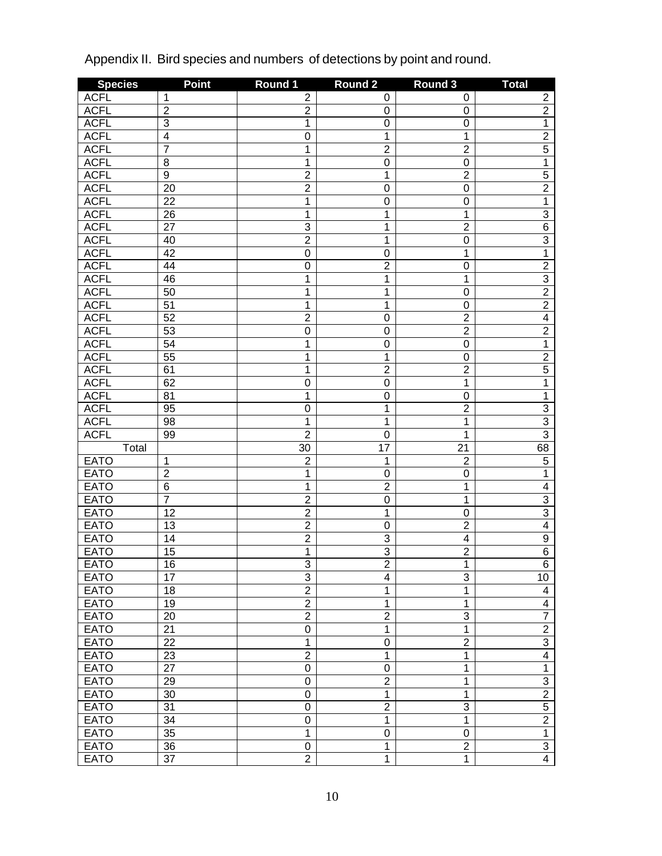| <b>ACFL</b><br>$\mathbf 1$<br>$\overline{2}$<br>$\overline{2}$<br>0<br>0<br>$\overline{2}$<br><b>ACFL</b><br>$\overline{2}$<br>$\overline{2}$<br>$\boldsymbol{0}$<br>$\mathbf 0$<br>$\overline{3}$<br><b>ACFL</b><br>1<br>$\overline{1}$<br>$\mathbf 0$<br>$\boldsymbol{0}$<br>$\overline{2}$<br>$\overline{4}$<br><b>ACFL</b><br>$\overline{0}$<br>1<br>$\overline{1}$<br>$\overline{5}$<br>7<br>$\overline{1}$<br><b>ACFL</b><br>$\overline{2}$<br>$\overline{2}$<br>$\overline{1}$<br>$\overline{8}$<br><b>ACFL</b><br>1<br>$\overline{0}$<br>$\mathbf 0$<br>$\overline{5}$<br>$\overline{9}$<br>$\overline{2}$<br>$\overline{2}$<br><b>ACFL</b><br>1<br>$\overline{2}$<br>$\overline{2}$<br><b>ACFL</b><br>$\overline{20}$<br>$\overline{0}$<br>$\mathbf 0$<br>$\overline{1}$<br>$\overline{1}$<br><b>ACFL</b><br>$\overline{22}$<br>$\overline{0}$<br>$\mathbf 0$<br>$\overline{3}$<br><b>ACFL</b><br>$\overline{26}$<br>1<br>1<br>$\overline{1}$<br>$\overline{6}$<br>$\overline{27}$<br>$\overline{3}$<br><b>ACFL</b><br>1<br>$\overline{2}$<br>$\overline{3}$<br>$\overline{2}$<br><b>ACFL</b><br>1<br>$\overline{0}$<br>40<br>$\overline{1}$<br><b>ACFL</b><br>$\overline{42}$<br>$\overline{0}$<br>$\overline{1}$<br>$\mathbf 0$<br>$\overline{2}$<br>$\overline{2}$<br><b>ACFL</b><br>$\overline{44}$<br>$\overline{0}$<br>$\boldsymbol{0}$<br>$\frac{3}{2}$<br>$\overline{1}$<br><b>ACFL</b><br>1<br>$\overline{1}$<br>46<br>$\overline{1}$<br><b>ACFL</b><br>50<br>1<br>$\boldsymbol{0}$<br>$\overline{2}$<br><b>ACFL</b><br>$\overline{51}$<br>1<br>1<br>$\overline{0}$<br>$\overline{4}$<br>52<br>$\overline{2}$<br>$\overline{2}$<br><b>ACFL</b><br>$\mathbf 0$<br>$\overline{2}$<br>53<br>$\overline{2}$<br><b>ACFL</b><br>$\overline{0}$<br>$\mathbf 0$<br>$\overline{1}$<br>$\overline{1}$<br><b>ACFL</b><br>$\overline{54}$<br>$\overline{0}$<br>$\mathbf 0$<br>$\overline{2}$<br>$\overline{1}$<br><b>ACFL</b><br>$\overline{55}$<br>1<br>$\overline{0}$<br>$\overline{5}$<br>$\overline{2}$<br><b>ACFL</b><br>61<br>1<br>$\overline{2}$<br>$\overline{1}$<br><b>ACFL</b><br>62<br>$\overline{0}$<br>$\overline{1}$<br>$\mathbf 0$<br>$\overline{1}$<br>$\overline{1}$<br><b>ACFL</b><br>$\overline{81}$<br>$\mathbf 0$<br>$\mathbf 0$<br>$\frac{3}{3}$<br>$\overline{2}$<br><b>ACFL</b><br>95<br>$\overline{0}$<br>1<br>$\overline{1}$<br><b>ACFL</b><br>$\overline{98}$<br>1<br>$\overline{1}$<br>$\overline{3}$<br><b>ACFL</b><br>$\overline{2}$<br>99<br>$\mathbf{1}$<br>$\mathbf 0$<br>68<br>17<br>Total<br>$\overline{30}$<br>$\overline{21}$<br>$\overline{5}$<br>$\overline{2}$<br>$\overline{2}$<br><b>EATO</b><br>1<br>1<br>$\overline{1}$<br><b>EATO</b><br>$\overline{2}$<br>$\overline{1}$<br>$\overline{0}$<br>$\mathbf 0$<br>$\overline{6}$<br><b>EATO</b><br>$\overline{2}$<br>$\overline{4}$<br>1<br>$\overline{1}$<br>$\frac{3}{3}$<br>$\overline{7}$<br><b>EATO</b><br>$\overline{2}$<br>$\overline{1}$<br>$\mathbf 0$<br>$\overline{2}$<br><b>EATO</b><br>12<br>1<br>$\mathbf 0$<br>$\overline{4}$<br>$\overline{2}$<br><b>EATO</b><br>$\overline{2}$<br>$\overline{13}$<br>$\mathbf 0$<br>$\overline{9}$<br>$\overline{2}$<br><b>EATO</b><br>$\overline{3}$<br>$\overline{14}$<br>$\overline{\mathbf{4}}$<br><b>EATO</b><br>$\overline{6}$<br>$\overline{1}$<br>$\overline{3}$<br>$\overline{2}$<br>$\overline{15}$<br><b>EATO</b><br>$\overline{3}$<br>$\overline{2}$<br>$\overline{1}$<br>16<br>$\overline{3}$<br>$\overline{3}$<br>17<br>10<br><b>EATO</b><br>4<br>$\overline{2}$<br><b>EATO</b><br>$\mathbf{1}$<br>18<br>1<br>4<br>$\overline{2}$<br><b>EATO</b><br>19<br>1<br>$\mathbf{1}$<br>$\overline{\mathbf{4}}$<br>$\overline{7}$<br>$\overline{2}$<br>$\overline{2}$<br>$\overline{3}$<br><b>EATO</b><br>20<br>$\overline{2}$<br><b>EATO</b><br>$\overline{0}$<br>$\overline{1}$<br>21<br>1<br>$\overline{3}$<br><b>EATO</b><br>$\overline{1}$<br>$\overline{2}$<br>22<br>$\mathbf 0$<br>$\overline{2}$<br>$\overline{4}$<br><b>EATO</b><br>23<br>1<br>$\mathbf{1}$<br>$\overline{1}$<br><b>EATO</b><br>$\overline{27}$<br>0<br>$\mathbf{1}$<br>$\boldsymbol{0}$<br>$\overline{3}$<br><b>EATO</b><br>$\overline{2}$<br>29<br>$\mathsf 0$<br>$\mathbf{1}$<br>$\overline{2}$<br><b>EATO</b><br>$\overline{0}$<br>30<br>1<br>$\mathbf{1}$<br>$\overline{5}$<br><b>EATO</b><br>$\overline{2}$<br>$\overline{3}$<br>31<br>$\mathsf 0$<br>$\overline{2}$<br>$\overline{0}$<br>$\overline{1}$<br><b>EATO</b><br>34<br>1<br><b>EATO</b><br>$\overline{1}$<br>$\overline{1}$<br>35<br>$\boldsymbol{0}$<br>$\pmb{0}$<br>$\overline{3}$<br>$\overline{2}$<br><b>EATO</b><br>36<br>$\pmb{0}$<br>1 | <b>Species</b> | <b>Point</b>    | Round 1        | <b>Round 2</b> | Round 3      | <b>Total</b>   |
|---------------------------------------------------------------------------------------------------------------------------------------------------------------------------------------------------------------------------------------------------------------------------------------------------------------------------------------------------------------------------------------------------------------------------------------------------------------------------------------------------------------------------------------------------------------------------------------------------------------------------------------------------------------------------------------------------------------------------------------------------------------------------------------------------------------------------------------------------------------------------------------------------------------------------------------------------------------------------------------------------------------------------------------------------------------------------------------------------------------------------------------------------------------------------------------------------------------------------------------------------------------------------------------------------------------------------------------------------------------------------------------------------------------------------------------------------------------------------------------------------------------------------------------------------------------------------------------------------------------------------------------------------------------------------------------------------------------------------------------------------------------------------------------------------------------------------------------------------------------------------------------------------------------------------------------------------------------------------------------------------------------------------------------------------------------------------------------------------------------------------------------------------------------------------------------------------------------------------------------------------------------------------------------------------------------------------------------------------------------------------------------------------------------------------------------------------------------------------------------------------------------------------------------------------------------------------------------------------------------------------------------------------------------------------------------------------------------------------------------------------------------------------------------------------------------------------------------------------------------------------------------------------------------------------------------------------------------------------------------------------------------------------------------------------------------------------------------------------------------------------------------------------------------------------------------------------------------------------------------------------------------------------------------------------------------------------------------------------------------------------------------------------------------------------------------------------------------------------------------------------------------------------------------------------------------------------------------------------------------------------------------------------------------------------------------------------------------------------------------------------------------------------------------------------------------------------------------------------------------------------------------------------------------------------------------------------------------------------------------------------------------------------------------------------------------------------------------------------------------------------------------------------------------------------------------------------------------------------------------------------------------------------------------------------------------------------------------------------------------------------------------------------------------------------------------------------------------------------------------------------------------------------------------------------------------------------------------------------------------------------------------------|----------------|-----------------|----------------|----------------|--------------|----------------|
|                                                                                                                                                                                                                                                                                                                                                                                                                                                                                                                                                                                                                                                                                                                                                                                                                                                                                                                                                                                                                                                                                                                                                                                                                                                                                                                                                                                                                                                                                                                                                                                                                                                                                                                                                                                                                                                                                                                                                                                                                                                                                                                                                                                                                                                                                                                                                                                                                                                                                                                                                                                                                                                                                                                                                                                                                                                                                                                                                                                                                                                                                                                                                                                                                                                                                                                                                                                                                                                                                                                                                                                                                                                                                                                                                                                                                                                                                                                                                                                                                                                                                                                                                                                                                                                                                                                                                                                                                                                                                                                                                                                                                                             |                |                 |                |                |              |                |
|                                                                                                                                                                                                                                                                                                                                                                                                                                                                                                                                                                                                                                                                                                                                                                                                                                                                                                                                                                                                                                                                                                                                                                                                                                                                                                                                                                                                                                                                                                                                                                                                                                                                                                                                                                                                                                                                                                                                                                                                                                                                                                                                                                                                                                                                                                                                                                                                                                                                                                                                                                                                                                                                                                                                                                                                                                                                                                                                                                                                                                                                                                                                                                                                                                                                                                                                                                                                                                                                                                                                                                                                                                                                                                                                                                                                                                                                                                                                                                                                                                                                                                                                                                                                                                                                                                                                                                                                                                                                                                                                                                                                                                             |                |                 |                |                |              |                |
| $\overline{6}$                                                                                                                                                                                                                                                                                                                                                                                                                                                                                                                                                                                                                                                                                                                                                                                                                                                                                                                                                                                                                                                                                                                                                                                                                                                                                                                                                                                                                                                                                                                                                                                                                                                                                                                                                                                                                                                                                                                                                                                                                                                                                                                                                                                                                                                                                                                                                                                                                                                                                                                                                                                                                                                                                                                                                                                                                                                                                                                                                                                                                                                                                                                                                                                                                                                                                                                                                                                                                                                                                                                                                                                                                                                                                                                                                                                                                                                                                                                                                                                                                                                                                                                                                                                                                                                                                                                                                                                                                                                                                                                                                                                                                              |                |                 |                |                |              |                |
|                                                                                                                                                                                                                                                                                                                                                                                                                                                                                                                                                                                                                                                                                                                                                                                                                                                                                                                                                                                                                                                                                                                                                                                                                                                                                                                                                                                                                                                                                                                                                                                                                                                                                                                                                                                                                                                                                                                                                                                                                                                                                                                                                                                                                                                                                                                                                                                                                                                                                                                                                                                                                                                                                                                                                                                                                                                                                                                                                                                                                                                                                                                                                                                                                                                                                                                                                                                                                                                                                                                                                                                                                                                                                                                                                                                                                                                                                                                                                                                                                                                                                                                                                                                                                                                                                                                                                                                                                                                                                                                                                                                                                                             |                |                 |                |                |              |                |
|                                                                                                                                                                                                                                                                                                                                                                                                                                                                                                                                                                                                                                                                                                                                                                                                                                                                                                                                                                                                                                                                                                                                                                                                                                                                                                                                                                                                                                                                                                                                                                                                                                                                                                                                                                                                                                                                                                                                                                                                                                                                                                                                                                                                                                                                                                                                                                                                                                                                                                                                                                                                                                                                                                                                                                                                                                                                                                                                                                                                                                                                                                                                                                                                                                                                                                                                                                                                                                                                                                                                                                                                                                                                                                                                                                                                                                                                                                                                                                                                                                                                                                                                                                                                                                                                                                                                                                                                                                                                                                                                                                                                                                             |                |                 |                |                |              |                |
|                                                                                                                                                                                                                                                                                                                                                                                                                                                                                                                                                                                                                                                                                                                                                                                                                                                                                                                                                                                                                                                                                                                                                                                                                                                                                                                                                                                                                                                                                                                                                                                                                                                                                                                                                                                                                                                                                                                                                                                                                                                                                                                                                                                                                                                                                                                                                                                                                                                                                                                                                                                                                                                                                                                                                                                                                                                                                                                                                                                                                                                                                                                                                                                                                                                                                                                                                                                                                                                                                                                                                                                                                                                                                                                                                                                                                                                                                                                                                                                                                                                                                                                                                                                                                                                                                                                                                                                                                                                                                                                                                                                                                                             |                |                 |                |                |              |                |
|                                                                                                                                                                                                                                                                                                                                                                                                                                                                                                                                                                                                                                                                                                                                                                                                                                                                                                                                                                                                                                                                                                                                                                                                                                                                                                                                                                                                                                                                                                                                                                                                                                                                                                                                                                                                                                                                                                                                                                                                                                                                                                                                                                                                                                                                                                                                                                                                                                                                                                                                                                                                                                                                                                                                                                                                                                                                                                                                                                                                                                                                                                                                                                                                                                                                                                                                                                                                                                                                                                                                                                                                                                                                                                                                                                                                                                                                                                                                                                                                                                                                                                                                                                                                                                                                                                                                                                                                                                                                                                                                                                                                                                             |                |                 |                |                |              |                |
|                                                                                                                                                                                                                                                                                                                                                                                                                                                                                                                                                                                                                                                                                                                                                                                                                                                                                                                                                                                                                                                                                                                                                                                                                                                                                                                                                                                                                                                                                                                                                                                                                                                                                                                                                                                                                                                                                                                                                                                                                                                                                                                                                                                                                                                                                                                                                                                                                                                                                                                                                                                                                                                                                                                                                                                                                                                                                                                                                                                                                                                                                                                                                                                                                                                                                                                                                                                                                                                                                                                                                                                                                                                                                                                                                                                                                                                                                                                                                                                                                                                                                                                                                                                                                                                                                                                                                                                                                                                                                                                                                                                                                                             |                |                 |                |                |              |                |
|                                                                                                                                                                                                                                                                                                                                                                                                                                                                                                                                                                                                                                                                                                                                                                                                                                                                                                                                                                                                                                                                                                                                                                                                                                                                                                                                                                                                                                                                                                                                                                                                                                                                                                                                                                                                                                                                                                                                                                                                                                                                                                                                                                                                                                                                                                                                                                                                                                                                                                                                                                                                                                                                                                                                                                                                                                                                                                                                                                                                                                                                                                                                                                                                                                                                                                                                                                                                                                                                                                                                                                                                                                                                                                                                                                                                                                                                                                                                                                                                                                                                                                                                                                                                                                                                                                                                                                                                                                                                                                                                                                                                                                             |                |                 |                |                |              |                |
|                                                                                                                                                                                                                                                                                                                                                                                                                                                                                                                                                                                                                                                                                                                                                                                                                                                                                                                                                                                                                                                                                                                                                                                                                                                                                                                                                                                                                                                                                                                                                                                                                                                                                                                                                                                                                                                                                                                                                                                                                                                                                                                                                                                                                                                                                                                                                                                                                                                                                                                                                                                                                                                                                                                                                                                                                                                                                                                                                                                                                                                                                                                                                                                                                                                                                                                                                                                                                                                                                                                                                                                                                                                                                                                                                                                                                                                                                                                                                                                                                                                                                                                                                                                                                                                                                                                                                                                                                                                                                                                                                                                                                                             |                |                 |                |                |              |                |
|                                                                                                                                                                                                                                                                                                                                                                                                                                                                                                                                                                                                                                                                                                                                                                                                                                                                                                                                                                                                                                                                                                                                                                                                                                                                                                                                                                                                                                                                                                                                                                                                                                                                                                                                                                                                                                                                                                                                                                                                                                                                                                                                                                                                                                                                                                                                                                                                                                                                                                                                                                                                                                                                                                                                                                                                                                                                                                                                                                                                                                                                                                                                                                                                                                                                                                                                                                                                                                                                                                                                                                                                                                                                                                                                                                                                                                                                                                                                                                                                                                                                                                                                                                                                                                                                                                                                                                                                                                                                                                                                                                                                                                             |                |                 |                |                |              |                |
|                                                                                                                                                                                                                                                                                                                                                                                                                                                                                                                                                                                                                                                                                                                                                                                                                                                                                                                                                                                                                                                                                                                                                                                                                                                                                                                                                                                                                                                                                                                                                                                                                                                                                                                                                                                                                                                                                                                                                                                                                                                                                                                                                                                                                                                                                                                                                                                                                                                                                                                                                                                                                                                                                                                                                                                                                                                                                                                                                                                                                                                                                                                                                                                                                                                                                                                                                                                                                                                                                                                                                                                                                                                                                                                                                                                                                                                                                                                                                                                                                                                                                                                                                                                                                                                                                                                                                                                                                                                                                                                                                                                                                                             |                |                 |                |                |              |                |
|                                                                                                                                                                                                                                                                                                                                                                                                                                                                                                                                                                                                                                                                                                                                                                                                                                                                                                                                                                                                                                                                                                                                                                                                                                                                                                                                                                                                                                                                                                                                                                                                                                                                                                                                                                                                                                                                                                                                                                                                                                                                                                                                                                                                                                                                                                                                                                                                                                                                                                                                                                                                                                                                                                                                                                                                                                                                                                                                                                                                                                                                                                                                                                                                                                                                                                                                                                                                                                                                                                                                                                                                                                                                                                                                                                                                                                                                                                                                                                                                                                                                                                                                                                                                                                                                                                                                                                                                                                                                                                                                                                                                                                             |                |                 |                |                |              |                |
|                                                                                                                                                                                                                                                                                                                                                                                                                                                                                                                                                                                                                                                                                                                                                                                                                                                                                                                                                                                                                                                                                                                                                                                                                                                                                                                                                                                                                                                                                                                                                                                                                                                                                                                                                                                                                                                                                                                                                                                                                                                                                                                                                                                                                                                                                                                                                                                                                                                                                                                                                                                                                                                                                                                                                                                                                                                                                                                                                                                                                                                                                                                                                                                                                                                                                                                                                                                                                                                                                                                                                                                                                                                                                                                                                                                                                                                                                                                                                                                                                                                                                                                                                                                                                                                                                                                                                                                                                                                                                                                                                                                                                                             |                |                 |                |                |              |                |
|                                                                                                                                                                                                                                                                                                                                                                                                                                                                                                                                                                                                                                                                                                                                                                                                                                                                                                                                                                                                                                                                                                                                                                                                                                                                                                                                                                                                                                                                                                                                                                                                                                                                                                                                                                                                                                                                                                                                                                                                                                                                                                                                                                                                                                                                                                                                                                                                                                                                                                                                                                                                                                                                                                                                                                                                                                                                                                                                                                                                                                                                                                                                                                                                                                                                                                                                                                                                                                                                                                                                                                                                                                                                                                                                                                                                                                                                                                                                                                                                                                                                                                                                                                                                                                                                                                                                                                                                                                                                                                                                                                                                                                             |                |                 |                |                |              |                |
|                                                                                                                                                                                                                                                                                                                                                                                                                                                                                                                                                                                                                                                                                                                                                                                                                                                                                                                                                                                                                                                                                                                                                                                                                                                                                                                                                                                                                                                                                                                                                                                                                                                                                                                                                                                                                                                                                                                                                                                                                                                                                                                                                                                                                                                                                                                                                                                                                                                                                                                                                                                                                                                                                                                                                                                                                                                                                                                                                                                                                                                                                                                                                                                                                                                                                                                                                                                                                                                                                                                                                                                                                                                                                                                                                                                                                                                                                                                                                                                                                                                                                                                                                                                                                                                                                                                                                                                                                                                                                                                                                                                                                                             |                |                 |                |                |              |                |
|                                                                                                                                                                                                                                                                                                                                                                                                                                                                                                                                                                                                                                                                                                                                                                                                                                                                                                                                                                                                                                                                                                                                                                                                                                                                                                                                                                                                                                                                                                                                                                                                                                                                                                                                                                                                                                                                                                                                                                                                                                                                                                                                                                                                                                                                                                                                                                                                                                                                                                                                                                                                                                                                                                                                                                                                                                                                                                                                                                                                                                                                                                                                                                                                                                                                                                                                                                                                                                                                                                                                                                                                                                                                                                                                                                                                                                                                                                                                                                                                                                                                                                                                                                                                                                                                                                                                                                                                                                                                                                                                                                                                                                             |                |                 |                |                |              |                |
|                                                                                                                                                                                                                                                                                                                                                                                                                                                                                                                                                                                                                                                                                                                                                                                                                                                                                                                                                                                                                                                                                                                                                                                                                                                                                                                                                                                                                                                                                                                                                                                                                                                                                                                                                                                                                                                                                                                                                                                                                                                                                                                                                                                                                                                                                                                                                                                                                                                                                                                                                                                                                                                                                                                                                                                                                                                                                                                                                                                                                                                                                                                                                                                                                                                                                                                                                                                                                                                                                                                                                                                                                                                                                                                                                                                                                                                                                                                                                                                                                                                                                                                                                                                                                                                                                                                                                                                                                                                                                                                                                                                                                                             |                |                 |                |                |              |                |
|                                                                                                                                                                                                                                                                                                                                                                                                                                                                                                                                                                                                                                                                                                                                                                                                                                                                                                                                                                                                                                                                                                                                                                                                                                                                                                                                                                                                                                                                                                                                                                                                                                                                                                                                                                                                                                                                                                                                                                                                                                                                                                                                                                                                                                                                                                                                                                                                                                                                                                                                                                                                                                                                                                                                                                                                                                                                                                                                                                                                                                                                                                                                                                                                                                                                                                                                                                                                                                                                                                                                                                                                                                                                                                                                                                                                                                                                                                                                                                                                                                                                                                                                                                                                                                                                                                                                                                                                                                                                                                                                                                                                                                             |                |                 |                |                |              |                |
|                                                                                                                                                                                                                                                                                                                                                                                                                                                                                                                                                                                                                                                                                                                                                                                                                                                                                                                                                                                                                                                                                                                                                                                                                                                                                                                                                                                                                                                                                                                                                                                                                                                                                                                                                                                                                                                                                                                                                                                                                                                                                                                                                                                                                                                                                                                                                                                                                                                                                                                                                                                                                                                                                                                                                                                                                                                                                                                                                                                                                                                                                                                                                                                                                                                                                                                                                                                                                                                                                                                                                                                                                                                                                                                                                                                                                                                                                                                                                                                                                                                                                                                                                                                                                                                                                                                                                                                                                                                                                                                                                                                                                                             |                |                 |                |                |              |                |
|                                                                                                                                                                                                                                                                                                                                                                                                                                                                                                                                                                                                                                                                                                                                                                                                                                                                                                                                                                                                                                                                                                                                                                                                                                                                                                                                                                                                                                                                                                                                                                                                                                                                                                                                                                                                                                                                                                                                                                                                                                                                                                                                                                                                                                                                                                                                                                                                                                                                                                                                                                                                                                                                                                                                                                                                                                                                                                                                                                                                                                                                                                                                                                                                                                                                                                                                                                                                                                                                                                                                                                                                                                                                                                                                                                                                                                                                                                                                                                                                                                                                                                                                                                                                                                                                                                                                                                                                                                                                                                                                                                                                                                             |                |                 |                |                |              |                |
|                                                                                                                                                                                                                                                                                                                                                                                                                                                                                                                                                                                                                                                                                                                                                                                                                                                                                                                                                                                                                                                                                                                                                                                                                                                                                                                                                                                                                                                                                                                                                                                                                                                                                                                                                                                                                                                                                                                                                                                                                                                                                                                                                                                                                                                                                                                                                                                                                                                                                                                                                                                                                                                                                                                                                                                                                                                                                                                                                                                                                                                                                                                                                                                                                                                                                                                                                                                                                                                                                                                                                                                                                                                                                                                                                                                                                                                                                                                                                                                                                                                                                                                                                                                                                                                                                                                                                                                                                                                                                                                                                                                                                                             |                |                 |                |                |              |                |
|                                                                                                                                                                                                                                                                                                                                                                                                                                                                                                                                                                                                                                                                                                                                                                                                                                                                                                                                                                                                                                                                                                                                                                                                                                                                                                                                                                                                                                                                                                                                                                                                                                                                                                                                                                                                                                                                                                                                                                                                                                                                                                                                                                                                                                                                                                                                                                                                                                                                                                                                                                                                                                                                                                                                                                                                                                                                                                                                                                                                                                                                                                                                                                                                                                                                                                                                                                                                                                                                                                                                                                                                                                                                                                                                                                                                                                                                                                                                                                                                                                                                                                                                                                                                                                                                                                                                                                                                                                                                                                                                                                                                                                             |                |                 |                |                |              |                |
|                                                                                                                                                                                                                                                                                                                                                                                                                                                                                                                                                                                                                                                                                                                                                                                                                                                                                                                                                                                                                                                                                                                                                                                                                                                                                                                                                                                                                                                                                                                                                                                                                                                                                                                                                                                                                                                                                                                                                                                                                                                                                                                                                                                                                                                                                                                                                                                                                                                                                                                                                                                                                                                                                                                                                                                                                                                                                                                                                                                                                                                                                                                                                                                                                                                                                                                                                                                                                                                                                                                                                                                                                                                                                                                                                                                                                                                                                                                                                                                                                                                                                                                                                                                                                                                                                                                                                                                                                                                                                                                                                                                                                                             |                |                 |                |                |              |                |
|                                                                                                                                                                                                                                                                                                                                                                                                                                                                                                                                                                                                                                                                                                                                                                                                                                                                                                                                                                                                                                                                                                                                                                                                                                                                                                                                                                                                                                                                                                                                                                                                                                                                                                                                                                                                                                                                                                                                                                                                                                                                                                                                                                                                                                                                                                                                                                                                                                                                                                                                                                                                                                                                                                                                                                                                                                                                                                                                                                                                                                                                                                                                                                                                                                                                                                                                                                                                                                                                                                                                                                                                                                                                                                                                                                                                                                                                                                                                                                                                                                                                                                                                                                                                                                                                                                                                                                                                                                                                                                                                                                                                                                             |                |                 |                |                |              |                |
|                                                                                                                                                                                                                                                                                                                                                                                                                                                                                                                                                                                                                                                                                                                                                                                                                                                                                                                                                                                                                                                                                                                                                                                                                                                                                                                                                                                                                                                                                                                                                                                                                                                                                                                                                                                                                                                                                                                                                                                                                                                                                                                                                                                                                                                                                                                                                                                                                                                                                                                                                                                                                                                                                                                                                                                                                                                                                                                                                                                                                                                                                                                                                                                                                                                                                                                                                                                                                                                                                                                                                                                                                                                                                                                                                                                                                                                                                                                                                                                                                                                                                                                                                                                                                                                                                                                                                                                                                                                                                                                                                                                                                                             |                |                 |                |                |              |                |
|                                                                                                                                                                                                                                                                                                                                                                                                                                                                                                                                                                                                                                                                                                                                                                                                                                                                                                                                                                                                                                                                                                                                                                                                                                                                                                                                                                                                                                                                                                                                                                                                                                                                                                                                                                                                                                                                                                                                                                                                                                                                                                                                                                                                                                                                                                                                                                                                                                                                                                                                                                                                                                                                                                                                                                                                                                                                                                                                                                                                                                                                                                                                                                                                                                                                                                                                                                                                                                                                                                                                                                                                                                                                                                                                                                                                                                                                                                                                                                                                                                                                                                                                                                                                                                                                                                                                                                                                                                                                                                                                                                                                                                             |                |                 |                |                |              |                |
|                                                                                                                                                                                                                                                                                                                                                                                                                                                                                                                                                                                                                                                                                                                                                                                                                                                                                                                                                                                                                                                                                                                                                                                                                                                                                                                                                                                                                                                                                                                                                                                                                                                                                                                                                                                                                                                                                                                                                                                                                                                                                                                                                                                                                                                                                                                                                                                                                                                                                                                                                                                                                                                                                                                                                                                                                                                                                                                                                                                                                                                                                                                                                                                                                                                                                                                                                                                                                                                                                                                                                                                                                                                                                                                                                                                                                                                                                                                                                                                                                                                                                                                                                                                                                                                                                                                                                                                                                                                                                                                                                                                                                                             |                |                 |                |                |              |                |
|                                                                                                                                                                                                                                                                                                                                                                                                                                                                                                                                                                                                                                                                                                                                                                                                                                                                                                                                                                                                                                                                                                                                                                                                                                                                                                                                                                                                                                                                                                                                                                                                                                                                                                                                                                                                                                                                                                                                                                                                                                                                                                                                                                                                                                                                                                                                                                                                                                                                                                                                                                                                                                                                                                                                                                                                                                                                                                                                                                                                                                                                                                                                                                                                                                                                                                                                                                                                                                                                                                                                                                                                                                                                                                                                                                                                                                                                                                                                                                                                                                                                                                                                                                                                                                                                                                                                                                                                                                                                                                                                                                                                                                             |                |                 |                |                |              |                |
|                                                                                                                                                                                                                                                                                                                                                                                                                                                                                                                                                                                                                                                                                                                                                                                                                                                                                                                                                                                                                                                                                                                                                                                                                                                                                                                                                                                                                                                                                                                                                                                                                                                                                                                                                                                                                                                                                                                                                                                                                                                                                                                                                                                                                                                                                                                                                                                                                                                                                                                                                                                                                                                                                                                                                                                                                                                                                                                                                                                                                                                                                                                                                                                                                                                                                                                                                                                                                                                                                                                                                                                                                                                                                                                                                                                                                                                                                                                                                                                                                                                                                                                                                                                                                                                                                                                                                                                                                                                                                                                                                                                                                                             |                |                 |                |                |              |                |
|                                                                                                                                                                                                                                                                                                                                                                                                                                                                                                                                                                                                                                                                                                                                                                                                                                                                                                                                                                                                                                                                                                                                                                                                                                                                                                                                                                                                                                                                                                                                                                                                                                                                                                                                                                                                                                                                                                                                                                                                                                                                                                                                                                                                                                                                                                                                                                                                                                                                                                                                                                                                                                                                                                                                                                                                                                                                                                                                                                                                                                                                                                                                                                                                                                                                                                                                                                                                                                                                                                                                                                                                                                                                                                                                                                                                                                                                                                                                                                                                                                                                                                                                                                                                                                                                                                                                                                                                                                                                                                                                                                                                                                             |                |                 |                |                |              |                |
|                                                                                                                                                                                                                                                                                                                                                                                                                                                                                                                                                                                                                                                                                                                                                                                                                                                                                                                                                                                                                                                                                                                                                                                                                                                                                                                                                                                                                                                                                                                                                                                                                                                                                                                                                                                                                                                                                                                                                                                                                                                                                                                                                                                                                                                                                                                                                                                                                                                                                                                                                                                                                                                                                                                                                                                                                                                                                                                                                                                                                                                                                                                                                                                                                                                                                                                                                                                                                                                                                                                                                                                                                                                                                                                                                                                                                                                                                                                                                                                                                                                                                                                                                                                                                                                                                                                                                                                                                                                                                                                                                                                                                                             |                |                 |                |                |              |                |
|                                                                                                                                                                                                                                                                                                                                                                                                                                                                                                                                                                                                                                                                                                                                                                                                                                                                                                                                                                                                                                                                                                                                                                                                                                                                                                                                                                                                                                                                                                                                                                                                                                                                                                                                                                                                                                                                                                                                                                                                                                                                                                                                                                                                                                                                                                                                                                                                                                                                                                                                                                                                                                                                                                                                                                                                                                                                                                                                                                                                                                                                                                                                                                                                                                                                                                                                                                                                                                                                                                                                                                                                                                                                                                                                                                                                                                                                                                                                                                                                                                                                                                                                                                                                                                                                                                                                                                                                                                                                                                                                                                                                                                             |                |                 |                |                |              |                |
|                                                                                                                                                                                                                                                                                                                                                                                                                                                                                                                                                                                                                                                                                                                                                                                                                                                                                                                                                                                                                                                                                                                                                                                                                                                                                                                                                                                                                                                                                                                                                                                                                                                                                                                                                                                                                                                                                                                                                                                                                                                                                                                                                                                                                                                                                                                                                                                                                                                                                                                                                                                                                                                                                                                                                                                                                                                                                                                                                                                                                                                                                                                                                                                                                                                                                                                                                                                                                                                                                                                                                                                                                                                                                                                                                                                                                                                                                                                                                                                                                                                                                                                                                                                                                                                                                                                                                                                                                                                                                                                                                                                                                                             |                |                 |                |                |              |                |
|                                                                                                                                                                                                                                                                                                                                                                                                                                                                                                                                                                                                                                                                                                                                                                                                                                                                                                                                                                                                                                                                                                                                                                                                                                                                                                                                                                                                                                                                                                                                                                                                                                                                                                                                                                                                                                                                                                                                                                                                                                                                                                                                                                                                                                                                                                                                                                                                                                                                                                                                                                                                                                                                                                                                                                                                                                                                                                                                                                                                                                                                                                                                                                                                                                                                                                                                                                                                                                                                                                                                                                                                                                                                                                                                                                                                                                                                                                                                                                                                                                                                                                                                                                                                                                                                                                                                                                                                                                                                                                                                                                                                                                             |                |                 |                |                |              |                |
|                                                                                                                                                                                                                                                                                                                                                                                                                                                                                                                                                                                                                                                                                                                                                                                                                                                                                                                                                                                                                                                                                                                                                                                                                                                                                                                                                                                                                                                                                                                                                                                                                                                                                                                                                                                                                                                                                                                                                                                                                                                                                                                                                                                                                                                                                                                                                                                                                                                                                                                                                                                                                                                                                                                                                                                                                                                                                                                                                                                                                                                                                                                                                                                                                                                                                                                                                                                                                                                                                                                                                                                                                                                                                                                                                                                                                                                                                                                                                                                                                                                                                                                                                                                                                                                                                                                                                                                                                                                                                                                                                                                                                                             |                |                 |                |                |              |                |
|                                                                                                                                                                                                                                                                                                                                                                                                                                                                                                                                                                                                                                                                                                                                                                                                                                                                                                                                                                                                                                                                                                                                                                                                                                                                                                                                                                                                                                                                                                                                                                                                                                                                                                                                                                                                                                                                                                                                                                                                                                                                                                                                                                                                                                                                                                                                                                                                                                                                                                                                                                                                                                                                                                                                                                                                                                                                                                                                                                                                                                                                                                                                                                                                                                                                                                                                                                                                                                                                                                                                                                                                                                                                                                                                                                                                                                                                                                                                                                                                                                                                                                                                                                                                                                                                                                                                                                                                                                                                                                                                                                                                                                             |                |                 |                |                |              |                |
|                                                                                                                                                                                                                                                                                                                                                                                                                                                                                                                                                                                                                                                                                                                                                                                                                                                                                                                                                                                                                                                                                                                                                                                                                                                                                                                                                                                                                                                                                                                                                                                                                                                                                                                                                                                                                                                                                                                                                                                                                                                                                                                                                                                                                                                                                                                                                                                                                                                                                                                                                                                                                                                                                                                                                                                                                                                                                                                                                                                                                                                                                                                                                                                                                                                                                                                                                                                                                                                                                                                                                                                                                                                                                                                                                                                                                                                                                                                                                                                                                                                                                                                                                                                                                                                                                                                                                                                                                                                                                                                                                                                                                                             |                |                 |                |                |              |                |
|                                                                                                                                                                                                                                                                                                                                                                                                                                                                                                                                                                                                                                                                                                                                                                                                                                                                                                                                                                                                                                                                                                                                                                                                                                                                                                                                                                                                                                                                                                                                                                                                                                                                                                                                                                                                                                                                                                                                                                                                                                                                                                                                                                                                                                                                                                                                                                                                                                                                                                                                                                                                                                                                                                                                                                                                                                                                                                                                                                                                                                                                                                                                                                                                                                                                                                                                                                                                                                                                                                                                                                                                                                                                                                                                                                                                                                                                                                                                                                                                                                                                                                                                                                                                                                                                                                                                                                                                                                                                                                                                                                                                                                             |                |                 |                |                |              |                |
|                                                                                                                                                                                                                                                                                                                                                                                                                                                                                                                                                                                                                                                                                                                                                                                                                                                                                                                                                                                                                                                                                                                                                                                                                                                                                                                                                                                                                                                                                                                                                                                                                                                                                                                                                                                                                                                                                                                                                                                                                                                                                                                                                                                                                                                                                                                                                                                                                                                                                                                                                                                                                                                                                                                                                                                                                                                                                                                                                                                                                                                                                                                                                                                                                                                                                                                                                                                                                                                                                                                                                                                                                                                                                                                                                                                                                                                                                                                                                                                                                                                                                                                                                                                                                                                                                                                                                                                                                                                                                                                                                                                                                                             |                |                 |                |                |              |                |
|                                                                                                                                                                                                                                                                                                                                                                                                                                                                                                                                                                                                                                                                                                                                                                                                                                                                                                                                                                                                                                                                                                                                                                                                                                                                                                                                                                                                                                                                                                                                                                                                                                                                                                                                                                                                                                                                                                                                                                                                                                                                                                                                                                                                                                                                                                                                                                                                                                                                                                                                                                                                                                                                                                                                                                                                                                                                                                                                                                                                                                                                                                                                                                                                                                                                                                                                                                                                                                                                                                                                                                                                                                                                                                                                                                                                                                                                                                                                                                                                                                                                                                                                                                                                                                                                                                                                                                                                                                                                                                                                                                                                                                             |                |                 |                |                |              |                |
|                                                                                                                                                                                                                                                                                                                                                                                                                                                                                                                                                                                                                                                                                                                                                                                                                                                                                                                                                                                                                                                                                                                                                                                                                                                                                                                                                                                                                                                                                                                                                                                                                                                                                                                                                                                                                                                                                                                                                                                                                                                                                                                                                                                                                                                                                                                                                                                                                                                                                                                                                                                                                                                                                                                                                                                                                                                                                                                                                                                                                                                                                                                                                                                                                                                                                                                                                                                                                                                                                                                                                                                                                                                                                                                                                                                                                                                                                                                                                                                                                                                                                                                                                                                                                                                                                                                                                                                                                                                                                                                                                                                                                                             |                |                 |                |                |              |                |
|                                                                                                                                                                                                                                                                                                                                                                                                                                                                                                                                                                                                                                                                                                                                                                                                                                                                                                                                                                                                                                                                                                                                                                                                                                                                                                                                                                                                                                                                                                                                                                                                                                                                                                                                                                                                                                                                                                                                                                                                                                                                                                                                                                                                                                                                                                                                                                                                                                                                                                                                                                                                                                                                                                                                                                                                                                                                                                                                                                                                                                                                                                                                                                                                                                                                                                                                                                                                                                                                                                                                                                                                                                                                                                                                                                                                                                                                                                                                                                                                                                                                                                                                                                                                                                                                                                                                                                                                                                                                                                                                                                                                                                             |                |                 |                |                |              |                |
|                                                                                                                                                                                                                                                                                                                                                                                                                                                                                                                                                                                                                                                                                                                                                                                                                                                                                                                                                                                                                                                                                                                                                                                                                                                                                                                                                                                                                                                                                                                                                                                                                                                                                                                                                                                                                                                                                                                                                                                                                                                                                                                                                                                                                                                                                                                                                                                                                                                                                                                                                                                                                                                                                                                                                                                                                                                                                                                                                                                                                                                                                                                                                                                                                                                                                                                                                                                                                                                                                                                                                                                                                                                                                                                                                                                                                                                                                                                                                                                                                                                                                                                                                                                                                                                                                                                                                                                                                                                                                                                                                                                                                                             |                |                 |                |                |              |                |
|                                                                                                                                                                                                                                                                                                                                                                                                                                                                                                                                                                                                                                                                                                                                                                                                                                                                                                                                                                                                                                                                                                                                                                                                                                                                                                                                                                                                                                                                                                                                                                                                                                                                                                                                                                                                                                                                                                                                                                                                                                                                                                                                                                                                                                                                                                                                                                                                                                                                                                                                                                                                                                                                                                                                                                                                                                                                                                                                                                                                                                                                                                                                                                                                                                                                                                                                                                                                                                                                                                                                                                                                                                                                                                                                                                                                                                                                                                                                                                                                                                                                                                                                                                                                                                                                                                                                                                                                                                                                                                                                                                                                                                             |                |                 |                |                |              |                |
|                                                                                                                                                                                                                                                                                                                                                                                                                                                                                                                                                                                                                                                                                                                                                                                                                                                                                                                                                                                                                                                                                                                                                                                                                                                                                                                                                                                                                                                                                                                                                                                                                                                                                                                                                                                                                                                                                                                                                                                                                                                                                                                                                                                                                                                                                                                                                                                                                                                                                                                                                                                                                                                                                                                                                                                                                                                                                                                                                                                                                                                                                                                                                                                                                                                                                                                                                                                                                                                                                                                                                                                                                                                                                                                                                                                                                                                                                                                                                                                                                                                                                                                                                                                                                                                                                                                                                                                                                                                                                                                                                                                                                                             |                |                 |                |                |              |                |
|                                                                                                                                                                                                                                                                                                                                                                                                                                                                                                                                                                                                                                                                                                                                                                                                                                                                                                                                                                                                                                                                                                                                                                                                                                                                                                                                                                                                                                                                                                                                                                                                                                                                                                                                                                                                                                                                                                                                                                                                                                                                                                                                                                                                                                                                                                                                                                                                                                                                                                                                                                                                                                                                                                                                                                                                                                                                                                                                                                                                                                                                                                                                                                                                                                                                                                                                                                                                                                                                                                                                                                                                                                                                                                                                                                                                                                                                                                                                                                                                                                                                                                                                                                                                                                                                                                                                                                                                                                                                                                                                                                                                                                             |                |                 |                |                |              |                |
|                                                                                                                                                                                                                                                                                                                                                                                                                                                                                                                                                                                                                                                                                                                                                                                                                                                                                                                                                                                                                                                                                                                                                                                                                                                                                                                                                                                                                                                                                                                                                                                                                                                                                                                                                                                                                                                                                                                                                                                                                                                                                                                                                                                                                                                                                                                                                                                                                                                                                                                                                                                                                                                                                                                                                                                                                                                                                                                                                                                                                                                                                                                                                                                                                                                                                                                                                                                                                                                                                                                                                                                                                                                                                                                                                                                                                                                                                                                                                                                                                                                                                                                                                                                                                                                                                                                                                                                                                                                                                                                                                                                                                                             |                |                 |                |                |              |                |
|                                                                                                                                                                                                                                                                                                                                                                                                                                                                                                                                                                                                                                                                                                                                                                                                                                                                                                                                                                                                                                                                                                                                                                                                                                                                                                                                                                                                                                                                                                                                                                                                                                                                                                                                                                                                                                                                                                                                                                                                                                                                                                                                                                                                                                                                                                                                                                                                                                                                                                                                                                                                                                                                                                                                                                                                                                                                                                                                                                                                                                                                                                                                                                                                                                                                                                                                                                                                                                                                                                                                                                                                                                                                                                                                                                                                                                                                                                                                                                                                                                                                                                                                                                                                                                                                                                                                                                                                                                                                                                                                                                                                                                             |                |                 |                |                |              |                |
|                                                                                                                                                                                                                                                                                                                                                                                                                                                                                                                                                                                                                                                                                                                                                                                                                                                                                                                                                                                                                                                                                                                                                                                                                                                                                                                                                                                                                                                                                                                                                                                                                                                                                                                                                                                                                                                                                                                                                                                                                                                                                                                                                                                                                                                                                                                                                                                                                                                                                                                                                                                                                                                                                                                                                                                                                                                                                                                                                                                                                                                                                                                                                                                                                                                                                                                                                                                                                                                                                                                                                                                                                                                                                                                                                                                                                                                                                                                                                                                                                                                                                                                                                                                                                                                                                                                                                                                                                                                                                                                                                                                                                                             |                |                 |                |                |              |                |
|                                                                                                                                                                                                                                                                                                                                                                                                                                                                                                                                                                                                                                                                                                                                                                                                                                                                                                                                                                                                                                                                                                                                                                                                                                                                                                                                                                                                                                                                                                                                                                                                                                                                                                                                                                                                                                                                                                                                                                                                                                                                                                                                                                                                                                                                                                                                                                                                                                                                                                                                                                                                                                                                                                                                                                                                                                                                                                                                                                                                                                                                                                                                                                                                                                                                                                                                                                                                                                                                                                                                                                                                                                                                                                                                                                                                                                                                                                                                                                                                                                                                                                                                                                                                                                                                                                                                                                                                                                                                                                                                                                                                                                             |                |                 |                |                |              |                |
|                                                                                                                                                                                                                                                                                                                                                                                                                                                                                                                                                                                                                                                                                                                                                                                                                                                                                                                                                                                                                                                                                                                                                                                                                                                                                                                                                                                                                                                                                                                                                                                                                                                                                                                                                                                                                                                                                                                                                                                                                                                                                                                                                                                                                                                                                                                                                                                                                                                                                                                                                                                                                                                                                                                                                                                                                                                                                                                                                                                                                                                                                                                                                                                                                                                                                                                                                                                                                                                                                                                                                                                                                                                                                                                                                                                                                                                                                                                                                                                                                                                                                                                                                                                                                                                                                                                                                                                                                                                                                                                                                                                                                                             | <b>EATO</b>    | $\overline{37}$ | $\overline{2}$ | 1              | $\mathbf{1}$ | $\overline{4}$ |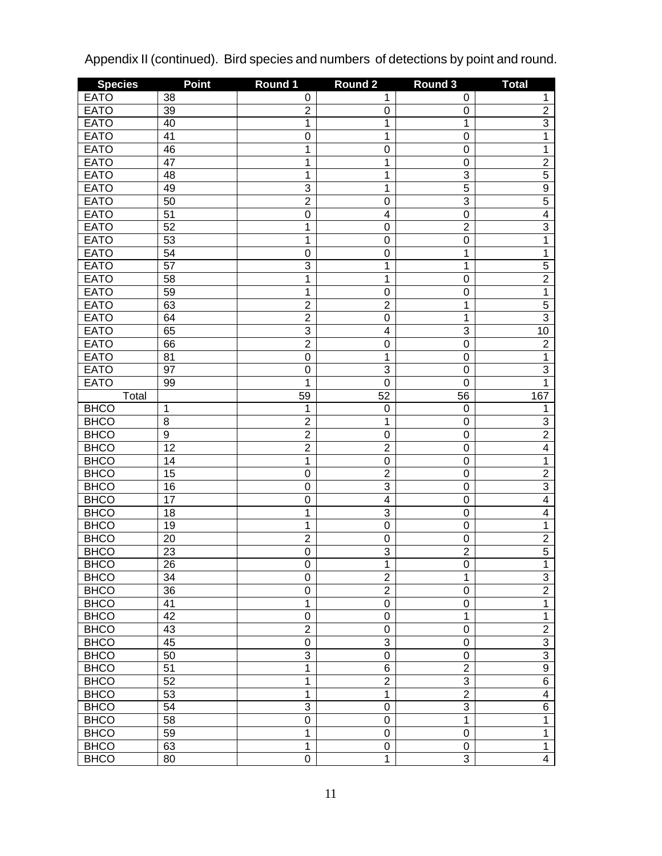| <b>Species</b> | <b>Point</b>    | Round 1        | Round <sub>2</sub>      | Round 3          | <b>Total</b>   |
|----------------|-----------------|----------------|-------------------------|------------------|----------------|
| <b>EATO</b>    | 38              | 0              | 1                       | 0                | 1              |
| <b>EATO</b>    | $\overline{39}$ | $\overline{2}$ | 0                       | $\boldsymbol{0}$ | $\overline{2}$ |
| <b>EATO</b>    | 40              | 1              | 1                       | 1                | $\overline{3}$ |
| <b>EATO</b>    | 41              | 0              | 1                       | $\mathbf 0$      | $\overline{1}$ |
| <b>EATO</b>    | 46              | 1              | 0                       | $\mathbf 0$      | $\mathbf 1$    |
| <b>EATO</b>    | 47              | 1              | 1                       | $\mathbf 0$      | $\overline{2}$ |
| <b>EATO</b>    | 48              | 1              | 1                       | $\overline{3}$   | $\overline{5}$ |
| <b>EATO</b>    | 49              | $\overline{3}$ | 1                       | $\overline{5}$   | $\overline{9}$ |
| <b>EATO</b>    | 50              | $\overline{2}$ | $\mathbf 0$             | $\overline{3}$   | $\overline{5}$ |
| <b>EATO</b>    | 51              | 0              | $\overline{\mathbf{4}}$ | $\mathbf 0$      | $\overline{4}$ |
| <b>EATO</b>    | 52              | $\overline{1}$ | $\mathbf 0$             | $\overline{2}$   | $\overline{3}$ |
| <b>EATO</b>    | 53              | 1              | $\boldsymbol{0}$        | $\mathbf 0$      | $\overline{1}$ |
| <b>EATO</b>    | 54              | 0              | 0                       | $\mathbf 1$      | 1              |
| <b>EATO</b>    | 57              | $\overline{3}$ | 1                       | 1                | $\overline{5}$ |
| <b>EATO</b>    | 58              | $\overline{1}$ | 1                       | $\mathbf 0$      | $\overline{2}$ |
| <b>EATO</b>    | 59              | 1              | $\boldsymbol{0}$        | $\mathbf 0$      | $\overline{1}$ |
| <b>EATO</b>    | 63              | $\overline{2}$ | $\overline{2}$          | $\mathbf 1$      | $\overline{5}$ |
| <b>EATO</b>    | 64              | $\overline{2}$ | $\mathbf 0$             | 1                | $\overline{3}$ |
| <b>EATO</b>    | 65              | $\overline{3}$ | $\overline{\mathbf{4}}$ | 3                | 10             |
| <b>EATO</b>    | 66              | $\overline{2}$ | $\mathbf 0$             | $\mathbf 0$      | $\overline{2}$ |
| <b>EATO</b>    | 81              | 0              | 1                       | $\mathbf 0$      | $\overline{1}$ |
| <b>EATO</b>    | $\overline{97}$ | 0              | 3                       | $\mathbf 0$      | $\overline{3}$ |
| <b>EATO</b>    | 99              | $\overline{1}$ | $\overline{0}$          | $\mathbf 0$      | $\overline{1}$ |
| Total          |                 | 59             | 52                      | 56               | 167            |
| <b>BHCO</b>    | 1               | 1              | 0                       | $\mathbf 0$      | 1              |
| <b>BHCO</b>    | 8               | $\overline{2}$ | 1                       | $\mathbf 0$      | $\overline{3}$ |
| <b>BHCO</b>    | $\overline{9}$  | $\overline{2}$ | $\mathbf 0$             | $\mathbf 0$      | $\overline{2}$ |
| <b>BHCO</b>    | $\overline{12}$ | $\overline{2}$ | $\overline{2}$          | $\mathbf 0$      | $\overline{4}$ |
| <b>BHCO</b>    | 14              | 1              | $\mathbf 0$             | $\mathbf 0$      | 1              |
| <b>BHCO</b>    | 15              | 0              | $\overline{2}$          | $\mathbf 0$      | $\overline{2}$ |
| <b>BHCO</b>    | 16              | 0              | $\overline{3}$          | $\mathbf 0$      | $\overline{3}$ |
| <b>BHCO</b>    | $\overline{17}$ | 0              | $\overline{4}$          | $\mathbf 0$      | $\overline{4}$ |
| <b>BHCO</b>    | 18              | 1              | $\overline{3}$          | $\mathbf 0$      | $\overline{4}$ |
| <b>BHCO</b>    | 19              | 1              | $\overline{0}$          | $\mathbf 0$      | 1              |
| <b>BHCO</b>    | $\overline{20}$ | $\overline{2}$ | $\mathbf 0$             | $\mathbf 0$      | $\overline{2}$ |
| <b>BHCO</b>    | 23              | $\overline{0}$ | $\overline{3}$          | $\overline{2}$   | $\overline{5}$ |
| <b>BHCO</b>    | $\overline{26}$ | $\overline{0}$ | 1                       | $\overline{0}$   | 1              |
| <b>BHCO</b>    | 34              | 0              | $\overline{2}$          | 1                | 3              |
| <b>BHCO</b>    | 36              | 0              | $\overline{2}$          | 0                | $\overline{2}$ |
| <b>BHCO</b>    | 41              | 1              | $\mathbf 0$             | $\mathbf 0$      | $\mathbf{1}$   |
| <b>BHCO</b>    | 42              | 0              | $\mathbf 0$             | 1                | 1              |
| <b>BHCO</b>    | 43              | $\overline{2}$ | $\mathbf 0$             | 0                | $\overline{2}$ |
| <b>BHCO</b>    | 45              | 0              | $\overline{3}$          | $\mathbf 0$      | $\overline{3}$ |
| <b>BHCO</b>    | 50              | $\overline{3}$ | $\mathbf 0$             | $\mathbf 0$      | $\overline{3}$ |
| <b>BHCO</b>    | $\overline{51}$ | 1              | 6                       | $\overline{2}$   | $\overline{9}$ |
| <b>BHCO</b>    | 52              | 1              | $\overline{2}$          | 3                | $\overline{6}$ |
| <b>BHCO</b>    | 53              | 1              | 1                       | $\overline{2}$   | $\overline{4}$ |
| <b>BHCO</b>    | 54              | 3              | $\mathbf 0$             | 3                | $\overline{6}$ |
| <b>BHCO</b>    | 58              | $\overline{0}$ | $\mathbf 0$             | 1                | 1              |
| <b>BHCO</b>    | 59              | 1              | $\mathbf 0$             | 0                | 1              |
| <b>BHCO</b>    | 63              | 1              | $\mathbf 0$             | $\pmb{0}$        | $\mathbf{1}$   |
| <b>BHCO</b>    | 80              | $\overline{0}$ | 1                       | $\overline{3}$   | $\overline{4}$ |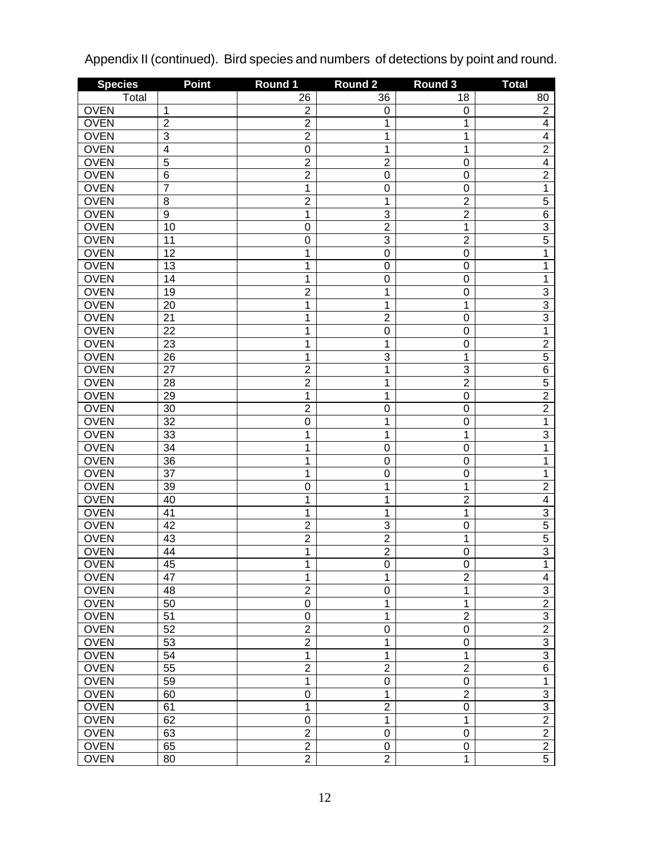| <b>Species</b> | <b>Point</b>    | Round 1                 | <b>Round 2</b>   | Round 3          | <b>Total</b>            |
|----------------|-----------------|-------------------------|------------------|------------------|-------------------------|
| Total          |                 | 26                      | 36               | 18               | 80                      |
| <b>OVEN</b>    | 1               | $\overline{\mathbf{c}}$ | 0                | 0                | $\overline{c}$          |
| <b>OVEN</b>    | $\overline{c}$  | $\overline{c}$          | 1                | 1                | $\overline{\mathbf{4}}$ |
| <b>OVEN</b>    | $\overline{3}$  | $\overline{2}$          | 1                | 1                | $\overline{4}$          |
| <b>OVEN</b>    | $\overline{4}$  | 0                       | 1                | 1                | $\overline{2}$          |
| <b>OVEN</b>    | $\overline{5}$  | $\overline{2}$          | $\overline{2}$   | $\mathbf 0$      | $\overline{4}$          |
| <b>OVEN</b>    | $\overline{6}$  | $\overline{2}$          | $\boldsymbol{0}$ | $\mathbf 0$      | $\overline{2}$          |
| <b>OVEN</b>    | $\overline{7}$  | $\overline{1}$          | $\mathbf 0$      | $\mathbf 0$      | $\overline{1}$          |
| <b>OVEN</b>    | $\overline{8}$  | $\overline{2}$          | 1                | $\overline{2}$   | $\overline{5}$          |
| <b>OVEN</b>    | $\overline{9}$  | 1                       | 3                | $\overline{2}$   | $\overline{6}$          |
| <b>OVEN</b>    | 10              | 0                       | $\overline{2}$   | $\mathbf 1$      | $\overline{3}$          |
| <b>OVEN</b>    | 11              | 0                       | 3                | $\overline{c}$   | $\overline{5}$          |
| <b>OVEN</b>    | $\overline{12}$ | 1                       | $\mathbf 0$      | $\boldsymbol{0}$ | 1                       |
| <b>OVEN</b>    | 13              | 1                       | $\mathbf 0$      | $\mathbf 0$      | 1                       |
| <b>OVEN</b>    | 14              | 1                       | $\mathbf 0$      | $\mathbf 0$      | 1                       |
| <b>OVEN</b>    | 19              | $\overline{2}$          | 1                | $\mathbf 0$      | $\overline{3}$          |
| <b>OVEN</b>    | 20              | 1                       | 1                | 1                | $\overline{3}$          |
| <b>OVEN</b>    | 21              | 1                       | $\overline{2}$   | $\mathbf 0$      | $\overline{3}$          |
| <b>OVEN</b>    | 22              | 1                       | $\mathbf 0$      | $\mathbf 0$      | $\overline{1}$          |
| <b>OVEN</b>    | 23              | 1                       | 1                | $\mathbf 0$      | $\overline{2}$          |
| <b>OVEN</b>    | 26              | 1                       | 3                | 1                | $\overline{5}$          |
| <b>OVEN</b>    | $\overline{27}$ | $\overline{2}$          | 1                | 3                | $\overline{6}$          |
| <b>OVEN</b>    | 28              | $\overline{2}$          | 1                | $\overline{2}$   | $\overline{5}$          |
| <b>OVEN</b>    | 29              | $\mathbf{1}$            | 1                | $\boldsymbol{0}$ | $\overline{2}$          |
| <b>OVEN</b>    | 30              | $\overline{2}$          | $\mathbf 0$      | $\mathbf 0$      | $\overline{2}$          |
| <b>OVEN</b>    | $\overline{32}$ | 0                       | 1                | $\mathbf 0$      | $\mathbf{1}$            |
| <b>OVEN</b>    | 33              | 1                       | 1                | 1                | $\overline{3}$          |
| <b>OVEN</b>    | 34              | 1                       | $\mathbf 0$      | 0                | 1                       |
| <b>OVEN</b>    | 36              | 1                       | $\mathbf 0$      | $\mathbf 0$      | 1                       |
| <b>OVEN</b>    | 37              | 1                       | $\mathbf 0$      | $\mathbf 0$      | 1                       |
| <b>OVEN</b>    | 39              | 0                       | 1                | 1                | $\overline{2}$          |
| <b>OVEN</b>    | 40              | 1                       | 1                | $\overline{2}$   | $\overline{\mathbf{4}}$ |
| <b>OVEN</b>    | 41              | 1                       | 1                | 1                | 3                       |
| <b>OVEN</b>    | 42              | $\overline{2}$          | 3                | $\mathbf 0$      | $\overline{5}$          |
| <b>OVEN</b>    | 43              | $\overline{2}$          | $\overline{2}$   | 1                | $\overline{5}$          |
| <b>OVEN</b>    | 44              | 1                       | $\overline{2}$   | $\mathbf 0$      | $\overline{3}$          |
| <b>OVEN</b>    | 45              | 1                       | $\overline{0}$   | 0                | $\mathbf 1$             |
| <b>OVEN</b>    | 47              | $\mathbf{1}$            | 1                | $\overline{2}$   | $\overline{\mathbf{4}}$ |
| <b>OVEN</b>    | 48              | $\overline{2}$          | $\mathbf 0$      | 1                | $\overline{\omega}$     |
| <b>OVEN</b>    | 50              | 0                       | 1                | 1                | $\overline{2}$          |
| <b>OVEN</b>    | $\overline{51}$ | 0                       | 1                | $\overline{2}$   | $\overline{3}$          |
| <b>OVEN</b>    | 52              | $\overline{2}$          | $\mathbf 0$      | $\pmb{0}$        | $\overline{2}$          |
| <b>OVEN</b>    | 53              | $\overline{2}$          | 1                | 0                | $\overline{3}$          |
| <b>OVEN</b>    | 54              | $\mathbf 1$             | 1                | 1                | $\overline{3}$          |
| <b>OVEN</b>    | 55              | $\overline{2}$          | $\overline{2}$   | $\overline{2}$   | $\overline{6}$          |
| <b>OVEN</b>    | 59              | $\mathbf{1}$            | 0                | $\pmb{0}$        | $\mathbf{1}$            |
| <b>OVEN</b>    | 60              | 0                       | 1                | $\overline{2}$   | 3                       |
| <b>OVEN</b>    | 61              | $\mathbf{1}$            | $\overline{2}$   | 0                | $\overline{3}$          |
| <b>OVEN</b>    | 62              | 0                       | 1                | 1                | $\overline{2}$          |
| <b>OVEN</b>    | 63              | $\overline{2}$          | 0                | $\pmb{0}$        | $\overline{2}$          |
| <b>OVEN</b>    | 65              | $\overline{2}$          | 0                | 0                | $\overline{2}$          |
| <b>OVEN</b>    | 80              | $\overline{2}$          | $\overline{2}$   | 1                | $\overline{5}$          |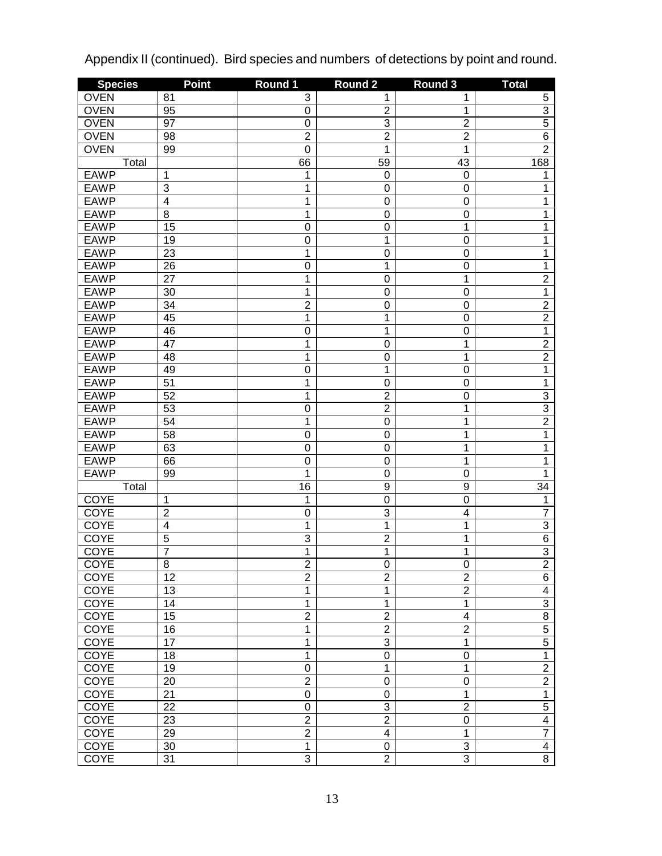| <b>Species</b> | <b>Point</b>              | Round 1        | Round 2          | Round 3                 | <b>Total</b>    |
|----------------|---------------------------|----------------|------------------|-------------------------|-----------------|
| <b>OVEN</b>    | 81                        | 3              | 1                | 1                       | 5               |
| <b>OVEN</b>    | 95                        | 0              | 2                | 1                       | $\overline{3}$  |
| <b>OVEN</b>    | $\overline{97}$           | 0              | $\overline{3}$   | $\overline{c}$          | $\overline{5}$  |
| <b>OVEN</b>    | 98                        | $\overline{2}$ | $\overline{2}$   | $\overline{2}$          | $\overline{6}$  |
| <b>OVEN</b>    | 99                        | 0              | 1                | $\mathbf 1$             | $\overline{2}$  |
| Total          |                           | 66             | 59               | 43                      | 168             |
| <b>EAWP</b>    | 1                         | 1              | 0                | $\mathbf 0$             | 1               |
| <b>EAWP</b>    | $\ensuremath{\mathsf{3}}$ | 1              | $\mathbf 0$      | $\mathbf 0$             | 1               |
| <b>EAWP</b>    | $\overline{4}$            | 1              | $\mathbf 0$      | $\mathbf 0$             | 1               |
| <b>EAWP</b>    | 8                         | 1              | $\mathbf 0$      | $\mathbf 0$             | 1               |
| <b>EAWP</b>    | 15                        | 0              | $\mathbf 0$      | $\mathbf 1$             | 1               |
| <b>EAWP</b>    | 19                        | 0              | 1                | $\mathbf 0$             | 1               |
| <b>EAWP</b>    | 23                        | 1              | $\mathbf 0$      | $\mathbf 0$             | 1               |
| <b>EAWP</b>    | $\overline{26}$           | 0              | 1                | $\mathbf 0$             | 1               |
| <b>EAWP</b>    | 27                        | 1              | $\mathbf 0$      | 1                       | $\overline{2}$  |
| <b>EAWP</b>    | 30                        | 1              | $\mathbf 0$      | $\mathbf 0$             | 1               |
| <b>EAWP</b>    | $\overline{34}$           | $\overline{2}$ | $\mathbf 0$      | $\mathbf 0$             | $\overline{2}$  |
| <b>EAWP</b>    | 45                        | 1              | 1                | $\mathbf 0$             | $\overline{2}$  |
| <b>EAWP</b>    | 46                        | 0              | 1                | $\mathbf 0$             | $\overline{1}$  |
| <b>EAWP</b>    | 47                        | 1              | $\mathbf 0$      | $\mathbf 1$             | $\overline{2}$  |
| <b>EAWP</b>    | 48                        | 1              | $\mathbf 0$      | 1                       | $\overline{2}$  |
| <b>EAWP</b>    | 49                        | 0              | 1                | $\mathbf 0$             | 1               |
| <b>EAWP</b>    | $\overline{51}$           | 1              | $\mathbf 0$      | $\mathbf 0$             | 1               |
| <b>EAWP</b>    | 52                        | 1              | $\overline{2}$   | $\mathbf 0$             | 3               |
| <b>EAWP</b>    | 53                        | 0              | $\overline{2}$   | $\mathbf 1$             | $\overline{3}$  |
| <b>EAWP</b>    | 54                        | 1              | $\mathbf 0$      | 1                       | $\overline{2}$  |
| <b>EAWP</b>    | $\overline{58}$           | 0              | $\mathbf 0$      | 1                       | 1               |
| <b>EAWP</b>    | 63                        | 0              | $\mathbf 0$      | 1                       | 1               |
| <b>EAWP</b>    | 66                        | $\mathbf 0$    | $\mathbf 0$      | 1                       | 1               |
| <b>EAWP</b>    | 99                        | 1              | $\mathbf 0$      | $\mathbf 0$             | 1               |
| Total          |                           | 16             | $\boldsymbol{9}$ | $\boldsymbol{9}$        | $\overline{34}$ |
| <b>COYE</b>    | 1                         | 1              | $\mathbf 0$      | $\mathbf 0$             | 1               |
| <b>COYE</b>    | $\overline{2}$            | 0              | $\overline{3}$   | $\overline{\mathbf{4}}$ | $\overline{7}$  |
| <b>COYE</b>    | $\overline{4}$            | 1              | $\overline{1}$   | 1                       | $\overline{3}$  |
| <b>COYE</b>    | $\overline{5}$            | 3              | $\overline{2}$   | 1                       | $\overline{6}$  |
| COYE           | $\overline{7}$            | $\overline{1}$ | 1                | 1                       | $\overline{3}$  |
| <b>COYE</b>    | $\overline{8}$            | $\overline{2}$ | $\overline{0}$   | O                       | $\overline{2}$  |
| <b>COYE</b>    | 12                        | $\overline{2}$ | $\overline{2}$   | $\overline{2}$          | $6\overline{6}$ |
| COYE           | 13                        | $\overline{1}$ | 1                | $\overline{2}$          | $\overline{4}$  |
| COYE           | 14                        | $\overline{1}$ | 1                | $\mathbf{1}$            | $\overline{3}$  |
| COYE           | 15                        | $\overline{2}$ | $\overline{2}$   | 4                       | $\overline{8}$  |
| COYE           | 16                        | $\overline{1}$ | $\overline{2}$   | $\overline{2}$          | $\overline{5}$  |
| COYE           | $\overline{17}$           | 1              | $\overline{3}$   | 1                       | $\overline{5}$  |
| <b>COYE</b>    | 18                        | 1              | $\mathbf 0$      | $\pmb{0}$               | $\overline{1}$  |
| <b>COYE</b>    | 19                        | 0              | 1                | 1                       | $\overline{2}$  |
| <b>COYE</b>    | 20                        | $\overline{2}$ | $\mathbf 0$      | $\mathbf 0$             | $\overline{2}$  |
| <b>COYE</b>    | $\overline{21}$           | 0              | 0                | 1                       | $\overline{1}$  |
| <b>COYE</b>    | 22                        | $\mathsf 0$    | 3                | $\overline{2}$          | $\overline{5}$  |
| <b>COYE</b>    | 23                        | $\overline{2}$ | $\overline{2}$   | $\boldsymbol{0}$        | $\overline{4}$  |
| COYE           | 29                        | $\overline{2}$ | $\overline{4}$   | 1                       | $\overline{7}$  |
| COYE           | 30                        | $\overline{1}$ | 0                | 3                       | $\overline{4}$  |
| <b>COYE</b>    | 31                        | $\overline{3}$ | $\overline{2}$   | $\overline{3}$          | $\overline{8}$  |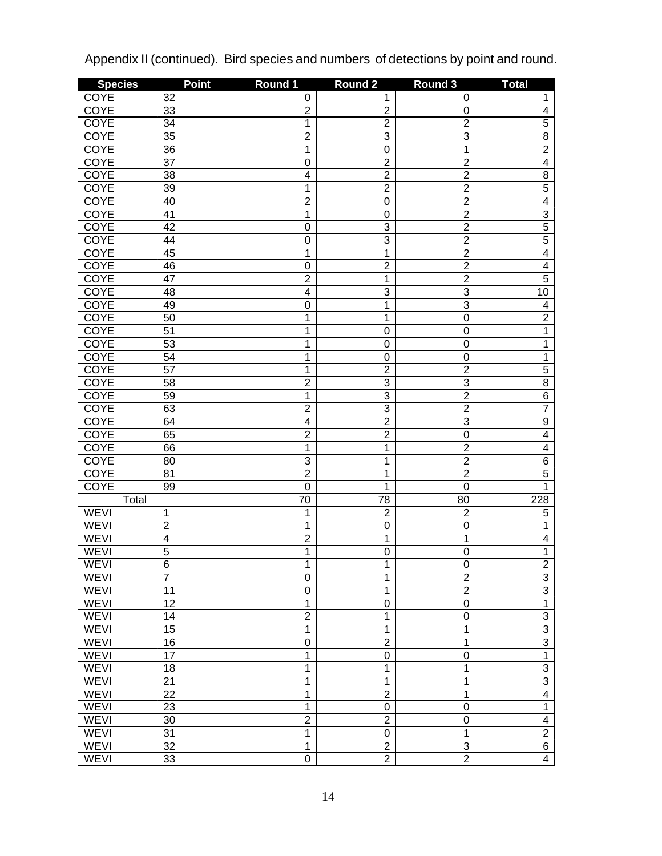| <b>Species</b> | <b>Point</b>    | Round 1          | <b>Round 2</b>          | Round 3        | <b>Total</b>            |
|----------------|-----------------|------------------|-------------------------|----------------|-------------------------|
| <b>COYE</b>    | 32              | 0                | 1                       | 0              | 1                       |
| COYE           | 33              | $\overline{2}$   | $\overline{\mathbf{c}}$ | $\mathbf 0$    | $\overline{\mathbf{4}}$ |
| <b>COYE</b>    | $\overline{34}$ | 1                | $\overline{2}$          | $\overline{2}$ | $\overline{5}$          |
| <b>COYE</b>    | $\overline{35}$ | $\overline{2}$   | $\overline{3}$          | $\overline{3}$ | $\overline{8}$          |
| <b>COYE</b>    | $\overline{36}$ | 1                | $\boldsymbol{0}$        | $\mathbf 1$    | $\overline{2}$          |
| <b>COYE</b>    | $\overline{37}$ | $\mathbf 0$      | $\overline{2}$          | $\overline{2}$ | $\overline{4}$          |
| <b>COYE</b>    | 38              | $\overline{4}$   | $\overline{2}$          | $\overline{2}$ | $\overline{8}$          |
| <b>COYE</b>    | 39              | 1                | $\overline{2}$          | $\overline{2}$ | $\overline{5}$          |
| <b>COYE</b>    | 40              | $\overline{2}$   | $\boldsymbol{0}$        | $\overline{2}$ | $\overline{4}$          |
| <b>COYE</b>    | 41              | 1                | $\boldsymbol{0}$        | $\overline{2}$ | $\overline{3}$          |
| <b>COYE</b>    | 42              | $\mathbf 0$      | 3                       | $\overline{2}$ | $\overline{5}$          |
| <b>COYE</b>    | 44              | $\mathbf 0$      | $\overline{3}$          | $\overline{2}$ | $\overline{5}$          |
| <b>COYE</b>    | 45              | 1                | $\overline{1}$          | $\overline{2}$ | $\overline{4}$          |
| <b>COYE</b>    | 46              | $\mathbf 0$      | $\overline{2}$          | $\overline{2}$ | $\overline{4}$          |
| <b>COYE</b>    | 47              | $\overline{2}$   | 1                       | $\overline{2}$ | $\overline{5}$          |
| <b>COYE</b>    | 48              | $\overline{4}$   | $\overline{3}$          | $\overline{3}$ | 10                      |
| <b>COYE</b>    | 49              | $\mathbf 0$      | $\overline{1}$          | $\overline{3}$ | $\overline{\mathbf{4}}$ |
| <b>COYE</b>    | 50              | 1                | 1                       | $\mathbf 0$    | $\overline{2}$          |
| <b>COYE</b>    | $\overline{51}$ | 1                | $\boldsymbol{0}$        | $\mathbf 0$    | 1                       |
| <b>COYE</b>    | $\overline{53}$ | 1                | $\boldsymbol{0}$        | $\mathbf 0$    | 1                       |
| <b>COYE</b>    | $\overline{54}$ | 1                | $\boldsymbol{0}$        | $\mathbf 0$    | 1                       |
| <b>COYE</b>    | $\overline{57}$ | 1                | $\overline{2}$          | $\overline{2}$ | $\overline{5}$          |
| <b>COYE</b>    | 58              | $\overline{2}$   | $\overline{3}$          | $\overline{3}$ | $\overline{8}$          |
| <b>COYE</b>    | 59              | 1                | $\overline{3}$          | $\overline{2}$ | $\overline{6}$          |
| <b>COYE</b>    | 63              | $\overline{2}$   | $\overline{3}$          | $\overline{2}$ | $\overline{7}$          |
| <b>COYE</b>    | 64              | $\overline{4}$   | $\overline{2}$          | 3              | $\overline{9}$          |
| <b>COYE</b>    | 65              | $\overline{2}$   | $\overline{2}$          | $\mathbf 0$    | $\overline{4}$          |
| <b>COYE</b>    | 66              | 1                | 1                       | $\overline{2}$ | $\overline{4}$          |
| <b>COYE</b>    | 80              | $\overline{3}$   | 1                       | $\overline{2}$ | $\overline{6}$          |
| <b>COYE</b>    | 81              | $\overline{2}$   | 1                       | $\overline{2}$ | $\overline{5}$          |
| <b>COYE</b>    | 99              | $\overline{0}$   | 1                       | $\mathbf 0$    | 1                       |
| Total          |                 | 70               | 78                      | 80             | 228                     |
| <b>WEVI</b>    | 1               | 1                | $\overline{c}$          | $\overline{c}$ | $\overline{5}$          |
| <b>WEVI</b>    | $\overline{2}$  | 1                | $\mathbf 0$             | $\mathbf 0$    | 1                       |
| <b>WEVI</b>    | $\overline{4}$  | $\overline{2}$   | 1                       | $\mathbf 1$    | $\overline{4}$          |
| <b>WEVI</b>    | $\overline{5}$  | $\overline{1}$   | $\mathbf 0$             | $\mathbf 0$    | 1                       |
| <b>WEVI</b>    | $\overline{6}$  | 1                | 1                       | O              | $\overline{2}$          |
| <b>WEVI</b>    | $\overline{7}$  | $\boldsymbol{0}$ | 1                       | $\overline{2}$ | $\overline{3}$          |
| <b>WEVI</b>    | 11              | $\boldsymbol{0}$ | 1                       | $\overline{2}$ | $\overline{3}$          |
| <b>WEVI</b>    | 12              | 1                | $\boldsymbol{0}$        | $\mathbf 0$    | $\overline{1}$          |
| <b>WEVI</b>    | 14              | $\overline{2}$   | 1                       | $\mathbf 0$    | $\overline{3}$          |
| <b>WEVI</b>    | 15              | 1                | 1                       | 1              | $\overline{3}$          |
| <b>WEVI</b>    | 16              | $\overline{0}$   | $\overline{2}$          | 1              | $\overline{3}$          |
| <b>WEVI</b>    | $\overline{17}$ | 1                | $\boldsymbol{0}$        | $\mathbf 0$    | $\overline{1}$          |
| <b>WEVI</b>    | 18              | 1                | 1                       | 1              | $\overline{3}$          |
| <b>WEVI</b>    | $\overline{21}$ | 1                | $\mathbf 1$             | 1              | $\overline{3}$          |
| <b>WEVI</b>    | $\overline{22}$ | 1                | $\overline{2}$          | 1              | $\overline{4}$          |
| <b>WEVI</b>    | 23              | 1                | $\boldsymbol{0}$        | $\mathbf 0$    | $\overline{1}$          |
| <b>WEVI</b>    | 30              | $\overline{2}$   | $\overline{2}$          | $\mathbf 0$    | $\overline{4}$          |
| <b>WEVI</b>    | $\overline{31}$ | 1                | $\pmb{0}$               | $\mathbf{1}$   | $\overline{2}$          |
| <b>WEVI</b>    | $\overline{32}$ | $\overline{1}$   | $\overline{2}$          | 3              | $6\overline{6}$         |
| <b>WEVI</b>    | 33              | $\overline{0}$   | $\overline{2}$          | $\overline{2}$ | $\overline{4}$          |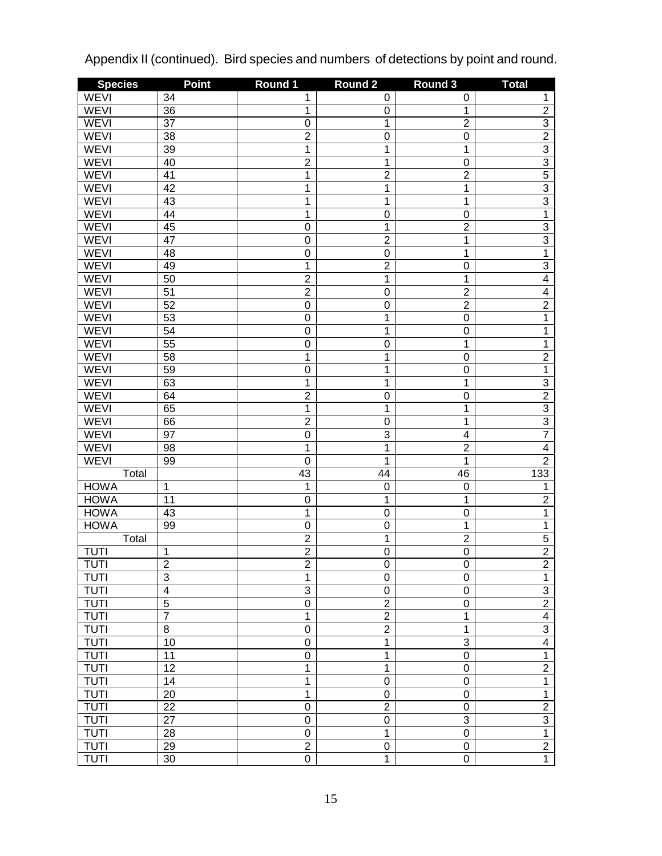| <b>Species</b> | <b>Point</b>    | Round 1        | Round <sub>2</sub> | Round 3                 | <b>Total</b>   |
|----------------|-----------------|----------------|--------------------|-------------------------|----------------|
| <b>WEVI</b>    | 34              | 1              | 0                  | 0                       | 1              |
| WEVI           | $\overline{36}$ | 1              | 0                  | 1                       | $\overline{2}$ |
| <b>WEVI</b>    | $\overline{37}$ | 0              | 1                  | $\overline{2}$          | $\overline{3}$ |
| <b>WEVI</b>    | $\overline{38}$ | $\overline{2}$ | $\mathbf 0$        | $\mathbf 0$             | $\overline{2}$ |
| <b>WEVI</b>    | 39              | 1              | 1                  | $\mathbf 1$             | $\overline{3}$ |
| <b>WEVI</b>    | 40              | $\overline{2}$ | $\overline{1}$     | $\mathbf 0$             | $\overline{3}$ |
| <b>WEVI</b>    | 41              | 1              | $\overline{2}$     | $\overline{2}$          | $\overline{5}$ |
| <b>WEVI</b>    | 42              | $\overline{1}$ | 1                  | $\mathbf 1$             | $\overline{3}$ |
| <b>WEVI</b>    | 43              | $\overline{1}$ | $\overline{1}$     | 1                       | $\overline{3}$ |
| <b>WEVI</b>    | $\overline{44}$ | $\overline{1}$ | $\mathbf 0$        | $\mathbf 0$             | $\overline{1}$ |
| <b>WEVI</b>    | 45              | $\overline{0}$ | 1                  | $\overline{2}$          | $\overline{3}$ |
| <b>WEVI</b>    | 47              | $\overline{0}$ | $\overline{2}$     | $\mathbf 1$             | $\overline{3}$ |
| <b>WEVI</b>    | 48              | $\overline{0}$ | $\mathbf 0$        | $\mathbf 1$             | $\overline{1}$ |
| <b>WEVI</b>    | 49              | $\overline{1}$ | $\overline{2}$     | $\mathbf 0$             | $\overline{3}$ |
| <b>WEVI</b>    | 50              | $\overline{2}$ | 1                  | $\mathbf 1$             | $\overline{4}$ |
| <b>WEVI</b>    | 51              | $\overline{2}$ | $\mathbf 0$        | $\overline{2}$          | $\overline{4}$ |
| <b>WEVI</b>    | 52              | $\overline{0}$ | $\mathbf 0$        | $\overline{2}$          | $\overline{2}$ |
| <b>WEVI</b>    | 53              | $\overline{0}$ | 1                  | $\boldsymbol{0}$        | 1              |
| <b>WEVI</b>    | 54              | $\overline{0}$ | $\overline{1}$     | $\mathbf 0$             | 1              |
| <b>WEVI</b>    | $\overline{55}$ | $\overline{0}$ | $\mathbf 0$        | $\mathbf 1$             | 1              |
| <b>WEVI</b>    | $\overline{58}$ | $\overline{1}$ | 1                  | $\mathbf 0$             | $\overline{2}$ |
| <b>WEVI</b>    | 59              | $\overline{0}$ | 1                  | $\mathbf 0$             | $\overline{1}$ |
| <b>WEVI</b>    | 63              | $\overline{1}$ | 1                  | $\mathbf 1$             | $\overline{3}$ |
| <b>WEVI</b>    | 64              | $\overline{2}$ | $\mathbf 0$        | $\mathbf 0$             | $\overline{2}$ |
| <b>WEVI</b>    | 65              | 1              | 1                  | $\mathbf 1$             | $\overline{3}$ |
| <b>WEVI</b>    | 66              | $\overline{2}$ | $\mathbf 0$        | 1                       | $\overline{3}$ |
| <b>WEVI</b>    | $\overline{97}$ | $\overline{0}$ | $\overline{3}$     | $\overline{\mathbf{4}}$ | $\overline{7}$ |
| <b>WEVI</b>    | 98              | $\overline{1}$ | $\overline{1}$     | $\overline{2}$          | $\overline{4}$ |
| WEVI           | 99              | $\overline{0}$ | $\overline{1}$     | $\mathbf 1$             | $\overline{2}$ |
| Total          |                 | 43             | 44                 | 46                      | 133            |
| <b>HOWA</b>    | 1               | 1              | $\mathbf 0$        | $\mathbf 0$             | 1              |
| <b>HOWA</b>    | 11              | 0              | 1                  | $\mathbf 1$             | $\overline{2}$ |
| <b>HOWA</b>    | 43              | $\overline{1}$ | $\mathbf 0$        | $\mathbf 0$             | 1              |
| <b>HOWA</b>    | 99              | $\overline{0}$ | $\mathbf 0$        | $\mathbf 1$             | 1              |
| Total          |                 | $\overline{2}$ | 1                  | $\overline{2}$          | $\overline{5}$ |
| <b>TUTI</b>    | 1               | $\overline{2}$ | 0                  | $\overline{0}$          | $\overline{2}$ |
| <b>TUTI</b>    | $\overline{2}$  | $\overline{2}$ | $\overline{0}$     | O                       | $\overline{2}$ |
| <b>TUTI</b>    | $\overline{3}$  | $\overline{1}$ | 0                  | $\mathbf 0$             | $\overline{1}$ |
| <b>TUTI</b>    | $\overline{4}$  | $\overline{3}$ | 0                  | $\mathbf 0$             | $\overline{3}$ |
| <b>TUTI</b>    | $\overline{5}$  | $\overline{0}$ | $\overline{2}$     | $\boldsymbol{0}$        | $\overline{2}$ |
| <b>TUTI</b>    | $\overline{7}$  | $\overline{1}$ | $\overline{2}$     | 1                       | $\overline{4}$ |
| <b>TUTI</b>    | $\overline{8}$  | $\overline{0}$ | $\overline{2}$     | 1                       | $\overline{3}$ |
| <b>TUTI</b>    | 10              | $\overline{0}$ | 1                  | 3                       | $\overline{4}$ |
| <b>TUTI</b>    | 11              | $\overline{0}$ | 1                  | $\pmb{0}$               | $\overline{1}$ |
| <b>TUTI</b>    | 12              | 1              | 1                  | $\pmb{0}$               | $\overline{2}$ |
| <b>TUTI</b>    | 14              | 1              | 0                  | $\pmb{0}$               | $\overline{1}$ |
| <b>TUTI</b>    | 20              | 1              | $\mathbf 0$        | $\pmb{0}$               | $\overline{1}$ |
| <b>TUTI</b>    | $\overline{22}$ | 0              | $\overline{2}$     | $\mathbf 0$             | $\overline{2}$ |
| <b>TUTI</b>    | 27              | $\overline{0}$ | $\mathsf 0$        | 3                       | $\overline{3}$ |
| <b>TUTI</b>    | 28              | 0              | 1                  | $\mathbf 0$             | $\overline{1}$ |
| <b>TUTI</b>    | 29              | $\overline{2}$ | $\boldsymbol{0}$   | $\pmb{0}$               | $\overline{2}$ |
|                |                 |                |                    |                         |                |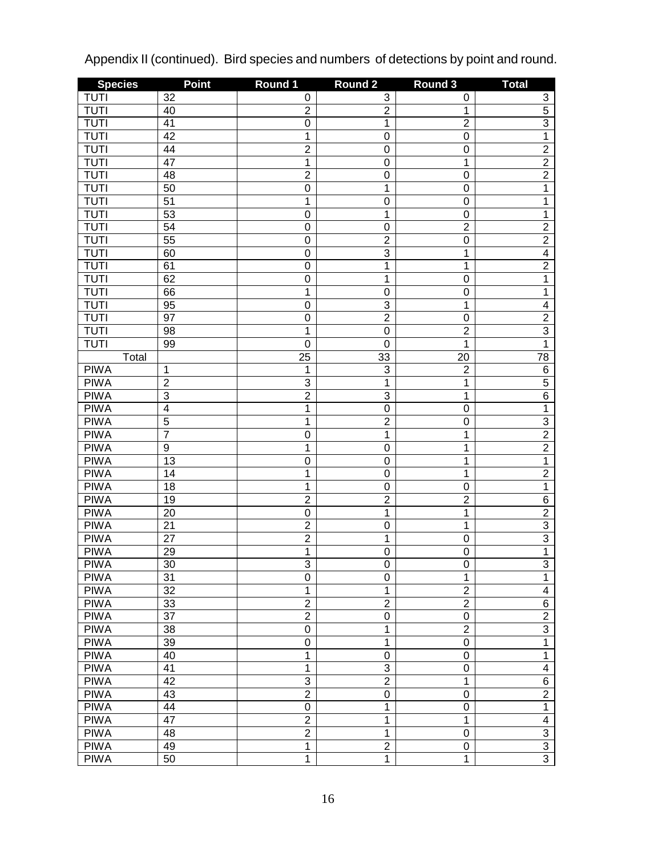| <b>Species</b> | <b>Point</b>    | Round 1        | <b>Round 2</b>   | Round 3          | <b>Total</b>            |
|----------------|-----------------|----------------|------------------|------------------|-------------------------|
| <b>TUTI</b>    | 32              | 0              | 3                | 0                | 3                       |
| <b>TUTI</b>    | 40              | $\overline{2}$ | $\overline{2}$   | 1                | $\overline{5}$          |
| <b>TUTI</b>    | 41              | $\mathbf 0$    | 1                | $\overline{2}$   | $\overline{3}$          |
| <b>TUTI</b>    | $\overline{42}$ | 1              | $\boldsymbol{0}$ | $\mathbf 0$      | $\overline{1}$          |
| <b>TUTI</b>    | 44              | $\overline{2}$ | $\mathbf 0$      | $\mathbf 0$      | $\overline{2}$          |
| <b>TUTI</b>    | $\overline{47}$ | $\overline{1}$ | $\mathbf 0$      | $\mathbf 1$      | $\overline{2}$          |
| <b>TUTI</b>    | 48              | $\overline{2}$ | $\boldsymbol{0}$ | $\mathbf 0$      | $\overline{2}$          |
| <b>TUTI</b>    | 50              | $\mathbf 0$    | 1                | $\mathbf 0$      | $\overline{1}$          |
| <b>TUTI</b>    | $\overline{51}$ | 1              | $\boldsymbol{0}$ | $\mathbf 0$      | 1                       |
| <b>TUTI</b>    | 53              | $\mathbf 0$    | 1                | $\mathbf 0$      | $\overline{1}$          |
| <b>TUTI</b>    | $\overline{54}$ | $\mathbf 0$    | $\boldsymbol{0}$ | $\overline{2}$   | $\overline{2}$          |
| <b>TUTI</b>    | 55              | $\mathbf 0$    | $\overline{2}$   | $\mathbf 0$      | $\overline{2}$          |
| <b>TUTI</b>    | 60              | $\mathbf 0$    | $\overline{3}$   | $\mathbf 1$      | $\overline{4}$          |
| <b>TUTI</b>    | 61              | $\mathbf 0$    | 1                | $\mathbf 1$      | $\overline{2}$          |
| <b>TUTI</b>    | 62              | $\mathbf 0$    | 1                | $\mathbf 0$      | $\overline{1}$          |
| <b>TUTI</b>    | 66              | 1              | $\boldsymbol{0}$ | $\mathbf 0$      | $\overline{1}$          |
| <b>TUTI</b>    | 95              | $\mathbf 0$    | $\overline{3}$   | $\mathbf 1$      | $\overline{4}$          |
| <b>TUTI</b>    | 97              | $\mathbf 0$    | $\overline{2}$   | $\mathbf 0$      | $\overline{2}$          |
| <b>TUTI</b>    | 98              | 1              | $\boldsymbol{0}$ | $\overline{2}$   | $\overline{3}$          |
| <b>TUTI</b>    | 99              | $\mathbf 0$    | $\mathbf 0$      | $\mathbf 1$      | $\overline{1}$          |
| Total          |                 | 25             | 33               | $\overline{2}0$  | 78                      |
| <b>PIWA</b>    | 1               | 1              | 3                | $\overline{2}$   | $\,6$                   |
| <b>PIWA</b>    | $\overline{2}$  | 3              | 1                | $\mathbf 1$      | $\overline{5}$          |
| <b>PIWA</b>    | $\overline{3}$  | $\overline{2}$ | $\overline{3}$   | $\mathbf 1$      | $\overline{6}$          |
| <b>PIWA</b>    | $\overline{4}$  | 1              | $\mathbf 0$      | $\mathbf 0$      | $\overline{1}$          |
| <b>PIWA</b>    | $\overline{5}$  | 1              | $\overline{2}$   | $\mathbf 0$      | $\overline{3}$          |
| <b>PIWA</b>    | $\overline{7}$  | $\overline{0}$ | 1                | $\mathbf 1$      | $\overline{2}$          |
| <b>PIWA</b>    | $\overline{9}$  | 1              | $\mathbf 0$      | 1                | $\overline{2}$          |
| <b>PIWA</b>    | 13              | $\mathbf 0$    | $\mathbf 0$      | 1                | $\mathbf{1}$            |
| <b>PIWA</b>    | 14              | 1              | $\mathbf 0$      | 1                | $\overline{2}$          |
| <b>PIWA</b>    | 18              | 1              | $\boldsymbol{0}$ | $\mathbf 0$      | $\overline{1}$          |
| <b>PIWA</b>    | 19              | $\overline{2}$ | $\overline{2}$   | $\overline{2}$   | $\overline{6}$          |
| <b>PIWA</b>    | 20              | $\mathbf 0$    | 1                | $\mathbf 1$      | $\overline{2}$          |
| <b>PIWA</b>    | 21              | $\overline{2}$ | $\boldsymbol{0}$ | 1                | $\overline{3}$          |
| <b>PIWA</b>    | 27              | $\overline{2}$ | 1                | $\mathbf 0$      | $\overline{3}$          |
| <b>PIWA</b>    | 29              | $\overline{1}$ | $\mathbf 0$      | $\mathbf 0$      | $\overline{1}$          |
| <b>PIWA</b>    | $\overline{30}$ | $\overline{3}$ | $\overline{0}$   | $\boldsymbol{0}$ | $\overline{3}$          |
| <b>PIWA</b>    | 31              | 0              | $\boldsymbol{0}$ | 1                | $\mathbf{1}$            |
| <b>PIWA</b>    | $\overline{32}$ | 1              | 1                | $\overline{2}$   | $\overline{\mathbf{4}}$ |
| <b>PIWA</b>    | 33              | $\overline{2}$ | $\overline{2}$   | $\overline{2}$   | 6                       |
| <b>PIWA</b>    | $\overline{37}$ | $\overline{2}$ | $\boldsymbol{0}$ | $\boldsymbol{0}$ | $\overline{2}$          |
| <b>PIWA</b>    | 38              | $\mathsf 0$    | 1                | $\overline{2}$   | $\overline{3}$          |
| <b>PIWA</b>    | 39              | $\mathsf 0$    | 1                | $\boldsymbol{0}$ | $\overline{1}$          |
| <b>PIWA</b>    | 40              | 1              | $\boldsymbol{0}$ | $\mathbf 0$      | $\mathbf{1}$            |
| <b>PIWA</b>    | 41              | 1              | 3                | 0                | $\overline{\mathbf{4}}$ |
| <b>PIWA</b>    | 42              | 3              | $\overline{2}$   | 1                | $\overline{6}$          |
| <b>PIWA</b>    | 43              | $\overline{2}$ | $\boldsymbol{0}$ | $\mathbf 0$      | $\overline{2}$          |
| <b>PIWA</b>    | 44              | 0              | 1                | 0                | $\mathbf{1}$            |
| <b>PIWA</b>    | 47              | $\overline{2}$ | 1                | 1                | $\overline{\mathbf{4}}$ |
| <b>PIWA</b>    | 48              | $\overline{2}$ | 1                | $\mathbf 0$      | $\overline{3}$          |
| <b>PIWA</b>    | 49              | $\mathbf{1}$   | $\overline{2}$   | 0                | $\overline{3}$          |
| <b>PIWA</b>    | 50              | 1              | 1                | $\mathbf 1$      | $\overline{3}$          |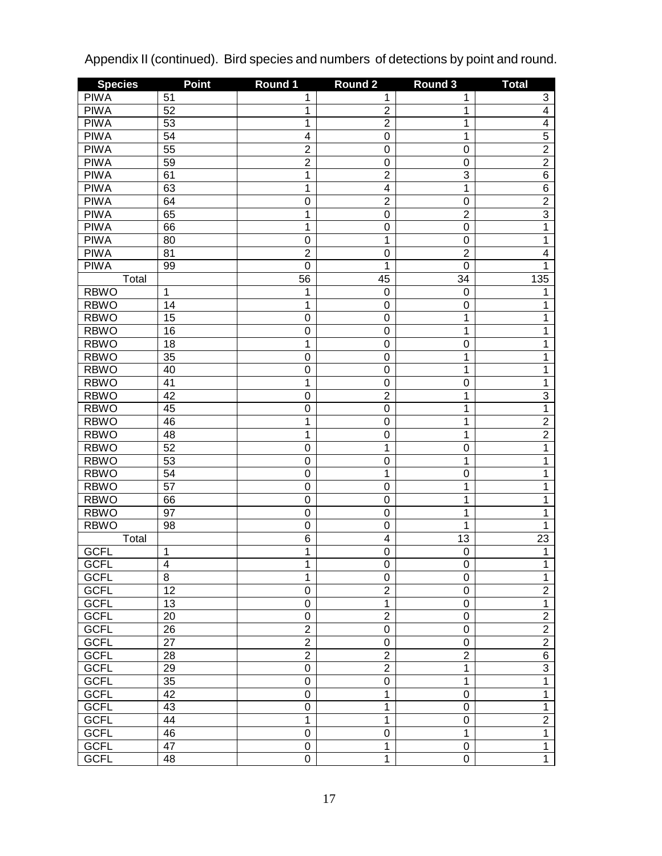| <b>Species</b> | <b>Point</b>    | Round 1         | <b>Round 2</b>          | Round 3          | <b>Total</b>    |
|----------------|-----------------|-----------------|-------------------------|------------------|-----------------|
| <b>PIWA</b>    | 51              | 1               | 1                       | 1                | 3               |
| <b>PIWA</b>    | 52              | 1               | $\overline{\mathbf{c}}$ | 1                | $\overline{4}$  |
| <b>PIWA</b>    | 53              | 1               | $\overline{2}$          | 1                | $\overline{4}$  |
| <b>PIWA</b>    | 54              | $\overline{4}$  | $\mathbf 0$             | 1                | $\overline{5}$  |
| <b>PIWA</b>    | $\overline{55}$ | $\overline{2}$  | $\mathbf 0$             | $\mathbf 0$      | $\overline{2}$  |
| <b>PIWA</b>    | 59              | $\overline{2}$  | $\mathbf 0$             | $\mathbf 0$      | $\overline{2}$  |
| <b>PIWA</b>    | 61              | 1               | $\overline{2}$          | $\overline{3}$   | $\overline{6}$  |
| <b>PIWA</b>    | 63              | $\overline{1}$  | $\overline{4}$          | $\mathbf 1$      | $\overline{6}$  |
| <b>PIWA</b>    | 64              | 0               | $\overline{2}$          | $\mathbf 0$      | $\overline{2}$  |
| <b>PIWA</b>    | 65              | $\overline{1}$  | $\mathbf 0$             | $\overline{2}$   | $\overline{3}$  |
| <b>PIWA</b>    | 66              | $\overline{1}$  | $\mathbf 0$             | $\mathbf 0$      | 1               |
| <b>PIWA</b>    | 80              | 0               | 1                       | $\mathbf 0$      | 1               |
| <b>PIWA</b>    | 81              | $\overline{2}$  | $\mathbf 0$             | $\overline{2}$   | $\overline{4}$  |
| <b>PIWA</b>    | 99              | $\overline{0}$  | 1                       | $\mathbf 0$      | 1               |
| Total          |                 | $\overline{56}$ | 45                      | 34               | 135             |
| <b>RBWO</b>    | 1               | 1               | $\mathbf 0$             | $\mathbf 0$      | 1               |
| <b>RBWO</b>    | 14              | 1               | $\mathbf 0$             | $\mathbf 0$      | 1               |
| <b>RBWO</b>    | 15              | 0               | $\mathbf 0$             | $\mathbf 1$      | 1               |
| <b>RBWO</b>    | 16              | 0               | $\mathbf 0$             | 1                | 1               |
| <b>RBWO</b>    | 18              | $\overline{1}$  | $\mathbf 0$             | $\mathbf 0$      | 1               |
| <b>RBWO</b>    | $\overline{35}$ | 0               | $\mathbf 0$             | $\mathbf{1}$     | 1               |
| <b>RBWO</b>    | 40              | 0               | $\mathbf 0$             | 1                | 1               |
| <b>RBWO</b>    | 41              | $\overline{1}$  | $\mathbf 0$             | $\mathbf 0$      | 1               |
| <b>RBWO</b>    | 42              | 0               | $\overline{2}$          | $\mathbf{1}$     | $\overline{3}$  |
| <b>RBWO</b>    | 45              | 0               | $\mathbf 0$             | 1                | $\overline{1}$  |
| <b>RBWO</b>    | 46              | $\overline{1}$  | $\mathbf 0$             | 1                | $\overline{2}$  |
| <b>RBWO</b>    | 48              | $\overline{1}$  | $\mathbf 0$             | 1                | $\overline{2}$  |
| <b>RBWO</b>    | $\overline{52}$ | $\overline{0}$  | 1                       | $\mathbf 0$      | 1               |
| <b>RBWO</b>    | $\overline{53}$ | 0               | $\mathbf 0$             | $\mathbf 1$      | 1               |
| <b>RBWO</b>    | 54              | 0               | 1                       | $\mathbf 0$      | 1               |
| <b>RBWO</b>    | $\overline{57}$ | 0               | $\mathbf 0$             | $\mathbf{1}$     | 1               |
| <b>RBWO</b>    | 66              | 0               | $\mathbf 0$             | 1                | 1               |
| <b>RBWO</b>    | $\overline{97}$ | 0               | $\mathbf 0$             | 1                | 1               |
| <b>RBWO</b>    | 98              | $\overline{0}$  | $\mathbf 0$             | 1                | 1               |
| Total          |                 | $\overline{6}$  | $\overline{\mathbf{4}}$ | 13               | 23              |
| <b>GCFL</b>    | 1               | $\overline{1}$  | 0                       | $\mathbf 0$      | 1               |
| <b>GCFL</b>    | $\overline{4}$  | 1               | $\overline{0}$          | O                | 1               |
| <b>GCFL</b>    | 8               | 1               | $\mathbf 0$             | $\mathbf 0$      | 1               |
| <b>GCFL</b>    | $\overline{12}$ | 0               | $\overline{2}$          | $\mathbf 0$      | $\overline{2}$  |
| <b>GCFL</b>    | 13              | 0               | 1                       | $\boldsymbol{0}$ | $\overline{1}$  |
| <b>GCFL</b>    | 20              | 0               | $\overline{2}$          | $\boldsymbol{0}$ | $\overline{2}$  |
| <b>GCFL</b>    | 26              | $\overline{2}$  | 0                       | $\boldsymbol{0}$ | $\overline{2}$  |
| <b>GCFL</b>    | $\overline{27}$ | $\overline{2}$  | 0                       | $\mathbf 0$      | $\overline{2}$  |
| <b>GCFL</b>    | 28              | $\overline{2}$  | $\overline{2}$          | $\overline{2}$   | $6\overline{6}$ |
| <b>GCFL</b>    | 29              | 0               | $\overline{2}$          | 1                | $\overline{3}$  |
| <b>GCFL</b>    | 35              | 0               | $\mathbf 0$             | 1                | $\overline{1}$  |
| <b>GCFL</b>    | 42              | 0               | 1                       | $\mathbf 0$      | 1               |
| <b>GCFL</b>    | 43              | 0               | 1                       | $\mathbf 0$      | 1               |
| <b>GCFL</b>    | 44              | 1               | 1                       | $\mathbf 0$      | $\overline{2}$  |
| <b>GCFL</b>    | 46              | 0               | $\mathbf 0$             | 1                | $\overline{1}$  |
| <b>GCFL</b>    | 47              | $\mathsf 0$     | 1                       | 0                | $\mathbf{1}$    |
| <b>GCFL</b>    | 48              | $\overline{0}$  | 1                       | $\overline{0}$   | $\overline{1}$  |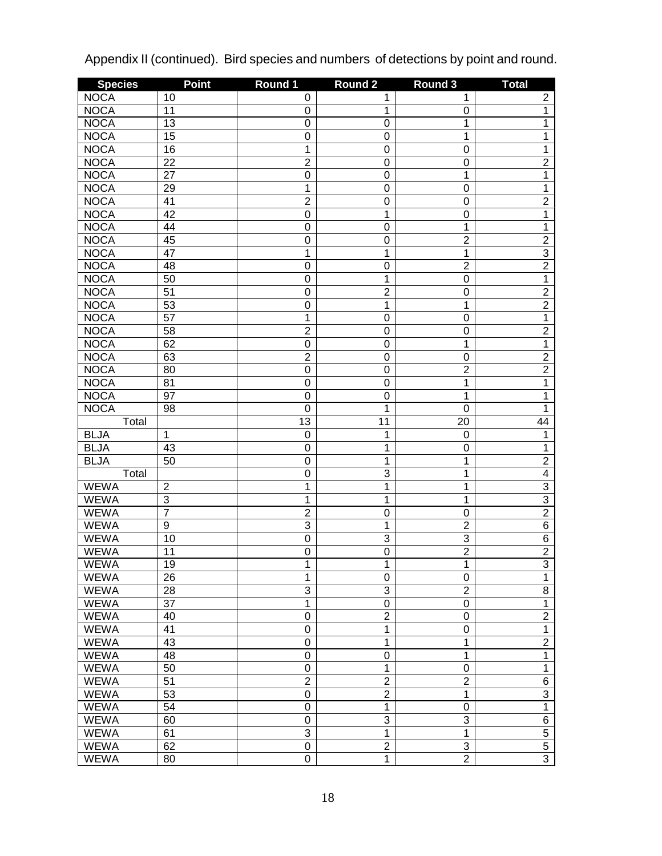| <b>Species</b> | <b>Point</b>    | Round 1          | Round <sub>2</sub> | Round 3          | <b>Total</b>    |
|----------------|-----------------|------------------|--------------------|------------------|-----------------|
| <b>NOCA</b>    | 10              | 0                | 1                  | 1                | $\overline{c}$  |
| <b>NOCA</b>    | 11              | $\boldsymbol{0}$ | 1                  | $\boldsymbol{0}$ | $\overline{1}$  |
| <b>NOCA</b>    | 13              | $\mathbf 0$      | $\mathbf 0$        | 1                | 1               |
| <b>NOCA</b>    | 15              | 0                | $\mathbf 0$        | 1                | 1               |
| <b>NOCA</b>    | 16              | 1                | $\mathbf 0$        | $\mathbf 0$      | 1               |
| <b>NOCA</b>    | 22              | $\overline{2}$   | $\mathbf 0$        | $\mathbf 0$      | $\overline{2}$  |
| <b>NOCA</b>    | 27              | $\overline{0}$   | $\mathbf 0$        | $\mathbf 1$      | $\overline{1}$  |
| <b>NOCA</b>    | 29              | 1                | $\mathbf 0$        | $\mathbf 0$      | 1               |
| <b>NOCA</b>    | 41              | $\overline{2}$   | $\mathbf 0$        | $\mathbf 0$      | $\overline{2}$  |
| <b>NOCA</b>    | 42              | $\overline{0}$   | 1                  | $\mathbf 0$      | $\overline{1}$  |
| <b>NOCA</b>    | 44              | $\mathbf 0$      | $\mathbf 0$        | $\mathbf 1$      | 1               |
| <b>NOCA</b>    | 45              | 0                | $\mathbf 0$        | $\overline{2}$   | $\overline{2}$  |
| <b>NOCA</b>    | 47              | 1                | 1                  | $\mathbf 1$      | $\overline{3}$  |
| <b>NOCA</b>    | 48              | $\overline{0}$   | $\mathbf 0$        | $\overline{2}$   | $\overline{2}$  |
| <b>NOCA</b>    | 50              | $\mathbf 0$      | 1                  | $\mathbf 0$      | $\overline{1}$  |
| <b>NOCA</b>    | $\overline{51}$ | $\mathbf 0$      | $\overline{2}$     | $\mathbf 0$      | $\overline{2}$  |
| <b>NOCA</b>    | 53              | 0                | 1                  | $\mathbf 1$      | $\overline{2}$  |
| <b>NOCA</b>    | $\overline{57}$ | 1                | $\mathbf 0$        | $\mathbf 0$      | $\overline{1}$  |
| <b>NOCA</b>    | 58              | $\overline{2}$   | $\mathbf 0$        | $\mathbf 0$      | $\overline{2}$  |
| <b>NOCA</b>    | 62              | $\mathbf 0$      | $\mathbf 0$        | $\mathbf 1$      | $\overline{1}$  |
| <b>NOCA</b>    | 63              | $\overline{2}$   | $\mathbf 0$        | $\mathbf 0$      | $\overline{2}$  |
| <b>NOCA</b>    | 80              | $\overline{0}$   | $\mathbf 0$        | $\overline{2}$   | $\overline{2}$  |
| <b>NOCA</b>    | 81              | $\mathbf 0$      | $\mathbf 0$        | $\mathbf 1$      | 1               |
| <b>NOCA</b>    | 97              | $\mathbf 0$      | $\mathbf 0$        | 1                | 1               |
| <b>NOCA</b>    | 98              | $\mathbf 0$      | 1                  | $\mathbf 0$      | 1               |
| Total          |                 | 13               | 11                 | 20               | 44              |
| <b>BLJA</b>    | 1               | $\boldsymbol{0}$ | 1                  | $\mathbf 0$      | 1               |
| <b>BLJA</b>    | 43              | 0                | 1                  | $\mathbf 0$      | 1               |
| <b>BLJA</b>    | 50              | $\mathbf 0$      | 1                  | 1                | $\overline{2}$  |
| Total          |                 | $\mathbf 0$      | 3                  | 1                | $\overline{4}$  |
| <b>WEWA</b>    | $\overline{2}$  | 1                | 1                  | 1                | $\overline{3}$  |
| <b>WEWA</b>    | $\overline{3}$  | 1                | 1                  | 1                | $\overline{3}$  |
| <b>WEWA</b>    | $\overline{7}$  | $\overline{2}$   | $\mathbf 0$        | $\mathbf 0$      | $\overline{2}$  |
| WEWA           | 9               | 3                | 1                  | $\overline{2}$   | $\overline{6}$  |
| <b>WEWA</b>    | 10              | 0                | 3                  | $\overline{3}$   | $6\overline{6}$ |
| WEWA           | 11              | 0                | 0                  | $\overline{2}$   | $\overline{2}$  |
| WEWA           | 19              | 1                | 1                  | 1                | 3               |
| <b>WEWA</b>    | 26              | 1                | $\boldsymbol{0}$   | $\pmb{0}$        | $\overline{1}$  |
| <b>WEWA</b>    | 28              | 3                | 3                  | $\overline{2}$   | 8               |
| <b>WEWA</b>    | 37              | $\mathbf 1$      | $\boldsymbol{0}$   | $\pmb{0}$        | $\overline{1}$  |
| <b>WEWA</b>    | 40              | 0                | $\overline{2}$     | $\boldsymbol{0}$ | $\overline{2}$  |
| <b>WEWA</b>    | 41              | $\mathbf 0$      | 1                  | $\boldsymbol{0}$ | $\overline{1}$  |
| <b>WEWA</b>    | 43              | 0                | 1                  | 1                | $\overline{2}$  |
| <b>WEWA</b>    | 48              | $\mathbf 0$      | $\mathbf 0$        | 1                | $\overline{1}$  |
| <b>WEWA</b>    | 50              | $\mathbf 0$      | 1                  | $\pmb{0}$        | $\overline{1}$  |
| <b>WEWA</b>    | 51              | $\overline{2}$   | $\overline{2}$     | $\overline{2}$   | $\,6$           |
| <b>WEWA</b>    | 53              | $\mathbf 0$      | $\overline{2}$     | $\mathbf{1}$     | $\overline{3}$  |
| <b>WEWA</b>    | 54              | $\mathbf 0$      | 1                  | $\pmb{0}$        | $\overline{1}$  |
| <b>WEWA</b>    | 60              | 0                | 3                  | 3                | 6               |
| <b>WEWA</b>    | 61              | 3                | 1                  | 1                | $\overline{5}$  |
| <b>WEWA</b>    | 62              | $\mathbf 0$      | $\overline{2}$     | 3                | $\overline{5}$  |
| <b>WEWA</b>    | 80              | $\overline{0}$   | $\overline{1}$     | $\overline{2}$   | $\overline{3}$  |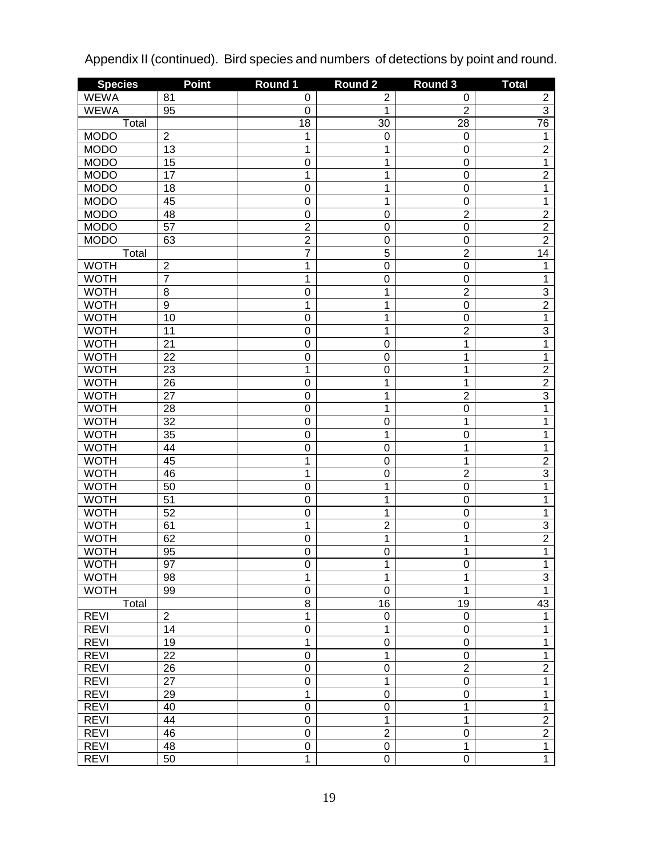| <b>Species</b>             | <b>Point</b>         | Round 1                          | Round <sub>2</sub> | Round 3                       | <b>Total</b>                     |
|----------------------------|----------------------|----------------------------------|--------------------|-------------------------------|----------------------------------|
| <b>WEWA</b>                | 81                   | 0                                | $\overline{c}$     | 0                             | $\overline{c}$                   |
| <b>WEWA</b>                | 95                   | $\boldsymbol{0}$                 | 1                  | $\overline{2}$                | $\overline{3}$                   |
| Total                      |                      | 18                               | 30                 | 28                            | 76                               |
| <b>MODO</b>                | $\overline{2}$       | 1                                | 0                  | $\boldsymbol{0}$              | $\mathbf{1}$                     |
| <b>MODO</b>                | 13                   | $\overline{1}$                   | 1                  | $\mathbf 0$                   | $\overline{2}$                   |
| <b>MODO</b>                | 15                   | $\overline{0}$                   | 1                  | $\mathbf 0$                   | $\overline{1}$                   |
| <b>MODO</b>                | 17                   | 1                                | 1                  | $\mathbf 0$                   | $\overline{2}$                   |
| <b>MODO</b>                | 18                   | $\overline{0}$                   | 1                  | $\mathbf 0$                   | $\overline{1}$                   |
| <b>MODO</b>                | 45                   | 0                                | 1                  | $\mathbf 0$                   | 1                                |
| <b>MODO</b>                | 48                   | 0                                | $\mathbf 0$        | $\overline{2}$                | $\overline{2}$                   |
| <b>MODO</b>                | $\overline{57}$      | $\overline{2}$                   | $\mathbf 0$        | $\mathbf 0$                   | $\overline{2}$                   |
| <b>MODO</b>                | 63                   | $\overline{2}$                   | $\mathbf 0$        | $\mathbf 0$                   | $\overline{2}$                   |
| Total                      |                      | $\overline{7}$                   | $\overline{5}$     | $\overline{2}$                | 14                               |
| <b>WOTH</b>                | $\overline{c}$       | 1                                | $\mathbf 0$        | $\mathbf 0$                   | 1                                |
| <b>WOTH</b>                | $\overline{7}$       | $\overline{1}$                   | $\mathbf 0$        | $\mathbf 0$                   | 1                                |
| <b>WOTH</b>                | $\overline{8}$       | $\overline{0}$                   | 1                  | $\overline{2}$                | $\overline{3}$                   |
| <b>WOTH</b>                | $\overline{9}$       | 1                                | 1                  | $\mathbf 0$                   | $\overline{2}$                   |
| <b>WOTH</b>                | 10                   | $\overline{0}$                   | 1                  | $\mathbf 0$                   | $\overline{1}$                   |
| <b>WOTH</b>                | 11                   | $\mathbf 0$                      | 1                  | $\overline{2}$                | $\overline{3}$                   |
| <b>WOTH</b>                | 21                   | $\mathbf 0$                      | $\mathbf 0$        | $\mathbf 1$                   | $\overline{1}$                   |
| <b>WOTH</b>                | 22                   | $\mathbf 0$                      | $\mathbf 0$        | 1                             | 1                                |
| <b>WOTH</b>                | 23                   | 1                                | $\mathbf 0$        | 1                             | $\overline{2}$                   |
| <b>WOTH</b>                | 26                   | $\overline{0}$                   | 1                  | 1                             | $\overline{2}$                   |
| <b>WOTH</b>                | 27                   | 0                                | 1                  | $\overline{2}$                | $\overline{3}$                   |
| <b>WOTH</b>                | 28                   | $\mathbf 0$                      | 1                  | $\mathbf 0$                   | $\overline{1}$                   |
| <b>WOTH</b>                | 32                   | $\mathbf 0$                      | $\mathbf 0$        | $\mathbf 1$                   | 1                                |
| <b>WOTH</b>                | 35                   | $\mathbf 0$                      | 1                  | $\mathbf 0$                   | 1                                |
| <b>WOTH</b>                | 44                   | $\mathbf 0$                      | $\mathbf 0$        | 1                             | 1                                |
| <b>WOTH</b>                | 45                   | 1                                | $\mathbf 0$        | 1                             | $\overline{2}$                   |
| <b>WOTH</b>                | 46                   | $\overline{1}$                   | $\mathbf 0$        | $\overline{2}$                | $\overline{3}$                   |
| <b>WOTH</b>                | 50                   | $\mathbf 0$                      | 1                  | $\mathbf 0$                   | 1                                |
| <b>WOTH</b>                | 51                   | 0                                | 1                  | $\mathbf 0$                   | 1                                |
| <b>WOTH</b>                | 52                   | $\mathbf 0$                      | 1                  | $\mathbf 0$                   | 1                                |
| <b>WOTH</b>                | 61                   | 1                                | $\overline{2}$     | $\mathbf 0$                   | 3                                |
| <b>WOTH</b>                | 62                   | 0                                | 1                  | 1                             | $\overline{2}$                   |
| <b>WOTH</b>                | 95                   | 0                                | 0                  | 1                             | 1                                |
| <b>WOTH</b>                | 97                   | 0                                | 1                  | 0                             | 1                                |
| <b>WOTH</b>                | 98                   | 1                                | 1                  | 1                             | $\overline{3}$<br>$\overline{1}$ |
| <b>WOTH</b>                | 99                   | 0                                | $\mathbf 0$        | 1                             |                                  |
| Total                      |                      | 8                                | 16                 | 19                            | 43                               |
| <b>REVI</b><br><b>REVI</b> | $\overline{2}$<br>14 | $\overline{1}$<br>$\overline{0}$ | 0<br>1             | $\pmb{0}$<br>$\boldsymbol{0}$ | $\mathbf{1}$<br>$\mathbf{1}$     |
| <b>REVI</b>                | 19                   | $\overline{1}$                   | $\mathbf 0$        | $\boldsymbol{0}$              | $\overline{1}$                   |
| <b>REVI</b>                | 22                   | $\overline{0}$                   | 1                  | $\boldsymbol{0}$              | $\overline{1}$                   |
| <b>REVI</b>                |                      | 0                                |                    | $\overline{2}$                | $\overline{2}$                   |
| <b>REVI</b>                | 26<br>27             | 0                                | $\mathbf 0$<br>1   | $\pmb{0}$                     | $\overline{1}$                   |
| <b>REVI</b>                | 29                   | $\overline{1}$                   | $\boldsymbol{0}$   | $\boldsymbol{0}$              | $\overline{1}$                   |
| <b>REVI</b>                | 40                   | 0                                | $\boldsymbol{0}$   | 1                             | $\overline{1}$                   |
| <b>REVI</b>                | 44                   | 0                                | 1                  | 1                             | $\overline{2}$                   |
| <b>REVI</b>                | 46                   | 0                                | $\overline{2}$     | $\mathbf 0$                   | $\overline{2}$                   |
| <b>REVI</b>                | 48                   | 0                                | $\boldsymbol{0}$   | $\mathbf{1}$                  | $\overline{1}$                   |
| <b>REVI</b>                | 50                   | $\overline{1}$                   | $\mathbf 0$        | $\boldsymbol{0}$              | $\overline{1}$                   |
|                            |                      |                                  |                    |                               |                                  |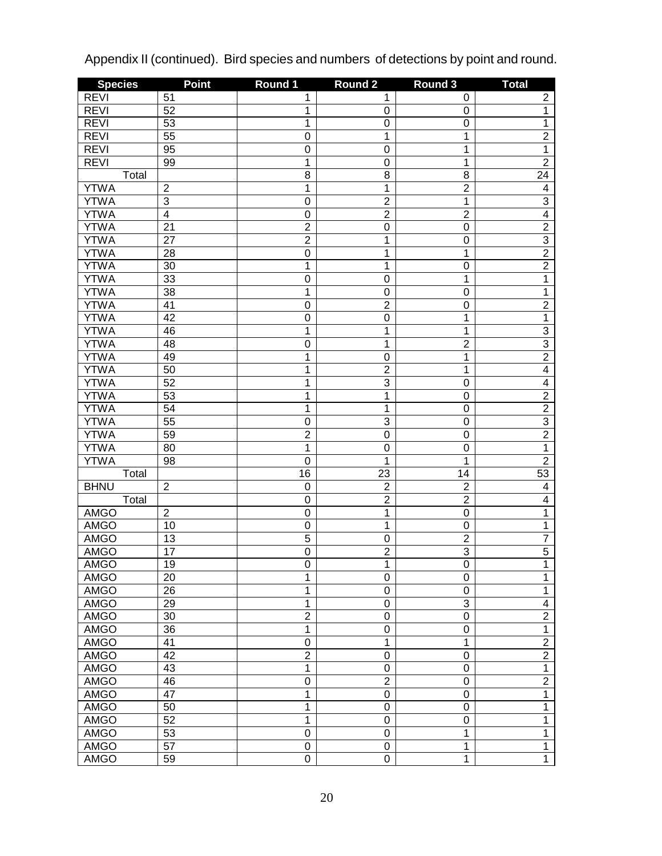| <b>Species</b> | <b>Point</b>     | Round 1         | <b>Round 2</b> | Round 3          | <b>Total</b>   |
|----------------|------------------|-----------------|----------------|------------------|----------------|
| <b>REVI</b>    | 51               | 1               | 1              | 0                | 2              |
| <b>REVI</b>    | 52               | 1               | 0              | $\boldsymbol{0}$ | 1              |
| <b>REVI</b>    | 53               | $\overline{1}$  | $\mathbf 0$    | $\boldsymbol{0}$ | 1              |
| <b>REVI</b>    | $\overline{55}$  | 0               | 1              | $\mathbf 1$      | $\overline{2}$ |
| <b>REVI</b>    | 95               | 0               | $\mathbf 0$    | 1                | $\overline{1}$ |
| <b>REVI</b>    | 99               | $\overline{1}$  | $\mathbf 0$    | 1                | $\overline{2}$ |
| Total          |                  | $\overline{8}$  | 8              | 8                | 24             |
| <b>YTWA</b>    | $\boldsymbol{2}$ | $\overline{1}$  | 1              | $\overline{2}$   | $\overline{4}$ |
| <b>YTWA</b>    | $\overline{3}$   | $\overline{0}$  | $\overline{2}$ | $\mathbf 1$      | $\overline{3}$ |
| <b>YTWA</b>    | $\overline{4}$   | 0               | $\overline{2}$ | $\overline{2}$   | $\overline{4}$ |
| <b>YTWA</b>    | $\overline{21}$  | $\overline{2}$  | $\mathbf 0$    | $\boldsymbol{0}$ | $\overline{2}$ |
| <b>YTWA</b>    | $\overline{27}$  | $\overline{2}$  | 1              | $\mathbf 0$      | $\overline{3}$ |
| <b>YTWA</b>    | 28               | 0               | 1              | $\mathbf 1$      | $\overline{2}$ |
| <b>YTWA</b>    | 30               | $\overline{1}$  | 1              | $\mathbf 0$      | $\overline{2}$ |
| <b>YTWA</b>    | 33               | $\overline{0}$  | $\mathbf 0$    | $\mathbf 1$      | $\overline{1}$ |
| <b>YTWA</b>    | $\overline{38}$  | $\overline{1}$  | $\mathbf 0$    | $\mathbf 0$      | 1              |
| <b>YTWA</b>    | 41               | $\overline{0}$  | $\overline{2}$ | $\mathbf 0$      | $\overline{2}$ |
| <b>YTWA</b>    | 42               | 0               | $\mathbf 0$    | $\mathbf 1$      | $\overline{1}$ |
| <b>YTWA</b>    | 46               | $\overline{1}$  | 1              | 1                | $\overline{3}$ |
| <b>YTWA</b>    | 48               | $\overline{0}$  | $\overline{1}$ | $\overline{2}$   | $\overline{3}$ |
| <b>YTWA</b>    | 49               | $\overline{1}$  | $\mathbf 0$    | $\mathbf 1$      | $\overline{2}$ |
| <b>YTWA</b>    | 50               | $\overline{1}$  | $\overline{2}$ | 1                | $\overline{4}$ |
| <b>YTWA</b>    | 52               | $\overline{1}$  | $\overline{3}$ | $\mathbf 0$      | $\overline{4}$ |
| <b>YTWA</b>    | 53               | $\overline{1}$  | $\overline{1}$ | $\mathbf 0$      | $\overline{2}$ |
| <b>YTWA</b>    | 54               | $\overline{1}$  | $\overline{1}$ | $\boldsymbol{0}$ | $\overline{2}$ |
| <b>YTWA</b>    | $\overline{55}$  | 0               | $\overline{3}$ | $\boldsymbol{0}$ | $\overline{3}$ |
| <b>YTWA</b>    | 59               | $\overline{2}$  | $\mathbf 0$    | $\mathbf 0$      | $\overline{2}$ |
| <b>YTWA</b>    | 80               | 1               | $\mathbf 0$    | $\mathbf 0$      | $\overline{1}$ |
| <b>YTWA</b>    | 98               | $\overline{0}$  | $\overline{1}$ | $\mathbf 1$      | $\overline{2}$ |
| Total          |                  | $\overline{16}$ | 23             | 14               | 53             |
| <b>BHNU</b>    | $\overline{c}$   | $\mathbf 0$     | $\overline{2}$ | $\overline{c}$   | $\overline{4}$ |
| Total          |                  | 0               | $\overline{2}$ | $\overline{2}$   | $\overline{4}$ |
| <b>AMGO</b>    | $\overline{c}$   | 0               | 1              | $\boldsymbol{0}$ | 1              |
| <b>AMGO</b>    | 10               | 0               | $\overline{1}$ | $\mathbf 0$      | 1              |
| <b>AMGO</b>    | 13               | $\overline{5}$  | $\mathbf 0$    | $\overline{2}$   | $\overline{7}$ |
| <b>AMGO</b>    | $\overline{17}$  | $\overline{0}$  | $\overline{2}$ | $\overline{3}$   | $\overline{5}$ |
| <b>AMGO</b>    | $\overline{19}$  | $\overline{0}$  | 1              | $\boldsymbol{0}$ | 1              |
| <b>AMGO</b>    | 20               | $\overline{1}$  | $\mathbf 0$    | $\mathbf 0$      | 1              |
| AMGO           | $\overline{26}$  | 1               | $\mathbf 0$    | $\boldsymbol{0}$ | 1              |
| AMGO           | 29               | 1               | $\mathbf 0$    | 3                | $\overline{4}$ |
| AMGO           | 30               | $\overline{2}$  | $\mathbf 0$    | $\boldsymbol{0}$ | $\overline{2}$ |
| AMGO           | $\overline{36}$  | 1               | $\mathbf 0$    | $\boldsymbol{0}$ | $\overline{1}$ |
| AMGO           | 41               | $\overline{0}$  | 1              | 1                | $\overline{2}$ |
| AMGO           | 42               | $\overline{2}$  | $\mathbf 0$    | $\mathbf 0$      | $\overline{2}$ |
| AMGO           | 43               | 1               | $\mathbf 0$    | $\boldsymbol{0}$ | $\overline{1}$ |
| AMGO           | 46               | $\overline{0}$  | $\overline{2}$ | $\boldsymbol{0}$ | $\overline{2}$ |
| AMGO           | 47               | $\overline{1}$  | $\mathbf 0$    | $\boldsymbol{0}$ | 1              |
| AMGO           | 50               | 1               | $\mathbf 0$    | $\boldsymbol{0}$ | 1              |
| AMGO           | 52               | 1               | $\mathbf 0$    | $\boldsymbol{0}$ | 1              |
| AMGO           | 53               | $\overline{0}$  | $\mathbf 0$    | 1                | 1              |
| AMGO           | $\overline{57}$  | $\mathsf 0$     | 0              | 1                | $\mathbf{1}$   |
| <b>AMGO</b>    | 59               | $\overline{0}$  | $\overline{0}$ | $\mathbf 1$      | $\overline{1}$ |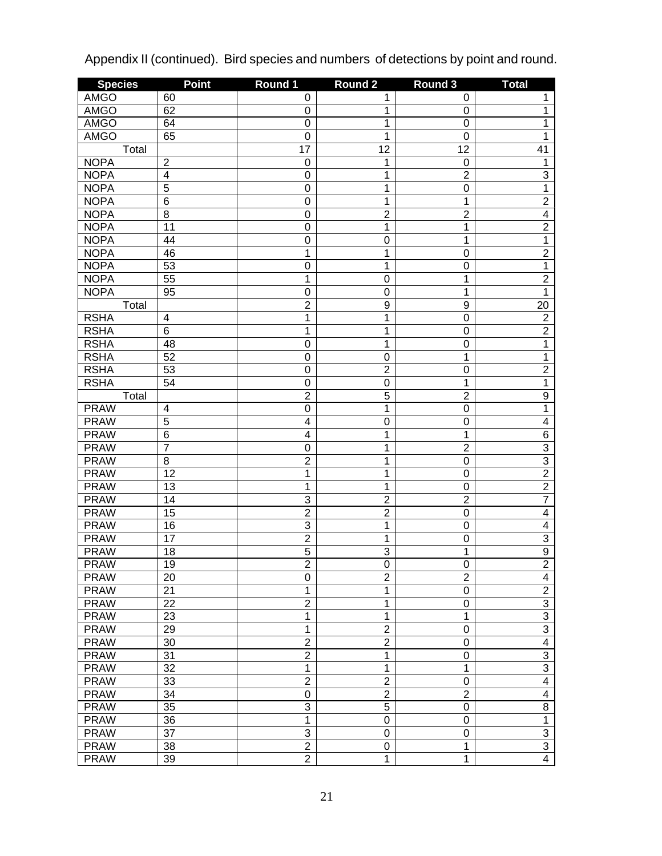| <b>Species</b> | <b>Point</b>            | Round 1         | Round <sub>2</sub> | Round 3          | <b>Total</b>   |
|----------------|-------------------------|-----------------|--------------------|------------------|----------------|
| <b>AMGO</b>    | 60                      | 0               | 1                  | 0                | 1              |
| <b>AMGO</b>    | 62                      | 0               | 1                  | $\pmb{0}$        | 1              |
| <b>AMGO</b>    | 64                      | 0               | 1                  | $\mathbf 0$      | 1              |
| <b>AMGO</b>    | 65                      | 0               | 1                  | $\mathbf 0$      | 1              |
| Total          |                         | $\overline{17}$ | $\overline{12}$    | 12               | 41             |
| <b>NOPA</b>    | $\overline{\mathbf{c}}$ | $\mathbf 0$     | 1                  | $\mathbf 0$      | 1              |
| <b>NOPA</b>    | $\overline{4}$          | 0               | 1                  | $\overline{2}$   | 3              |
| <b>NOPA</b>    | $\overline{5}$          | 0               | 1                  | $\mathbf 0$      | $\overline{1}$ |
| <b>NOPA</b>    | $\overline{6}$          | 0               | 1                  | $\mathbf 1$      | $\overline{2}$ |
| <b>NOPA</b>    | $\overline{8}$          | 0               | $\overline{2}$     | $\overline{2}$   | $\overline{4}$ |
| <b>NOPA</b>    | $\overline{11}$         | 0               | 1                  | $\mathbf 1$      | $\overline{2}$ |
| <b>NOPA</b>    | 44                      | 0               | $\mathbf 0$        | 1                | 1              |
| <b>NOPA</b>    | 46                      | $\overline{1}$  | 1                  | $\mathbf 0$      | $\overline{2}$ |
| <b>NOPA</b>    | 53                      | 0               | 1                  | $\mathbf 0$      | 1              |
| <b>NOPA</b>    | $\overline{55}$         | $\overline{1}$  | $\mathbf 0$        | $\mathbf 1$      | $\overline{2}$ |
| <b>NOPA</b>    | 95                      | 0               | $\mathbf 0$        | 1                | 1              |
| Total          |                         | $\overline{2}$  | 9                  | $\boldsymbol{9}$ | 20             |
| <b>RSHA</b>    | 4                       | 1               | 1                  | $\mathbf 0$      | $\overline{2}$ |
| <b>RSHA</b>    | $\overline{6}$          | $\overline{1}$  | 1                  | $\mathbf 0$      | $\overline{2}$ |
| <b>RSHA</b>    | 48                      | 0               | 1                  | $\mathbf 0$      | 1              |
| <b>RSHA</b>    | 52                      | 0               | $\mathbf 0$        | $\mathbf 1$      | 1              |
| <b>RSHA</b>    | $\overline{53}$         | 0               | $\overline{2}$     | $\mathbf 0$      | $\overline{2}$ |
| <b>RSHA</b>    | $\overline{54}$         | 0               | $\mathbf 0$        | $\mathbf 1$      | 1              |
| Total          |                         | $\overline{2}$  | $\overline{5}$     | $\overline{2}$   | $\overline{9}$ |
| <b>PRAW</b>    | 4                       | 0               | 1                  | $\mathbf 0$      | 1              |
| <b>PRAW</b>    | $\overline{5}$          | $\overline{4}$  | $\mathbf 0$        | $\mathbf 0$      | $\overline{4}$ |
| <b>PRAW</b>    | $\overline{6}$          | $\overline{4}$  | 1                  | $\mathbf 1$      | $\overline{6}$ |
| <b>PRAW</b>    | $\overline{7}$          | 0               | 1                  | $\overline{2}$   | $\overline{3}$ |
| <b>PRAW</b>    | $\overline{8}$          | $\overline{2}$  | 1                  | $\mathbf 0$      | $\overline{3}$ |
| <b>PRAW</b>    | $\overline{12}$         | 1               | 1                  | $\mathbf 0$      | $\overline{2}$ |
| <b>PRAW</b>    | 13                      | 1               | 1                  | $\mathbf 0$      | $\overline{2}$ |
| <b>PRAW</b>    | $\overline{14}$         | 3               | $\overline{2}$     | $\overline{2}$   | $\overline{7}$ |
| <b>PRAW</b>    | 15                      | $\overline{2}$  | $\overline{2}$     | $\mathbf 0$      | $\overline{4}$ |
| <b>PRAW</b>    | 16                      | $\overline{3}$  | 1                  | $\mathbf 0$      | $\overline{4}$ |
| <b>PRAW</b>    | $\overline{17}$         | $\overline{2}$  | 1                  | $\mathbf 0$      | $\overline{3}$ |
| <b>PRAW</b>    | 18                      | $\overline{5}$  | $\overline{3}$     | $\mathbf 1$      | $\overline{9}$ |
| <b>PRAW</b>    | $\overline{19}$         | $\overline{2}$  | $\overline{0}$     | O                | $\overline{2}$ |
| <b>PRAW</b>    | 20                      | 0               | $\overline{2}$     | $\overline{2}$   | $\overline{4}$ |
| <b>PRAW</b>    | $\overline{21}$         | $\overline{1}$  | 1                  | $\mathbf 0$      | $\overline{2}$ |
| <b>PRAW</b>    | 22                      | $\overline{2}$  | 1                  | $\mathbf 0$      | $\overline{3}$ |
| <b>PRAW</b>    | 23                      | $\overline{1}$  | 1                  | 1                | $\overline{3}$ |
| <b>PRAW</b>    | 29                      | $\overline{1}$  | $\overline{2}$     | 0                | $\overline{3}$ |
| <b>PRAW</b>    | 30                      | $\overline{2}$  | $\overline{2}$     | $\mathbf 0$      | $\overline{4}$ |
| <b>PRAW</b>    | $\overline{31}$         | $\overline{2}$  | 1                  | $\mathbf 0$      | $\overline{3}$ |
| <b>PRAW</b>    | $\overline{32}$         | $\overline{1}$  | 1                  | 1                | $\overline{3}$ |
| <b>PRAW</b>    | 33                      | $\overline{2}$  | $\overline{2}$     | 0                | $\overline{4}$ |
| <b>PRAW</b>    | $\overline{34}$         | 0               | $\overline{2}$     | $\overline{2}$   | $\overline{4}$ |
| <b>PRAW</b>    | $\overline{35}$         | $\overline{3}$  | $\overline{5}$     | $\mathbf 0$      | $\overline{8}$ |
| <b>PRAW</b>    | $\overline{36}$         | 1               | $\mathsf 0$        | $\mathbf 0$      | 1              |
| <b>PRAW</b>    | $\overline{37}$         | $\overline{3}$  | $\mathbf 0$        | $\mathbf 0$      | $\overline{3}$ |
| <b>PRAW</b>    | 38                      | $\overline{2}$  | 0                  | 1                | $\overline{3}$ |
| <b>PRAW</b>    | 39                      | $\overline{2}$  | 1                  | $\mathbf 1$      | $\overline{4}$ |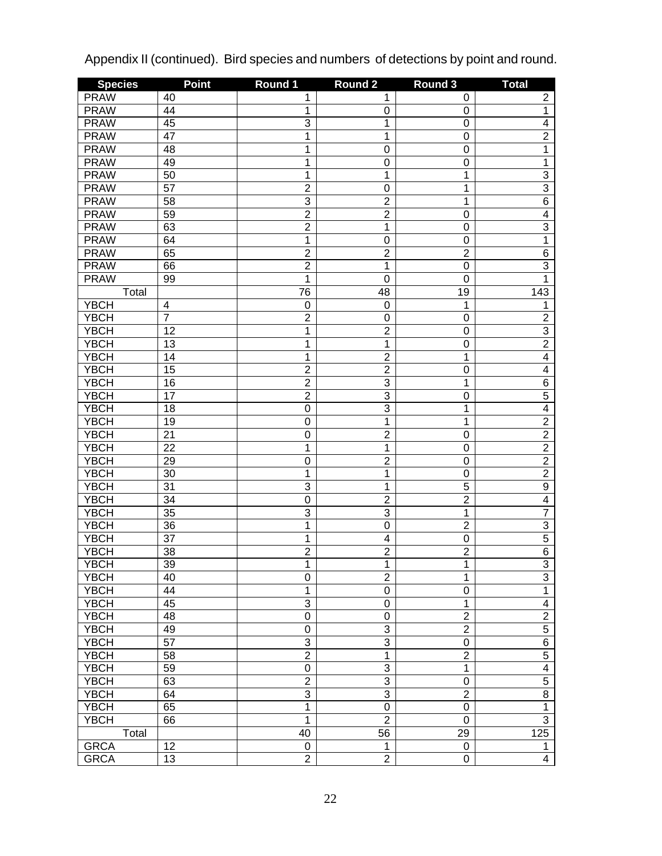| <b>Species</b> | <b>Point</b>   | Round 1                 | Round <sub>2</sub> | Round 3          | <b>Total</b>            |
|----------------|----------------|-------------------------|--------------------|------------------|-------------------------|
| <b>PRAW</b>    | 40             | 1                       | 1                  | 0                | $\overline{c}$          |
| <b>PRAW</b>    | 44             | 1                       | 0                  | $\boldsymbol{0}$ | $\overline{1}$          |
| <b>PRAW</b>    | 45             | $\overline{3}$          | 1                  | $\mathbf 0$      | $\overline{4}$          |
| <b>PRAW</b>    | 47             | $\overline{\mathbf{1}}$ | 1                  | $\mathbf 0$      | $\overline{2}$          |
| <b>PRAW</b>    | 48             | $\overline{\mathbf{1}}$ | $\mathbf 0$        | $\boldsymbol{0}$ | $\overline{1}$          |
| <b>PRAW</b>    | 49             | $\overline{\mathbf{1}}$ | $\mathbf 0$        | $\boldsymbol{0}$ | 1                       |
| <b>PRAW</b>    | 50             | $\overline{1}$          | 1                  | 1                |                         |
| <b>PRAW</b>    | 57             | $\overline{2}$          | $\mathbf 0$        | 1                | $\frac{3}{3}$           |
| <b>PRAW</b>    | 58             | $\overline{3}$          | $\overline{2}$     | 1                | $\overline{6}$          |
| <b>PRAW</b>    | 59             | $\overline{2}$          | $\overline{2}$     | $\boldsymbol{0}$ | $\overline{4}$          |
| <b>PRAW</b>    | 63             | $\overline{2}$          | 1                  | $\boldsymbol{0}$ | $\overline{3}$          |
| <b>PRAW</b>    | 64             | $\overline{1}$          | $\mathbf 0$        | $\mathbf 0$      | $\overline{1}$          |
| <b>PRAW</b>    | 65             | $\overline{2}$          | $\overline{2}$     | $\overline{2}$   | $\overline{6}$          |
| <b>PRAW</b>    | 66             | $\overline{2}$          | 1                  | $\boldsymbol{0}$ | $\overline{3}$          |
| <b>PRAW</b>    | 99             | 1                       | $\mathbf 0$        | $\mathbf 0$      | $\overline{1}$          |
| Total          |                | 76                      | 48                 | 19               | 143                     |
| <b>YBCH</b>    | 4              | $\boldsymbol{0}$        | $\mathbf 0$        | 1                | 1                       |
| <b>YBCH</b>    | $\overline{7}$ | $\overline{2}$          | $\mathbf 0$        | $\boldsymbol{0}$ | $\overline{2}$          |
| <b>YBCH</b>    | 12             | $\mathbf 1$             | $\overline{2}$     | $\boldsymbol{0}$ |                         |
| <b>YBCH</b>    | 13             | $\overline{1}$          | 1                  | $\boldsymbol{0}$ | $\frac{3}{2}$           |
| <b>YBCH</b>    | 14             | $\overline{1}$          | $\overline{2}$     | 1                | $\overline{4}$          |
| <b>YBCH</b>    | 15             | $\overline{2}$          | $\overline{2}$     | $\boldsymbol{0}$ | $\overline{4}$          |
| <b>YBCH</b>    | 16             | $\overline{2}$          | 3                  | 1                | $\overline{6}$          |
| <b>YBCH</b>    | 17             | $\overline{2}$          | $\overline{3}$     | $\boldsymbol{0}$ | $\overline{5}$          |
| <b>YBCH</b>    | 18             | $\overline{0}$          | $\overline{3}$     | 1                | $\overline{4}$          |
| <b>YBCH</b>    | 19             | 0                       | 1                  | 1                | $\overline{2}$          |
| <b>YBCH</b>    | 21             | $\mathbf 0$             | $\overline{2}$     | $\boldsymbol{0}$ | $\overline{2}$          |
| <b>YBCH</b>    | 22             | 1                       | 1                  | $\mathbf 0$      | $\overline{2}$          |
| <b>YBCH</b>    | 29             | $\mathbf 0$             | $\overline{2}$     | $\mathbf 0$      | $\overline{2}$          |
| <b>YBCH</b>    | 30             | 1                       | 1                  | $\mathbf 0$      | $\overline{2}$          |
| <b>YBCH</b>    | 31             | 3                       | 1                  | 5                | $\overline{9}$          |
| <b>YBCH</b>    | 34             | $\overline{0}$          | $\overline{2}$     | $\overline{2}$   | $\overline{4}$          |
| <b>YBCH</b>    | 35             | 3                       | 3                  | $\mathbf 1$      | $\overline{7}$          |
| <b>YBCH</b>    | 36             | $\overline{\mathbf{1}}$ | $\mathbf 0$        | $\overline{2}$   | $\overline{3}$          |
| <b>YBCH</b>    | 37             | $\mathbf 1$             | 4                  | $\boldsymbol{0}$ | $\overline{5}$          |
| <b>YBCH</b>    | 38             | $\overline{2}$          | $\overline{2}$     | $\overline{2}$   | $\overline{6}$          |
| YBCH           | 39             | 1                       | 1                  | 1                | 3                       |
| <b>YBCH</b>    | 40             | 0                       | $\overline{2}$     | 1                | $\overline{3}$          |
| <b>YBCH</b>    | 44             | 1                       | 0                  | $\boldsymbol{0}$ | $\overline{1}$          |
| <b>YBCH</b>    | 45             | 3                       | $\boldsymbol{0}$   | 1                | $\overline{\mathbf{4}}$ |
| <b>YBCH</b>    | 48             | $\overline{0}$          | $\boldsymbol{0}$   | $\overline{2}$   | $\overline{2}$          |
| <b>YBCH</b>    | 49             | $\mathbf 0$             | 3                  | $\overline{2}$   | $\overline{5}$          |
| <b>YBCH</b>    | 57             | 3                       | 3                  | $\pmb{0}$        | $6\overline{6}$         |
| <b>YBCH</b>    | 58             | $\overline{2}$          | 1                  | $\overline{2}$   | $\overline{5}$          |
| <b>YBCH</b>    | 59             | $\mathbf 0$             | 3                  | $\mathbf{1}$     | $\overline{4}$          |
| <b>YBCH</b>    | 63             | $\overline{2}$          | 3                  | $\pmb{0}$        | $\overline{5}$          |
| <b>YBCH</b>    | 64             | 3                       | 3                  | $\overline{2}$   | $\overline{8}$          |
| <b>YBCH</b>    | 65             | $\mathbf 1$             | $\boldsymbol{0}$   | $\boldsymbol{0}$ | $\overline{1}$          |
| <b>YBCH</b>    | 66             | $\overline{1}$          | $\overline{2}$     | $\mathbf 0$      | $\overline{3}$          |
| Total          |                | 40                      | 56                 | 29               | 125                     |
| <b>GRCA</b>    | 12             | $\pmb{0}$               | 1                  | 0                | 1                       |
| <b>GRCA</b>    | 13             | $\overline{2}$          | $\overline{2}$     | $\pmb{0}$        | $\overline{4}$          |
|                |                |                         |                    |                  |                         |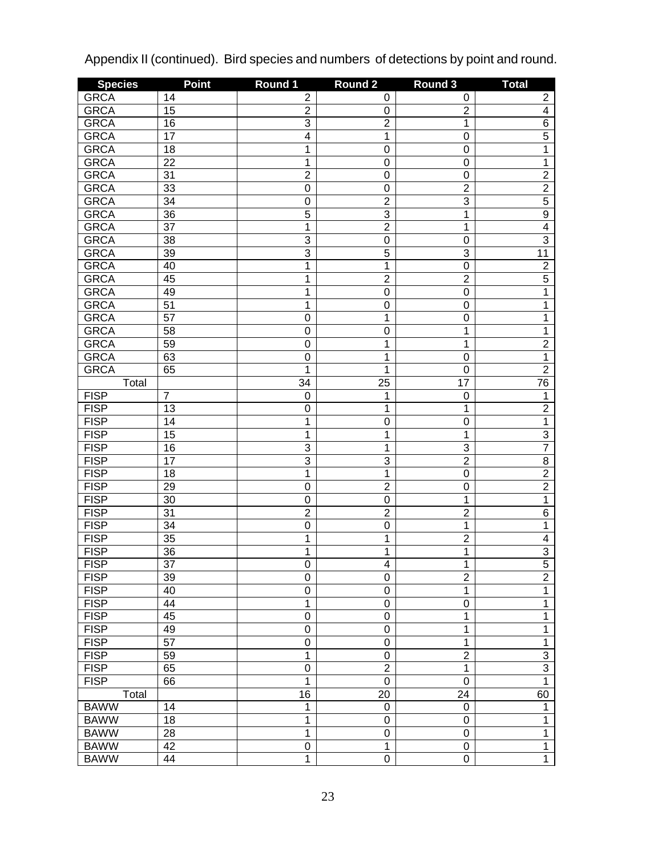| <b>Species</b> | <b>Point</b>          | Round 1         | Round <sub>2</sub> | Round 3          | <b>Total</b>                     |
|----------------|-----------------------|-----------------|--------------------|------------------|----------------------------------|
| <b>GRCA</b>    | 14                    | 2               | 0                  | 0                | $\overline{\mathbf{c}}$          |
| <b>GRCA</b>    | 15                    | $\overline{c}$  | 0                  | $\overline{2}$   | $\overline{4}$                   |
| <b>GRCA</b>    | 16                    | $\overline{3}$  | $\overline{2}$     | $\mathbf 1$      | $\overline{6}$                   |
| <b>GRCA</b>    | $\overline{17}$       | $\overline{4}$  | 1                  | $\boldsymbol{0}$ | $\overline{5}$                   |
| <b>GRCA</b>    | 18                    | 1               | $\mathbf 0$        | $\boldsymbol{0}$ | 1                                |
| <b>GRCA</b>    | $\overline{22}$       | $\overline{1}$  | $\mathbf 0$        | $\boldsymbol{0}$ | 1                                |
| <b>GRCA</b>    | $\overline{31}$       | $\overline{2}$  | $\mathbf 0$        | $\boldsymbol{0}$ | $\overline{2}$                   |
| <b>GRCA</b>    | 33                    | $\mathbf 0$     | $\mathbf 0$        | $\overline{2}$   | $\overline{2}$                   |
| <b>GRCA</b>    | 34                    | $\mathbf 0$     | $\overline{2}$     | $\overline{3}$   | $\overline{5}$                   |
| <b>GRCA</b>    | $\overline{36}$       | $\overline{5}$  | $\overline{3}$     | $\mathbf 1$      | $\overline{9}$                   |
| <b>GRCA</b>    | $\overline{37}$       | $\overline{1}$  | $\overline{2}$     | 1                | $\overline{4}$                   |
| <b>GRCA</b>    | $\overline{38}$       | $\overline{3}$  | $\mathbf 0$        | $\mathbf 0$      | $\overline{3}$                   |
| <b>GRCA</b>    | $\overline{39}$       | $\overline{3}$  | $\overline{5}$     | $\overline{3}$   | $\overline{11}$                  |
| <b>GRCA</b>    | 40                    | $\overline{1}$  | 1                  | $\mathbf 0$      | $\overline{2}$                   |
| <b>GRCA</b>    | 45                    | $\overline{1}$  | $\overline{2}$     | $\overline{2}$   | $\overline{5}$                   |
| <b>GRCA</b>    | 49                    | $\overline{1}$  | $\mathbf 0$        | $\mathbf 0$      | 1                                |
| <b>GRCA</b>    | $\overline{51}$       | $\overline{1}$  | $\mathbf 0$        | $\boldsymbol{0}$ | 1                                |
| <b>GRCA</b>    | $\overline{57}$       | $\mathbf 0$     | 1                  | $\mathbf 0$      | 1                                |
| <b>GRCA</b>    | $\overline{58}$       | $\mathbf 0$     | $\mathbf 0$        | $\mathbf 1$      | 1                                |
| <b>GRCA</b>    | 59                    | $\mathbf 0$     | 1                  | 1                | $\overline{2}$                   |
| <b>GRCA</b>    | 63                    | $\mathbf 0$     | 1                  | $\boldsymbol{0}$ | 1                                |
| <b>GRCA</b>    | 65                    | $\overline{1}$  | $\overline{1}$     | $\mathbf 0$      | $\overline{2}$                   |
| Total          |                       | $\overline{34}$ | $\overline{25}$    | $\overline{17}$  | 76                               |
|                | $\overline{7}$        |                 |                    |                  |                                  |
| <b>FISP</b>    |                       | 0               | 1<br>1             | $\mathbf 0$<br>1 | 1                                |
| <b>FISP</b>    | 13<br>$\overline{14}$ | 0<br>1          |                    |                  | $\overline{2}$                   |
| <b>FISP</b>    |                       |                 | $\mathbf 0$        | $\mathbf 0$      | 1                                |
| <b>FISP</b>    | $\overline{15}$       | 1               | 1                  | 1                | $\overline{3}$<br>$\overline{7}$ |
| <b>FISP</b>    | 16                    | 3               | 1                  | $\overline{3}$   |                                  |
| <b>FISP</b>    | $\overline{17}$       | $\overline{3}$  | $\overline{3}$     | $\overline{2}$   | $\overline{8}$                   |
| <b>FISP</b>    | 18                    | $\overline{1}$  | $\overline{1}$     | $\mathbf 0$      | $\overline{2}$                   |
| <b>FISP</b>    | 29                    | $\overline{0}$  | $\overline{2}$     | $\mathbf 0$      | $\overline{2}$                   |
| <b>FISP</b>    | $\overline{30}$       | 0               | $\mathbf 0$        | 1                | 1                                |
| <b>FISP</b>    | $\overline{31}$       | $\overline{2}$  | $\overline{2}$     | $\overline{2}$   | $\overline{6}$                   |
| <b>FISP</b>    | $\overline{34}$       | $\overline{0}$  | $\overline{0}$     | $\mathbf 1$      | 1                                |
| <b>FISP</b>    | $\overline{35}$       | $\overline{1}$  | 1                  | $\overline{2}$   | $\overline{4}$                   |
| <b>FISP</b>    | $\overline{36}$       | $\overline{1}$  | 1                  | $\mathbf 1$      | $\overline{3}$                   |
| <b>FISP</b>    | $\overline{37}$       | $\overline{0}$  | $\overline{4}$     | 1                | $\overline{5}$                   |
| <b>FISP</b>    | 39                    | $\overline{0}$  | $\mathbf 0$        | $\overline{2}$   | $\overline{2}$                   |
| <b>FISP</b>    | 40                    | 0               | 0                  | 1                | $\overline{1}$                   |
| <b>FISP</b>    | 44                    | $\overline{1}$  | $\mathbf 0$        | $\mathbf 0$      | $\overline{1}$                   |
| <b>FISP</b>    | 45                    | $\overline{0}$  | $\mathbf 0$        | $\mathbf 1$      | 1                                |
| <b>FISP</b>    | 49                    | $\overline{0}$  | $\mathbf 0$        | 1                | 1                                |
| <b>FISP</b>    | $\overline{57}$       | $\overline{0}$  | $\mathbf 0$        | 1                | 1                                |
| <b>FISP</b>    | 59                    | $\overline{1}$  | $\mathbf 0$        | $\overline{2}$   | $\overline{3}$                   |
| <b>FISP</b>    | 65                    | $\overline{0}$  | $\overline{2}$     | $\mathbf 1$      | $\overline{3}$                   |
| <b>FISP</b>    | 66                    | $\overline{1}$  | $\mathbf 0$        | $\mathbf 0$      | $\overline{1}$                   |
| Total          |                       | $\overline{16}$ | $\overline{20}$    | 24               | 60                               |
| <b>BAWW</b>    | 14                    | 1               | 0                  | $\pmb{0}$        | 1                                |
| <b>BAWW</b>    | 18                    | 1               | 0                  | $\boldsymbol{0}$ | $\mathbf{1}$                     |
| <b>BAWW</b>    | 28                    | 1               | $\mathbf 0$        | $\mathbf 0$      | $\overline{1}$                   |
| <b>BAWW</b>    | 42                    | 0               | 1                  | $\pmb{0}$        | $\overline{1}$                   |
| <b>BAWW</b>    | 44                    | $\overline{1}$  | $\overline{0}$     | $\overline{0}$   | $\overline{1}$                   |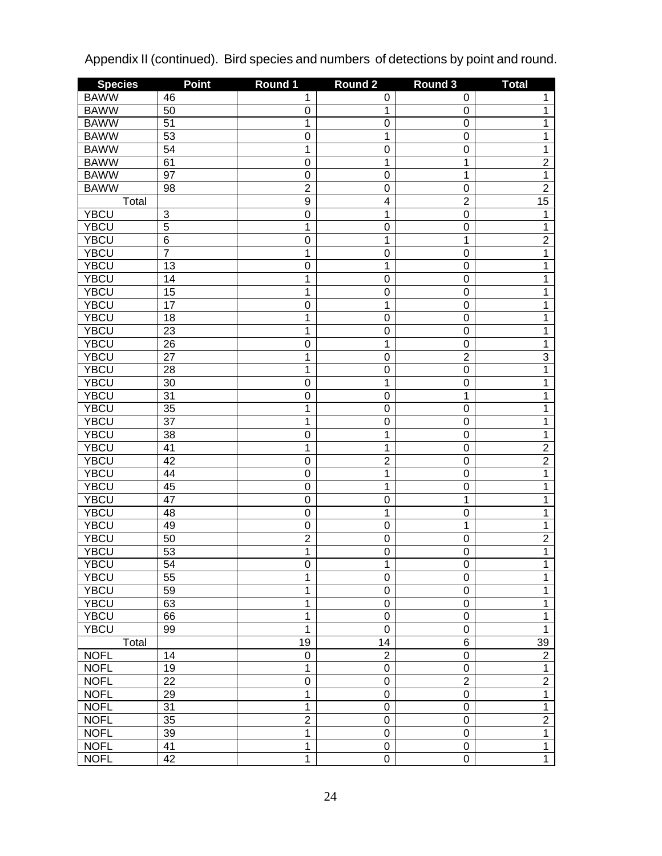| <b>Species</b> | <b>Point</b>   | Round 1          | Round <sub>2</sub> | Round 3          | <b>Total</b>    |
|----------------|----------------|------------------|--------------------|------------------|-----------------|
| <b>BAWW</b>    | 46             | 1                | 0                  | 0                | 1               |
| <b>BAWW</b>    | 50             | $\boldsymbol{0}$ | 1                  | $\mathbf 0$      | 1               |
| <b>BAWW</b>    | 51             | 1                | $\boldsymbol{0}$   | $\mathbf 0$      | 1               |
| <b>BAWW</b>    | 53             | $\mathbf 0$      | 1                  | $\mathbf 0$      | 1               |
| <b>BAWW</b>    | 54             | 1                | $\boldsymbol{0}$   | $\mathbf 0$      | 1               |
| <b>BAWW</b>    | 61             | $\mathbf 0$      | 1                  | 1                | $\overline{2}$  |
| <b>BAWW</b>    | 97             | $\mathbf 0$      | $\boldsymbol{0}$   | 1                | $\overline{1}$  |
| <b>BAWW</b>    | 98             | $\overline{2}$   | $\boldsymbol{0}$   | $\mathbf 0$      | $\overline{2}$  |
| Total          |                | $\overline{9}$   | 4                  | $\overline{2}$   | $\overline{15}$ |
| <b>YBCU</b>    | 3              | $\overline{0}$   | 1                  | $\mathbf 0$      | 1               |
| <b>YBCU</b>    | $\overline{5}$ | 1                | $\boldsymbol{0}$   | $\mathbf 0$      | 1               |
| <b>YBCU</b>    | $\overline{6}$ | $\mathbf 0$      | 1                  | 1                | $\overline{2}$  |
| <b>YBCU</b>    | 7              | 1                | $\boldsymbol{0}$   | $\boldsymbol{0}$ | 1               |
| <b>YBCU</b>    | 13             | $\mathbf 0$      | 1                  | $\mathbf 0$      | 1               |
| <b>YBCU</b>    | 14             | 1                | $\boldsymbol{0}$   | $\mathbf 0$      | 1               |
| <b>YBCU</b>    | 15             | 1                | $\boldsymbol{0}$   | $\mathbf 0$      | 1               |
| <b>YBCU</b>    | 17             | $\mathbf 0$      | 1                  | $\mathbf 0$      | 1               |
| <b>YBCU</b>    | 18             | 1                | $\boldsymbol{0}$   | $\mathbf 0$      | 1               |
| <b>YBCU</b>    | 23             | 1                | $\boldsymbol{0}$   | $\mathbf 0$      | 1               |
| <b>YBCU</b>    | 26             | $\mathbf 0$      | 1                  | $\mathbf 0$      | 1               |
| <b>YBCU</b>    | 27             | 1                | $\boldsymbol{0}$   | $\overline{2}$   | 3               |
| <b>YBCU</b>    | 28             | 1                | $\boldsymbol{0}$   | $\mathbf 0$      | $\overline{1}$  |
| <b>YBCU</b>    | 30             | $\mathbf 0$      | 1                  | $\mathbf 0$      | 1               |
| <b>YBCU</b>    | 31             | $\mathbf 0$      | $\boldsymbol{0}$   | 1                | 1               |
| <b>YBCU</b>    | 35             | 1                | $\boldsymbol{0}$   | $\mathbf 0$      | 1               |
| <b>YBCU</b>    | 37             | 1                | $\boldsymbol{0}$   | $\mathbf 0$      | 1               |
| <b>YBCU</b>    | 38             | $\mathbf 0$      | 1                  | $\mathbf 0$      | 1               |
| <b>YBCU</b>    | 41             | 1                | 1                  | $\mathbf 0$      | $\overline{2}$  |
| <b>YBCU</b>    | 42             | $\mathbf 0$      | $\overline{2}$     | $\mathbf 0$      | $\overline{2}$  |
| <b>YBCU</b>    | 44             | $\mathbf 0$      | 1                  | $\mathbf 0$      | 1               |
| <b>YBCU</b>    | 45             | $\mathbf 0$      | 1                  | $\mathbf 0$      | 1               |
| <b>YBCU</b>    | 47             | $\mathbf 0$      | $\mathbf 0$        | 1                | 1               |
| <b>YBCU</b>    | 48             | $\mathbf 0$      | 1                  | $\mathbf 0$      | 1               |
| <b>YBCU</b>    | 49             | $\boldsymbol{0}$ | $\mathbf 0$        | 1                | 1               |
| <b>YBCU</b>    | 50             | $\overline{2}$   | $\boldsymbol{0}$   | $\mathbf 0$      | $\overline{2}$  |
| <b>YBCU</b>    | 53             | 1                | $\mathbf 0$        | $\mathbf 0$      | 1               |
| <b>YBCU</b>    | 54             | 0                | 1                  | 0                | 1               |
| <b>YBCU</b>    | 55             | 1                | $\boldsymbol{0}$   | $\mathbf 0$      | $\overline{1}$  |
| <b>YBCU</b>    | 59             | $\mathbf 1$      | $\boldsymbol{0}$   | $\boldsymbol{0}$ | $\overline{1}$  |
| <b>YBCU</b>    | 63             | $\mathbf 1$      | $\boldsymbol{0}$   | $\boldsymbol{0}$ | $\overline{1}$  |
| <b>YBCU</b>    | 66             | $\mathbf 1$      | $\boldsymbol{0}$   | $\boldsymbol{0}$ | $\overline{1}$  |
| <b>YBCU</b>    | 99             | $\overline{1}$   | $\mathbf 0$        | $\boldsymbol{0}$ | $\overline{1}$  |
| Total          |                | 19               | 14                 | $\,6$            | 39              |
| <b>NOFL</b>    | 14             | $\boldsymbol{0}$ | $\overline{c}$     | $\mathbf 0$      | $\overline{2}$  |
| <b>NOFL</b>    | 19             | $\mathbf{1}$     | $\pmb{0}$          | $\boldsymbol{0}$ | $\overline{1}$  |
| <b>NOFL</b>    | 22             | $\mathbf 0$      | $\pmb{0}$          | $\overline{2}$   | $\overline{2}$  |
| <b>NOFL</b>    | 29             | $\overline{1}$   | $\mathbf 0$        | $\pmb{0}$        | $\overline{1}$  |
| <b>NOFL</b>    | 31             | $\overline{1}$   | $\mathbf 0$        | $\boldsymbol{0}$ | $\overline{1}$  |
| <b>NOFL</b>    | 35             | $\overline{2}$   | $\boldsymbol{0}$   | $\boldsymbol{0}$ | $\overline{2}$  |
| <b>NOFL</b>    | 39             | $\overline{1}$   | $\pmb{0}$          | $\boldsymbol{0}$ | $\overline{1}$  |
| <b>NOFL</b>    | 41             | $\overline{1}$   | $\pmb{0}$          | $\pmb{0}$        | $\overline{1}$  |
| <b>NOFL</b>    | 42             | $\overline{1}$   | $\overline{0}$     | $\overline{0}$   | $\overline{1}$  |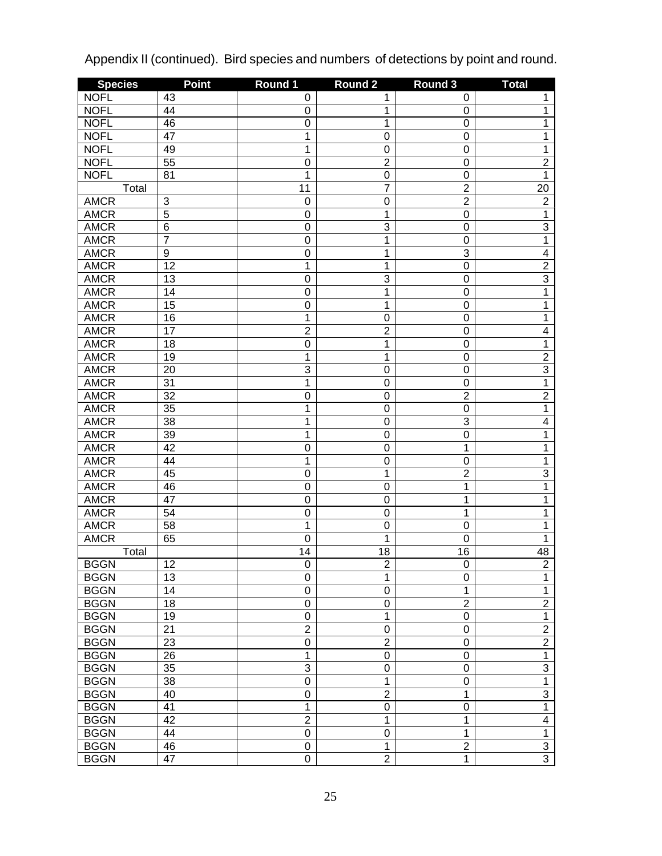| <b>Species</b>       | <b>Point</b>    | Round 1         | <b>Round 2</b>               | Round 3             | <b>Total</b>                            |
|----------------------|-----------------|-----------------|------------------------------|---------------------|-----------------------------------------|
| <b>NOFL</b>          | 43              | 0               | 1                            | 0                   | 1                                       |
| <b>NOFL</b>          | 44              | 0               | 1                            | $\pmb{0}$           | 1                                       |
| <b>NOFL</b>          | 46              | 0               | 1                            | $\mathbf 0$         | 1                                       |
| <b>NOFL</b>          | 47              | 1               | $\mathbf 0$                  | $\mathbf 0$         | 1                                       |
| <b>NOFL</b>          | 49              | 1               | $\mathbf 0$                  | $\mathbf 0$         | 1                                       |
| <b>NOFL</b>          | $\overline{55}$ | 0               | $\overline{2}$               | $\mathbf 0$         | $\overline{2}$                          |
| <b>NOFL</b>          | 81              | 1               | $\mathbf 0$                  | $\mathbf 0$         | 1                                       |
| Total                |                 | $\overline{11}$ | $\overline{7}$               | $\overline{2}$      | 20                                      |
| <b>AMCR</b>          | 3               | $\mathbf 0$     | $\mathbf 0$                  | $\overline{2}$      | $\overline{2}$                          |
| <b>AMCR</b>          | $\overline{5}$  | 0               | 1                            | $\boldsymbol{0}$    | 1                                       |
| <b>AMCR</b>          | $\overline{6}$  | 0               | 3                            | $\mathbf 0$         | $\overline{3}$                          |
| <b>AMCR</b>          | $\overline{7}$  | 0               | 1                            | $\mathbf 0$         | $\overline{1}$                          |
| <b>AMCR</b>          | $\overline{9}$  | 0               | 1                            | 3                   | $\overline{\mathbf{4}}$                 |
| <b>AMCR</b>          | $\overline{12}$ | 1               | 1                            | $\mathbf 0$         | $\overline{2}$                          |
| <b>AMCR</b>          | 13              | 0               | 3                            | $\mathbf 0$         | $\overline{3}$                          |
| <b>AMCR</b>          | 14              | 0               | 1                            | $\mathbf 0$         | 1                                       |
| <b>AMCR</b>          | 15              | 0               | 1                            | $\mathbf 0$         | 1                                       |
| <b>AMCR</b>          | 16              | 1               | $\mathbf 0$                  | $\mathbf 0$         | 1                                       |
| <b>AMCR</b>          | 17              | $\overline{2}$  | $\overline{2}$               | $\mathbf 0$         | 4                                       |
| <b>AMCR</b>          | 18              | 0               | 1                            | $\mathbf 0$         | 1                                       |
| <b>AMCR</b>          | 19              | 1               | 1                            | $\mathbf 0$         | $\overline{2}$                          |
| <b>AMCR</b>          | 20              | 3               | $\mathbf 0$                  | $\mathbf 0$         | $\overline{3}$                          |
| <b>AMCR</b>          | 31              | 1               | $\mathbf 0$                  | $\mathbf 0$         | 1                                       |
| <b>AMCR</b>          | $\overline{32}$ | 0               | $\mathbf 0$                  | $\overline{2}$      | $\overline{2}$                          |
| <b>AMCR</b>          | 35              | 1               | $\mathbf 0$                  | $\mathbf 0$         | 1                                       |
| <b>AMCR</b>          | 38              | 1               | $\mathbf 0$                  | 3                   | $\overline{\mathbf{4}}$                 |
| <b>AMCR</b>          | 39              | 1               | $\mathbf 0$                  | $\mathbf 0$         | 1                                       |
| <b>AMCR</b>          | 42              | 0               | $\mathbf 0$                  | 1                   | 1                                       |
| <b>AMCR</b>          | 44              | 1               | $\mathbf 0$                  | $\mathbf 0$         | 1                                       |
| <b>AMCR</b>          | 45              | 0               | 1                            | $\overline{2}$      | 3                                       |
| <b>AMCR</b>          | 46              | 0               | $\mathbf 0$                  | 1                   | 1                                       |
| <b>AMCR</b>          | 47              | 0               | $\mathbf 0$                  | 1                   | 1                                       |
| <b>AMCR</b>          | 54              | 0               | $\mathbf 0$                  | 1                   | 1                                       |
| <b>AMCR</b>          | 58              | 1               | $\mathbf 0$                  | $\mathbf 0$         | 1                                       |
| <b>AMCR</b>          | 65              | 0               | 1                            | $\mathbf 0$         | 1                                       |
|                      |                 | 14              | 18                           | 16                  |                                         |
| Total<br><b>BGGN</b> | 12              | 0               |                              |                     | 48                                      |
| <b>BGGN</b>          | 13              | 0               | $\overline{\mathbf{c}}$<br>1 | 0<br>0              | $\overline{\mathbf{c}}$<br>$\mathbf{1}$ |
| <b>BGGN</b>          | 14              | 0               | $\mathbf 0$                  |                     | $\mathbf{1}$                            |
| <b>BGGN</b>          | 18              | 0               | $\mathbf 0$                  | 1<br>$\overline{2}$ | $\overline{2}$                          |
| <b>BGGN</b>          | 19              | 0               |                              |                     | $\mathbf{1}$                            |
| <b>BGGN</b>          | 21              | $\overline{2}$  | 1<br>$\mathbf 0$             | $\pmb{0}$           | $\overline{2}$                          |
| <b>BGGN</b>          | 23              |                 | $\overline{2}$               | 0                   | $\overline{2}$                          |
|                      |                 | 0               |                              | 0                   |                                         |
| <b>BGGN</b>          | 26              | $\mathbf{1}$    | 0                            | 0                   | $\mathbf{1}$                            |
| <b>BGGN</b>          | 35              | 3               | $\mathbf 0$                  | 0                   | $\overline{3}$                          |
| <b>BGGN</b>          | 38              | 0               | 1                            | 0                   | $\overline{1}$                          |
| <b>BGGN</b>          | 40              | 0               | $\overline{2}$               | 1                   | $\overline{3}$                          |
| <b>BGGN</b>          | 41              | $\mathbf{1}$    | 0                            | 0                   | $\overline{1}$                          |
| <b>BGGN</b>          | 42              | $\overline{2}$  | 1                            | 1                   | 4                                       |
| <b>BGGN</b>          | 44              | 0               | $\mathbf 0$                  | 1                   | $\mathbf{1}$                            |
| <b>BGGN</b>          | 46              | 0               | 1                            | $\overline{2}$      | $\overline{3}$                          |
| <b>BGGN</b>          | 47              | 0               | $\overline{2}$               | $\mathbf 1$         | $\overline{3}$                          |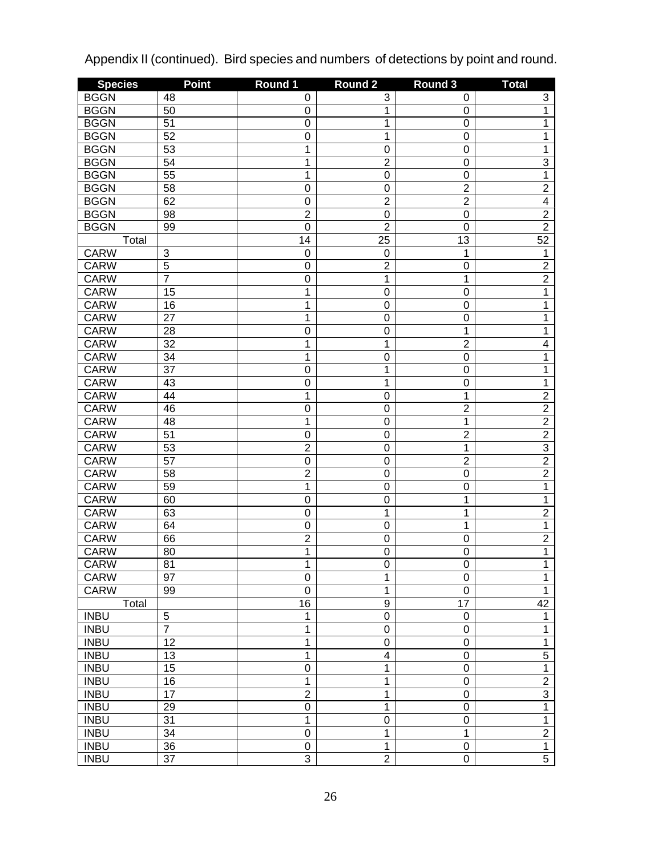| <b>Species</b> | <b>Point</b>    | Round 1         | Round 2          | Round 3         | <b>Total</b>   |
|----------------|-----------------|-----------------|------------------|-----------------|----------------|
| <b>BGGN</b>    | 48              | 0               | 3                | 0               | 3              |
| <b>BGGN</b>    | 50              | 0               | 1                | $\pmb{0}$       | 1              |
| <b>BGGN</b>    | $\overline{51}$ | 0               | 1                | $\mathbf 0$     | 1              |
| <b>BGGN</b>    | 52              | 0               | 1                | $\mathbf 0$     | 1              |
| <b>BGGN</b>    | $\overline{53}$ | 1               | $\mathbf 0$      | $\mathbf 0$     | 1              |
| <b>BGGN</b>    | 54              | 1               | $\overline{2}$   | $\mathbf 0$     | $\overline{3}$ |
| <b>BGGN</b>    | 55              | 1               | $\mathbf 0$      | $\mathbf 0$     | $\overline{1}$ |
| <b>BGGN</b>    | $\overline{58}$ | 0               | $\boldsymbol{0}$ | $\overline{2}$  | $\overline{2}$ |
| <b>BGGN</b>    | 62              | 0               | $\overline{2}$   | $\overline{2}$  | $\overline{4}$ |
| <b>BGGN</b>    | 98              | $\overline{2}$  | $\mathbf 0$      | $\mathbf 0$     | $\overline{2}$ |
| <b>BGGN</b>    | 99              | 0               | $\overline{2}$   | $\mathbf 0$     | $\overline{2}$ |
| Total          |                 | 14              | $\overline{25}$  | 13              | 52             |
| <b>CARW</b>    | $\overline{3}$  | $\mathbf 0$     | 0                | 1               | 1              |
| <b>CARW</b>    | $\overline{5}$  | 0               | $\overline{2}$   | $\mathbf 0$     | $\overline{2}$ |
| <b>CARW</b>    | 7               | 0               | 1                | 1               | $\overline{2}$ |
| <b>CARW</b>    | 15              | 1               | $\mathbf 0$      | $\mathbf 0$     | 1              |
| <b>CARW</b>    | 16              | 1               | $\mathbf 0$      | $\mathbf 0$     | 1              |
| <b>CARW</b>    | $\overline{27}$ | 1               | $\mathbf 0$      | $\mathbf 0$     | 1              |
| <b>CARW</b>    | 28              | 0               | $\mathbf 0$      | 1               | 1              |
| <b>CARW</b>    | $\overline{32}$ | 1               | 1                | $\overline{2}$  | $\overline{4}$ |
| <b>CARW</b>    | $\overline{34}$ | 1               | $\mathbf 0$      | $\mathbf 0$     | 1              |
| <b>CARW</b>    | $\overline{37}$ | 0               | 1                | $\mathbf 0$     | 1              |
| <b>CARW</b>    | 43              | 0               | 1                | $\mathbf 0$     | 1              |
| <b>CARW</b>    | 44              | 1               | $\mathbf 0$      | $\mathbf 1$     | $\overline{2}$ |
| <b>CARW</b>    | 46              | 0               | $\mathbf 0$      | $\overline{2}$  | $\overline{2}$ |
| <b>CARW</b>    | 48              | 1               | $\mathbf 0$      | $\mathbf 1$     | $\overline{2}$ |
| <b>CARW</b>    | $\overline{51}$ | 0               | $\mathbf 0$      | $\overline{2}$  | $\overline{2}$ |
| <b>CARW</b>    | $\overline{53}$ | $\overline{2}$  | $\mathbf 0$      | $\mathbf 1$     | $\overline{3}$ |
| <b>CARW</b>    | $\overline{57}$ | 0               | $\mathbf 0$      | $\overline{2}$  | $\overline{2}$ |
| <b>CARW</b>    | 58              | $\overline{2}$  | $\mathbf 0$      | $\mathbf 0$     | $\overline{2}$ |
| <b>CARW</b>    | $\overline{59}$ | 1               | $\mathbf 0$      | $\mathbf 0$     | 1              |
| <b>CARW</b>    | 60              | 0               | $\mathbf 0$      | $\mathbf 1$     | 1              |
| <b>CARW</b>    | 63              | 0               | 1                | 1               | $\overline{2}$ |
| <b>CARW</b>    | 64              | 0               | $\mathbf 0$      | 1               | 1              |
| <b>CARW</b>    | 66              | $\overline{2}$  | $\mathbf 0$      | $\mathbf 0$     | $\overline{2}$ |
| <b>CARW</b>    | 80              | 1               | 0                | $\mathbf 0$     | 1              |
| <b>CARW</b>    | 81              | 1               | $\overline{0}$   | O               | 1              |
| <b>CARW</b>    | 97              | 0               | 1                | $\mathbf 0$     | 1              |
| <b>CARW</b>    | 99              | $\mathbf 0$     | 1                | $\mathbf 0$     | $\mathbf{1}$   |
| Total          |                 | $\overline{16}$ | $\boldsymbol{9}$ | $\overline{17}$ | 42             |
| <b>INBU</b>    | $\mathbf 5$     | 1               | $\mathbf 0$      | $\pmb{0}$       | $\mathbf{1}$   |
| <b>INBU</b>    | $\overline{7}$  | 1               | $\mathbf 0$      | $\mathbf 0$     | $\mathbf{1}$   |
| <b>INBU</b>    | $\overline{12}$ | 1               | $\mathbf 0$      | $\mathbf 0$     | $\overline{1}$ |
| <b>INBU</b>    | 13              | $\overline{1}$  | $\overline{4}$   | $\pmb{0}$       | $\overline{5}$ |
| <b>INBU</b>    | 15              | $\overline{0}$  | 1                | $\pmb{0}$       | $\overline{1}$ |
| <b>INBU</b>    | 16              | $\overline{1}$  | 1                | $\pmb{0}$       | $\overline{2}$ |
| <b>INBU</b>    | $\overline{17}$ | $\overline{2}$  | 1                | $\pmb{0}$       | $\overline{3}$ |
| <b>INBU</b>    | 29              | $\overline{0}$  | 1                | $\mathbf 0$     | $\overline{1}$ |
| <b>INBU</b>    | $\overline{31}$ | $\overline{1}$  | $\mathbf 0$      | $\mathbf 0$     | $\overline{1}$ |
| <b>INBU</b>    | $\overline{34}$ | $\overline{0}$  | 1                | $\mathbf 1$     | $\overline{2}$ |
| <b>INBU</b>    | $\overline{36}$ | 0               | 1                | $\pmb{0}$       | $\overline{1}$ |
| <b>INBU</b>    | $\overline{37}$ | $\overline{3}$  | $\overline{2}$   | $\overline{0}$  | $\overline{5}$ |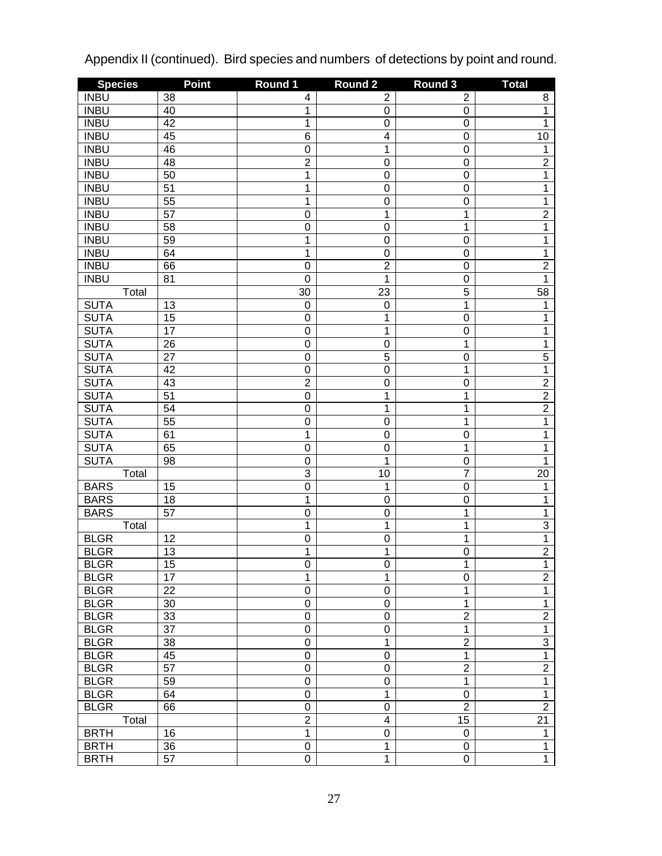| <b>Species</b> | <b>Point</b>    | Round 1         | <b>Round 2</b>   | Round 3          | <b>Total</b>    |
|----------------|-----------------|-----------------|------------------|------------------|-----------------|
| <b>INBU</b>    | 38              | 4               | $\overline{c}$   | $\overline{2}$   | 8               |
| <b>INBU</b>    | 40              | 1               | 0                | $\boldsymbol{0}$ | 1               |
| <b>INBU</b>    | 42              | 1               | $\mathbf 0$      | $\boldsymbol{0}$ | 1               |
| <b>INBU</b>    | 45              | $\overline{6}$  | $\overline{4}$   | $\boldsymbol{0}$ | 10              |
| <b>INBU</b>    | 46              | $\mathbf 0$     | 1                | $\boldsymbol{0}$ | 1               |
| <b>INBU</b>    | 48              | $\overline{2}$  | $\mathbf 0$      | $\boldsymbol{0}$ | $\overline{2}$  |
| <b>INBU</b>    | 50              | 1               | $\mathbf 0$      | $\boldsymbol{0}$ | 1               |
| <b>INBU</b>    | 51              | $\overline{1}$  | $\mathbf 0$      | $\boldsymbol{0}$ | 1               |
| <b>INBU</b>    | $\overline{55}$ | $\overline{1}$  | $\mathbf 0$      | $\mathbf 0$      | 1               |
| <b>INBU</b>    | $\overline{57}$ | $\mathbf 0$     | 1                | $\mathbf 1$      | $\overline{2}$  |
| <b>INBU</b>    | $\overline{58}$ | $\mathbf 0$     | $\mathbf 0$      | 1                | 1               |
| <b>INBU</b>    | 59              | $\overline{1}$  | $\mathbf 0$      | $\mathbf 0$      | 1               |
| <b>INBU</b>    | 64              | $\overline{1}$  | $\mathbf 0$      | $\mathbf 0$      | 1               |
| <b>INBU</b>    | 66              | $\mathbf 0$     | $\overline{2}$   | $\mathbf 0$      | $\overline{2}$  |
| <b>INBU</b>    | 81              | $\mathbf 0$     | 1                | $\mathbf 0$      | 1               |
| Total          |                 | $\overline{30}$ | 23               | $\overline{5}$   | 58              |
| <b>SUTA</b>    | 13              | $\mathbf 0$     | 0                | $\mathbf 1$      | 1               |
| <b>SUTA</b>    | 15              | 0               | 1                | $\mathbf 0$      | 1               |
| <b>SUTA</b>    | $\overline{17}$ | 0               | 1                | $\mathbf 0$      | 1               |
| <b>SUTA</b>    | $\overline{26}$ | 0               | $\mathbf 0$      | $\mathbf 1$      | 1               |
| <b>SUTA</b>    | $\overline{27}$ | 0               | $\overline{5}$   | $\mathbf 0$      | $\overline{5}$  |
| <b>SUTA</b>    | 42              | 0               | $\mathbf 0$      | $\mathbf 1$      | $\overline{1}$  |
| <b>SUTA</b>    | 43              | $\overline{2}$  | $\mathbf 0$      | $\mathbf 0$      | $\overline{2}$  |
| <b>SUTA</b>    | $\overline{51}$ | $\overline{0}$  | 1                | $\mathbf 1$      | $\overline{2}$  |
| <b>SUTA</b>    | 54              | 0               | $\overline{1}$   | 1                | $\overline{2}$  |
| <b>SUTA</b>    | $\overline{55}$ | $\overline{0}$  | $\mathbf 0$      | 1                | 1               |
| <b>SUTA</b>    | 61              | $\overline{1}$  | $\mathbf 0$      | $\mathbf 0$      | 1               |
| <b>SUTA</b>    | 65              | $\overline{0}$  | $\mathbf 0$      | $\mathbf 1$      | 1               |
| <b>SUTA</b>    | 98              | 0               | 1                | $\mathbf 0$      | 1               |
| Total          |                 | $\overline{3}$  | 10               | $\overline{7}$   | 20              |
| <b>BARS</b>    | 15              | $\overline{0}$  | 1                | $\mathbf 0$      | 1               |
| <b>BARS</b>    | 18              | $\overline{1}$  | $\mathbf 0$      | $\mathbf 0$      | 1               |
| <b>BARS</b>    | $\overline{57}$ | $\overline{0}$  | $\mathbf 0$      | $\mathbf 1$      | 1               |
| Total          |                 | $\overline{1}$  | 1                | 1                | $\overline{3}$  |
| <b>BLGR</b>    | 12              | $\overline{0}$  | $\mathbf 0$      | 1                | $\overline{1}$  |
| <b>BLGR</b>    | 13              | $\overline{1}$  | 1                | $\mathbf 0$      | $\overline{2}$  |
| <b>BLGR</b>    | $\overline{15}$ | $\overline{0}$  | $\overline{0}$   | 1                | $\mathbf 1$     |
| <b>BLGR</b>    | $\overline{17}$ | $\overline{1}$  | 1                | $\mathbf 0$      | $\overline{2}$  |
| <b>BLGR</b>    | 22              | 0               | $\mathbf 0$      | 1                | $\overline{1}$  |
| <b>BLGR</b>    | 30              | $\overline{0}$  | $\mathbf 0$      | 1                | $\overline{1}$  |
| <b>BLGR</b>    | 33              | $\overline{0}$  | $\mathbf 0$      | $\overline{2}$   | $\overline{2}$  |
| <b>BLGR</b>    | $\overline{37}$ | $\overline{0}$  | $\mathbf 0$      | $\mathbf 1$      | $\overline{1}$  |
| <b>BLGR</b>    | 38              | $\overline{0}$  | 1                | $\overline{2}$   | $\overline{3}$  |
| <b>BLGR</b>    | 45              | $\overline{0}$  | $\mathbf 0$      | $\mathbf 1$      | $\overline{1}$  |
| <b>BLGR</b>    | $\overline{57}$ | $\overline{0}$  | $\mathbf 0$      | $\overline{2}$   | $\overline{2}$  |
| <b>BLGR</b>    | 59              | $\overline{0}$  | $\boldsymbol{0}$ | $\mathbf 1$      | $\overline{1}$  |
| <b>BLGR</b>    | 64              | $\overline{0}$  | 1                | $\boldsymbol{0}$ | $\overline{1}$  |
| <b>BLGR</b>    | 66              | $\overline{0}$  | $\boldsymbol{0}$ | $\overline{2}$   | $\overline{2}$  |
| Total          |                 | $\overline{2}$  | $\overline{4}$   | 15               | $\overline{21}$ |
| <b>BRTH</b>    | 16              | $\overline{1}$  | $\mathbf 0$      | $\boldsymbol{0}$ | $\mathbf{1}$    |
| <b>BRTH</b>    | 36              | $\mathsf 0$     | 1                | $\pmb{0}$        | $\mathbf{1}$    |
| <b>BRTH</b>    | $\overline{57}$ | $\overline{0}$  | $\overline{1}$   | $\overline{0}$   | $\overline{1}$  |
|                |                 |                 |                  |                  |                 |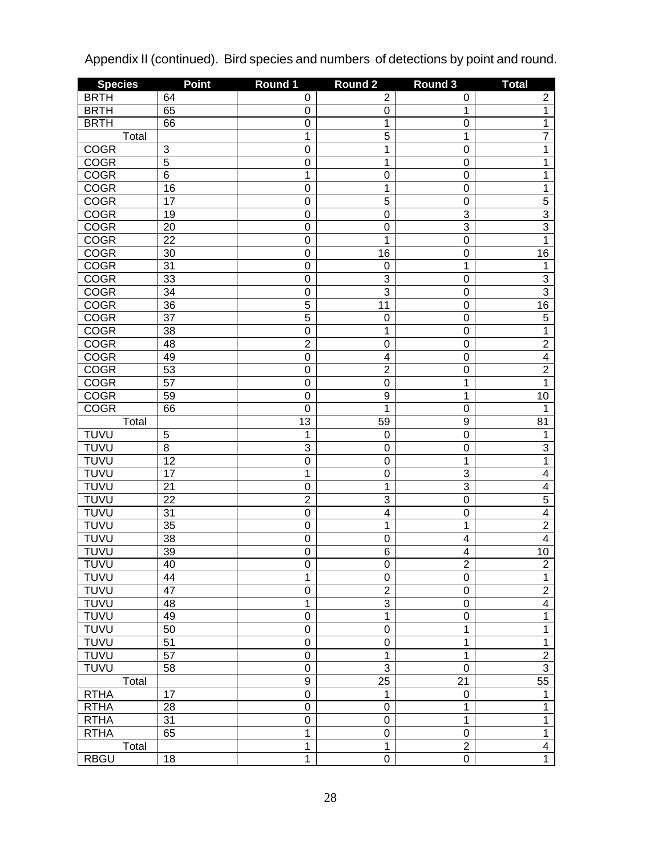| <b>Species</b>                   | <b>Point</b>          | Round 1        | Round <sub>2</sub>            | Round 3                            | <b>Total</b>        |
|----------------------------------|-----------------------|----------------|-------------------------------|------------------------------------|---------------------|
| <b>BRTH</b>                      | 64                    | 0              | $\overline{2}$                | 0                                  | 2                   |
| <b>BRTH</b>                      | 65                    | 0              | 0                             | 1                                  | 1                   |
| <b>BRTH</b>                      | 66                    | 0              | 1                             | $\mathbf 0$                        | 1                   |
| Total                            |                       | 1              | $\overline{5}$                | $\mathbf 1$                        | $\overline{7}$      |
| <b>COGR</b>                      | $\overline{3}$        | $\mathbf 0$    | 1                             | $\mathbf 0$                        | 1                   |
| <b>COGR</b>                      | $\overline{5}$        | 0              | 1                             | $\mathbf 0$                        | 1                   |
| <b>COGR</b>                      | $\overline{6}$        | 1              | $\mathbf 0$                   | $\mathbf 0$                        | 1                   |
| <b>COGR</b>                      | 16                    | 0              | 1                             | $\mathbf 0$                        | 1                   |
| <b>COGR</b>                      | 17                    | 0              | $\overline{5}$                | $\mathbf 0$                        | $\overline{5}$      |
| <b>COGR</b>                      | 19                    | 0              | $\mathbf 0$                   | $\overline{3}$                     | $\overline{3}$      |
| <b>COGR</b>                      | 20                    | 0              | $\mathbf 0$                   | $\overline{3}$                     | $\overline{3}$      |
| <b>COGR</b>                      | $\overline{22}$       | 0              | 1                             | $\mathbf 0$                        | $\overline{1}$      |
| <b>COGR</b>                      | 30                    | $\mathbf 0$    | 16                            | $\mathbf 0$                        | 16                  |
| <b>COGR</b>                      | $\overline{31}$       | $\mathbf 0$    | $\boldsymbol{0}$              | $\mathbf 1$                        | 1                   |
| <b>COGR</b>                      | 33                    | $\mathbf 0$    | $\overline{3}$                | $\mathbf 0$                        | 3                   |
| <b>COGR</b>                      | $\overline{34}$       | $\mathbf 0$    | $\overline{3}$                | $\mathbf 0$                        | $\overline{3}$      |
| <b>COGR</b>                      | $\overline{36}$       | $\overline{5}$ | $\overline{11}$               | $\mathbf 0$                        | 16                  |
| <b>COGR</b>                      | $\overline{37}$       | $\overline{5}$ | $\mathbf 0$                   | $\mathbf 0$                        | $\overline{5}$      |
| <b>COGR</b>                      | $\overline{38}$       | $\mathbf 0$    | 1                             | $\mathbf 0$                        | 1                   |
| <b>COGR</b>                      | 48                    | $\overline{2}$ | $\mathbf 0$                   | $\mathbf 0$                        | $\overline{2}$      |
| <b>COGR</b>                      | 49                    | $\mathbf 0$    | $\overline{\mathbf{4}}$       | $\mathbf 0$                        | $\overline{4}$      |
| <b>COGR</b>                      | 53                    | $\mathsf 0$    | $\overline{2}$                | $\mathbf 0$                        | $\overline{2}$      |
| <b>COGR</b>                      | $\overline{57}$       | $\mathsf 0$    | $\mathbf 0$                   | $\mathbf 1$                        | 1                   |
| <b>COGR</b>                      | 59                    | $\mathbf 0$    | 9                             | 1                                  | 10                  |
| <b>COGR</b>                      | 66                    | $\mathbf 0$    | 1                             | $\mathbf 0$                        | 1                   |
| Total                            |                       | 13             | 59                            | $\boldsymbol{9}$                   | 81                  |
| <b>TUVU</b>                      | 5                     | 1              | 0                             | $\mathbf 0$                        | 1                   |
| <b>TUVU</b>                      | $\overline{8}$        | 3              | $\mathbf 0$                   | $\mathbf 0$                        | 3                   |
| <b>TUVU</b>                      | $\overline{12}$       | $\overline{0}$ | $\mathbf 0$                   | 1                                  | $\overline{1}$      |
| <b>TUVU</b>                      | $\overline{17}$       | 1              | $\mathbf 0$                   | 3                                  | $\overline{4}$      |
| <b>TUVU</b>                      | 21                    | 0              | 1                             | $\overline{3}$                     | $\overline{4}$      |
| <b>TUVU</b>                      | $\overline{22}$       | $\overline{2}$ | $\overline{3}$                | $\mathbf 0$                        | $\overline{5}$      |
| <b>TUVU</b>                      | 31                    | 0              | $\overline{4}$                | $\mathbf 0$                        | $\overline{4}$      |
| <b>TUVU</b>                      | $\overline{35}$       | 0              | 1                             | $\mathbf 1$                        | $\overline{2}$      |
| <b>TUVU</b>                      | $\overline{38}$       | 0              | $\mathbf 0$                   | $\overline{\mathcal{A}}$           | $\overline{4}$      |
| <b>TUVU</b>                      | $\overline{39}$       | $\overline{0}$ | $\overline{6}$                | $\overline{\mathbf{4}}$            | 10                  |
| <b>TUVU</b>                      | 40                    | $\overline{0}$ | $\overline{0}$                | 2                                  | $\overline{2}$      |
| <b>TUVU</b>                      | 44                    | $\overline{1}$ | 0                             | $\pmb{0}$                          | $\overline{1}$      |
| <b>TUVU</b>                      | 47                    | $\overline{0}$ | $\overline{2}$                | $\pmb{0}$                          | $\overline{2}$      |
| <b>TUVU</b>                      | 48                    | $\overline{1}$ | $\overline{3}$                | $\pmb{0}$                          | $\overline{4}$      |
| <b>TUVU</b>                      | 49                    | $\overline{0}$ | $\overline{1}$                | $\boldsymbol{0}$                   | $\overline{1}$      |
| <b>TUVU</b>                      | 50                    | $\overline{0}$ | $\mathbf 0$                   | $\mathbf 1$                        | $\overline{1}$      |
| <b>TUVU</b>                      | $\overline{51}$       | $\overline{0}$ | $\mathbf 0$                   | 1                                  | $\overline{1}$      |
| <b>TUVU</b>                      | $\overline{57}$       | $\overline{0}$ | 1                             | $\mathbf 1$                        | $\overline{2}$      |
| <b>TUVU</b>                      | 58                    | $\overline{0}$ | $\overline{3}$                | $\mathbf 0$                        | $\overline{3}$      |
| Total                            |                       | $\overline{9}$ | 25                            | $\overline{21}$                    | $\overline{55}$     |
| <b>RTHA</b>                      |                       | $\overline{0}$ |                               |                                    |                     |
|                                  | 17                    | $\overline{0}$ | 1<br>0                        | $\boldsymbol{0}$<br>$\mathbf 1$    | 1<br>$\overline{1}$ |
| <b>RTHA</b><br>$RTH\overline{A}$ | 28<br>$\overline{31}$ | $\overline{0}$ | $\mathbf 0$                   | 1                                  | $\overline{1}$      |
|                                  |                       | $\overline{1}$ |                               |                                    | $\overline{1}$      |
| <b>RTHA</b>                      | 65                    | $\overline{1}$ | $\mathbf 0$<br>$\overline{1}$ | $\boldsymbol{0}$<br>$\overline{2}$ | $\overline{4}$      |
| Total                            |                       |                |                               |                                    |                     |
| <b>RBGU</b>                      | 18                    | $\overline{1}$ | $\overline{0}$                | $\overline{0}$                     | $\overline{1}$      |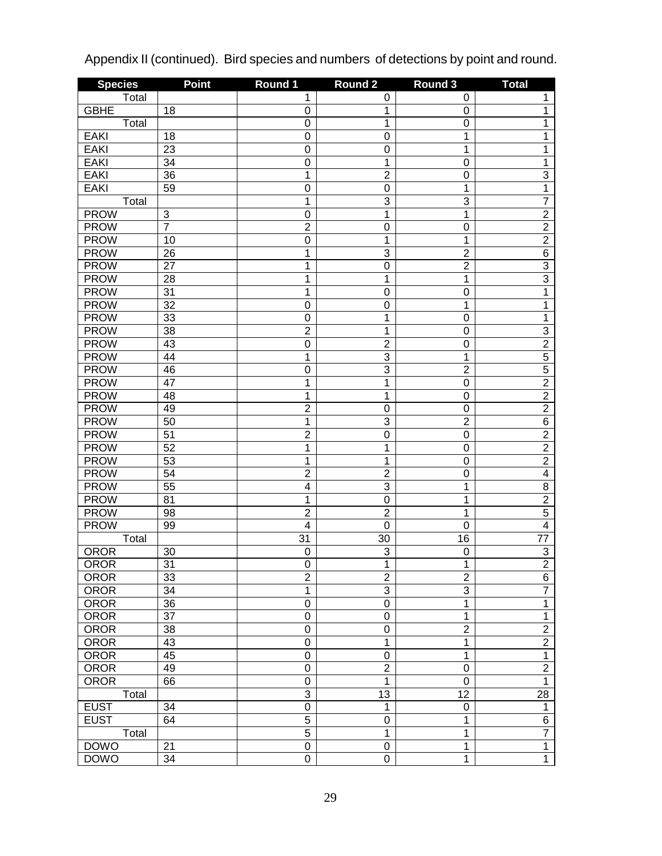| <b>Species</b> | <b>Point</b>              | Round 1          | Round <sub>2</sub> | Round 3          | <b>Total</b>    |
|----------------|---------------------------|------------------|--------------------|------------------|-----------------|
| Total          |                           | 1                | 0                  | 0                | 1               |
| <b>GBHE</b>    | 18                        | 0                | 1                  | $\mathbf 0$      | 1               |
| Total          |                           | 0                | 1                  | $\mathbf 0$      | 1               |
| <b>EAKI</b>    | 18                        | 0                | $\mathbf 0$        | $\mathbf 1$      | 1               |
| <b>EAKI</b>    | 23                        | 0                | $\mathbf 0$        | 1                | 1               |
| <b>EAKI</b>    | $\overline{34}$           | 0                | 1                  | $\mathbf 0$      | 1               |
| <b>EAKI</b>    | $\overline{36}$           | 1                | $\overline{2}$     | $\mathbf 0$      | 3               |
| <b>EAKI</b>    | 59                        | 0                | $\mathbf 0$        | 1                | $\overline{1}$  |
| Total          |                           | 1                | 3                  | $\overline{3}$   | $\overline{7}$  |
| <b>PROW</b>    | $\ensuremath{\mathsf{3}}$ | 0                | 1                  | $\mathbf 1$      | $\overline{2}$  |
| <b>PROW</b>    | 7                         | $\overline{2}$   | $\mathbf 0$        | $\mathbf 0$      | $\overline{2}$  |
| <b>PROW</b>    | 10                        | 0                | 1                  | $\mathbf 1$      | $\overline{2}$  |
| <b>PROW</b>    | 26                        | 1                | $\overline{3}$     | $\overline{c}$   | $\overline{6}$  |
| <b>PROW</b>    | $\overline{27}$           | 1                | $\mathbf 0$        | $\overline{2}$   | $\overline{3}$  |
| <b>PROW</b>    | 28                        | 1                | 1                  | $\mathbf 1$      | $\overline{3}$  |
| <b>PROW</b>    | $\overline{31}$           | 1                | $\mathbf 0$        | $\mathbf 0$      | 1               |
| <b>PROW</b>    | $\overline{32}$           | 0                | $\mathbf 0$        | $\mathbf 1$      | 1               |
| <b>PROW</b>    | 33                        | 0                | 1                  | $\mathbf 0$      | 1               |
| <b>PROW</b>    | $\overline{38}$           | $\overline{2}$   | 1                  | $\mathbf 0$      | $\overline{3}$  |
| <b>PROW</b>    | 43                        | 0                | $\overline{2}$     | $\mathbf 0$      | $\overline{2}$  |
| <b>PROW</b>    | 44                        | 1                | $\overline{3}$     | $\mathbf 1$      | $\overline{5}$  |
| <b>PROW</b>    | 46                        | 0                | $\overline{3}$     | $\overline{2}$   | $\overline{5}$  |
| <b>PROW</b>    | 47                        | 1                | 1                  | $\mathbf 0$      | $\overline{2}$  |
| <b>PROW</b>    | 48                        | 1                | 1                  | $\mathbf 0$      | $\overline{2}$  |
| <b>PROW</b>    | 49                        | $\overline{2}$   | $\mathbf 0$        | $\mathbf 0$      | $\overline{2}$  |
| <b>PROW</b>    | $\overline{50}$           | 1                | $\overline{3}$     | $\overline{2}$   | $\overline{6}$  |
| <b>PROW</b>    | $\overline{51}$           | $\overline{2}$   | $\mathbf 0$        | $\mathbf 0$      | $\overline{2}$  |
| <b>PROW</b>    | $\overline{52}$           | 1                | 1                  | $\mathbf 0$      | $\overline{2}$  |
| <b>PROW</b>    | 53                        | 1                | 1                  | $\mathbf 0$      | $\overline{2}$  |
| <b>PROW</b>    | 54                        | $\overline{2}$   | $\overline{2}$     | $\mathbf 0$      | $\overline{4}$  |
| <b>PROW</b>    | $\overline{55}$           | $\overline{4}$   | $\overline{3}$     | $\mathbf 1$      | $\overline{8}$  |
| <b>PROW</b>    | 81                        | 1                | $\mathbf 0$        | 1                | $\overline{2}$  |
| <b>PROW</b>    | 98                        | $\overline{2}$   | $\overline{2}$     | 1                | $\overline{5}$  |
| <b>PROW</b>    | 99                        | $\overline{4}$   | $\mathbf 0$        | $\mathbf 0$      | $\overline{4}$  |
| Total          |                           | $\overline{31}$  | 30                 | 16               | $\overline{7}$  |
| <b>OROR</b>    | 30                        | $\boldsymbol{0}$ | $\overline{3}$     | $\mathbf 0$      | 3               |
| OROR           | $\overline{31}$           | $\mathbf 0$      | 1                  | 1                | $\overline{2}$  |
| <b>OROR</b>    | 33                        | $\overline{2}$   | $\overline{2}$     | $\overline{2}$   | $6\overline{6}$ |
| <b>OROR</b>    | $\overline{34}$           | 1                | 3                  | 3                | $\overline{7}$  |
| <b>OROR</b>    | $\overline{36}$           | $\overline{0}$   | $\mathbf 0$        | $\mathbf 1$      | $\overline{1}$  |
| <b>OROR</b>    | $\overline{37}$           | $\overline{0}$   | $\mathbf 0$        | 1                | $\overline{1}$  |
| <b>OROR</b>    | $\overline{38}$           | $\overline{0}$   | $\mathbf 0$        | $\overline{2}$   | $\overline{2}$  |
| <b>OROR</b>    | 43                        | $\overline{0}$   | 1                  | $\mathbf 1$      | $\overline{2}$  |
| <b>OROR</b>    | 45                        | $\overline{0}$   | $\mathbf 0$        | 1                | $\overline{1}$  |
| <b>OROR</b>    | 49                        | $\overline{0}$   | $\overline{2}$     | $\boldsymbol{0}$ | $\overline{2}$  |
| <b>OROR</b>    | 66                        | $\overline{0}$   | 1                  | $\mathbf 0$      | $\overline{1}$  |
|                |                           | $\overline{3}$   |                    | $\overline{12}$  |                 |
| Total          |                           |                  | 13                 |                  | 28              |
| <b>EUST</b>    | 34                        | $\overline{0}$   | 1                  | $\mathbf 0$      | $\mathbf 1$     |
| <b>EUST</b>    | 64                        | $\overline{5}$   | $\boldsymbol{0}$   | $\mathbf 1$      | $\overline{6}$  |
| Total          |                           | $\overline{5}$   | 1                  | 1                | $\overline{7}$  |
| <b>DOWO</b>    | 21                        | $\overline{0}$   | 0                  | 1                | $\overline{1}$  |
| <b>DOWO</b>    | $\overline{34}$           | $\overline{0}$   | $\overline{0}$     | $\mathbf 1$      | $\overline{1}$  |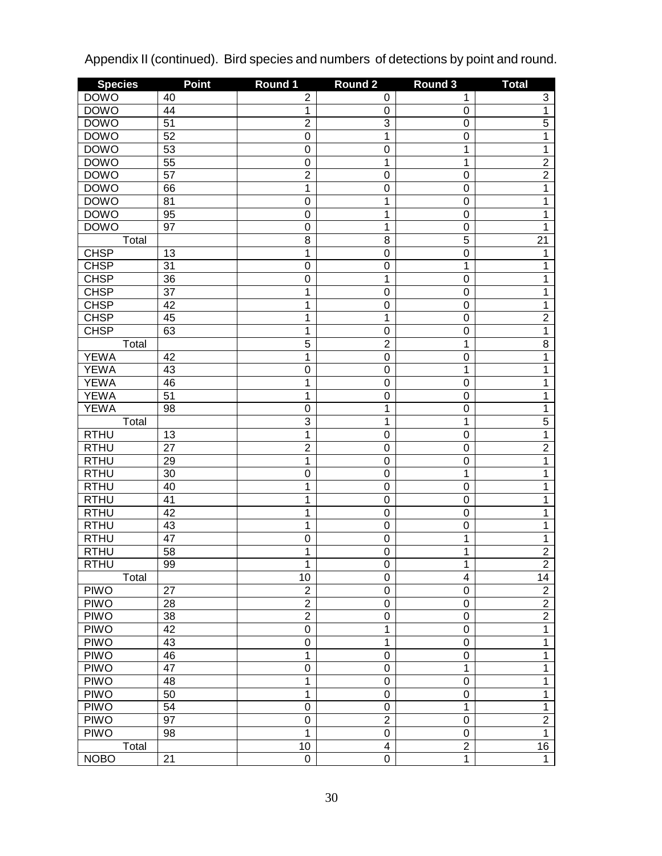| <b>Species</b> | <b>Point</b>    | Round 1        | Round <sub>2</sub> | Round 3                 | <b>Total</b>   |
|----------------|-----------------|----------------|--------------------|-------------------------|----------------|
| <b>DOWO</b>    | 40              | $\mathbf 2$    | 0                  | 1                       | 3              |
| <b>DOWO</b>    | 44              | $\mathbf 1$    | 0                  | $\pmb{0}$               | $\overline{1}$ |
| <b>DOWO</b>    | $\overline{51}$ | $\overline{2}$ | 3                  | $\mathbf 0$             | $\overline{5}$ |
| <b>DOWO</b>    | $\overline{52}$ | $\overline{0}$ | 1                  | $\mathbf 0$             | 1              |
| <b>DOWO</b>    | 53              | $\mathbf 0$    | $\mathbf 0$        | 1                       | 1              |
| <b>DOWO</b>    | 55              | $\mathbf 0$    | 1                  | 1                       | $\overline{2}$ |
| <b>DOWO</b>    | $\overline{57}$ | $\overline{2}$ | $\mathbf 0$        | $\mathbf 0$             | $\overline{2}$ |
| <b>DOWO</b>    | 66              | $\overline{1}$ | $\mathbf 0$        | $\mathbf 0$             | 1              |
| <b>DOWO</b>    | 81              | $\overline{0}$ | 1                  | $\mathbf 0$             | 1              |
| <b>DOWO</b>    | 95              | $\mathbf 0$    | 1                  | $\mathbf 0$             | 1              |
| <b>DOWO</b>    | 97              | $\mathbf 0$    | 1                  | $\mathbf 0$             | 1              |
| Total          |                 | $\overline{8}$ | 8                  | 5                       | 21             |
| <b>CHSP</b>    | 13              | 1              | $\mathbf 0$        | $\mathbf 0$             | 1              |
| <b>CHSP</b>    | 31              | $\overline{0}$ | $\mathbf 0$        | $\mathbf 1$             | 1              |
| <b>CHSP</b>    | 36              | $\mathbf 0$    | 1                  | $\mathbf 0$             | 1              |
| <b>CHSP</b>    | $\overline{37}$ | 1              | $\mathbf 0$        | $\mathbf 0$             | 1              |
| <b>CHSP</b>    | 42              | $\overline{1}$ | $\mathbf 0$        | $\mathbf 0$             | 1              |
| <b>CHSP</b>    | 45              | $\overline{1}$ | 1                  | $\mathbf 0$             | $\overline{2}$ |
| <b>CHSP</b>    | 63              | $\overline{1}$ | $\boldsymbol{0}$   | $\mathbf 0$             | $\overline{1}$ |
| Total          |                 | $\overline{5}$ | $\overline{2}$     | 1                       | $\overline{8}$ |
| <b>YEWA</b>    | 42              | $\overline{1}$ | $\boldsymbol{0}$   | $\mathbf 0$             | 1              |
| <b>YEWA</b>    | 43              | $\overline{0}$ | $\boldsymbol{0}$   | 1                       | 1              |
| <b>YEWA</b>    | 46              | $\mathbf 1$    | $\boldsymbol{0}$   | $\mathbf 0$             | 1              |
| <b>YEWA</b>    | $\overline{51}$ | $\overline{1}$ | $\mathbf 0$        | $\mathbf 0$             | 1              |
| <b>YEWA</b>    | 98              | $\mathbf 0$    | 1                  | $\mathbf 0$             | 1              |
| Total          |                 | $\overline{3}$ | 1                  | 1                       | $\overline{5}$ |
| <b>RTHU</b>    | 13              | $\overline{1}$ | $\mathbf 0$        | $\mathbf 0$             | 1              |
| <b>RTHU</b>    | 27              | $\overline{2}$ | $\boldsymbol{0}$   | $\mathbf 0$             | $\overline{2}$ |
| <b>RTHU</b>    | 29              | $\overline{1}$ | $\mathbf 0$        | $\mathbf 0$             | 1              |
| <b>RTHU</b>    | 30              | $\mathbf 0$    | $\mathbf 0$        | 1                       | 1              |
| <b>RTHU</b>    | 40              | 1              | $\mathbf 0$        | $\mathbf 0$             | 1              |
| <b>RTHU</b>    | 41              | 1              | $\mathbf 0$        | $\mathbf 0$             | 1              |
| <b>RTHU</b>    | 42              | $\overline{1}$ | $\mathbf 0$        | $\mathbf 0$             | 1              |
| <b>RTHU</b>    | 43              | $\overline{1}$ | $\mathbf 0$        | $\mathbf 0$             | 1              |
| <b>RTHU</b>    | 47              | $\mathbf 0$    | $\boldsymbol{0}$   | 1                       | 1              |
| <b>RTHU</b>    | 58              | 1              | $\mathbf 0$        | 1                       | $\overline{2}$ |
| <b>RTHU</b>    | 99              | 1              | 0                  | 1                       | $\overline{c}$ |
| Total          |                 | 10             | $\boldsymbol{0}$   | $\overline{\mathbf{4}}$ | 14             |
| <b>PIWO</b>    | 27              | $\mathbf 2$    | $\boldsymbol{0}$   | $\boldsymbol{0}$        | $\overline{2}$ |
| <b>PIWO</b>    | 28              | $\overline{2}$ | $\boldsymbol{0}$   | $\boldsymbol{0}$        | $\overline{2}$ |
| <b>PIWO</b>    | 38              | $\overline{2}$ | $\boldsymbol{0}$   | $\boldsymbol{0}$        | $\overline{2}$ |
| <b>PIWO</b>    | 42              | $\overline{0}$ | 1                  | $\boldsymbol{0}$        | $\overline{1}$ |
| <b>PIWO</b>    | 43              | $\mathbf 0$    | 1                  | $\boldsymbol{0}$        | $\mathbf{1}$   |
| <b>PIWO</b>    | 46              | $\overline{1}$ | $\boldsymbol{0}$   | $\boldsymbol{0}$        | 1              |
| <b>PIWO</b>    | 47              | $\overline{0}$ | $\boldsymbol{0}$   | 1                       | 1              |
| <b>PIWO</b>    | 48              | $\overline{1}$ | $\boldsymbol{0}$   | $\boldsymbol{0}$        | 1              |
| <b>PIWO</b>    | 50              | $\mathbf 1$    | $\boldsymbol{0}$   | $\boldsymbol{0}$        | 1              |
| <b>PIWO</b>    | 54              | $\overline{0}$ | $\boldsymbol{0}$   | 1                       | 1              |
| <b>PIWO</b>    | 97              | $\mathbf 0$    | $\overline{2}$     | $\boldsymbol{0}$        | $\overline{2}$ |
| <b>PIWO</b>    | 98              | 1              | $\boldsymbol{0}$   | $\boldsymbol{0}$        | $\overline{1}$ |
| Total          |                 | 10             | 4                  | $\overline{2}$          | 16             |
| <b>NOBO</b>    | 21              | $\overline{0}$ | $\mathbf 0$        | $\overline{1}$          | $\overline{1}$ |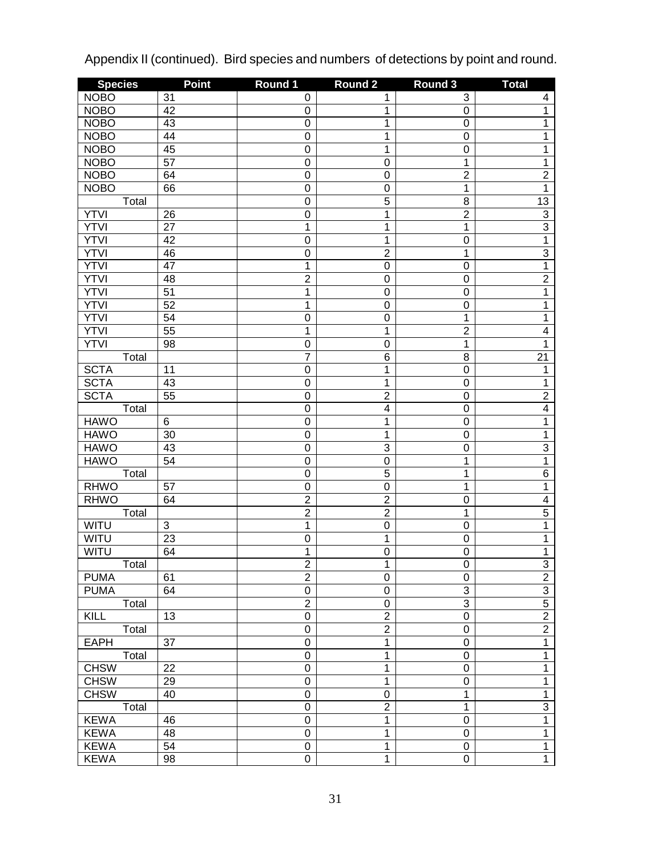| <b>Species</b> | <b>Point</b>              | Round 1        | <b>Round 2</b> | Round 3          | <b>Total</b>        |
|----------------|---------------------------|----------------|----------------|------------------|---------------------|
| <b>NOBO</b>    | 31                        | 0              | 1              | 3                | 4                   |
| <b>NOBO</b>    | 42                        | 0              | 1              | $\boldsymbol{0}$ | $\overline{1}$      |
| <b>NOBO</b>    | 43                        | 0              | 1              | $\boldsymbol{0}$ | 1                   |
| <b>NOBO</b>    | $\overline{44}$           | $\overline{0}$ | 1              | $\boldsymbol{0}$ | 1                   |
| <b>NOBO</b>    | 45                        | 0              | 1              | $\boldsymbol{0}$ | 1                   |
| <b>NOBO</b>    | $\overline{57}$           | $\overline{0}$ | $\mathbf 0$    | $\mathbf 1$      | 1                   |
| <b>NOBO</b>    | 64                        | $\overline{0}$ | $\mathbf 0$    | $\overline{2}$   | $\overline{2}$      |
| <b>NOBO</b>    | 66                        | $\overline{0}$ | $\mathbf 0$    | $\mathbf 1$      | $\overline{1}$      |
| Total          |                           | $\overline{0}$ | $\overline{5}$ | 8                | 13                  |
| <b>YTVI</b>    | 26                        | $\overline{0}$ | 1              | $\overline{2}$   | $\overline{3}$      |
| <b>YTVI</b>    | $\overline{27}$           | $\overline{1}$ | $\overline{1}$ | $\mathbf 1$      | $\overline{3}$      |
| <b>YTVI</b>    | 42                        | $\overline{0}$ | $\overline{1}$ | $\mathbf 0$      | $\overline{1}$      |
| <b>YTVI</b>    | 46                        | $\overline{0}$ | $\overline{2}$ | $\mathbf 1$      | $\overline{3}$      |
| <b>YTVI</b>    | 47                        | $\overline{1}$ | $\mathbf 0$    | $\mathbf 0$      | $\overline{1}$      |
| <b>YTVI</b>    | 48                        | $\overline{2}$ | $\mathbf 0$    | $\boldsymbol{0}$ | $\overline{2}$      |
| <b>YTVI</b>    | $\overline{51}$           | 1              | $\mathbf 0$    | $\boldsymbol{0}$ | 1                   |
| <b>YTVI</b>    | 52                        | $\overline{1}$ | $\mathbf 0$    | $\mathbf 0$      | 1                   |
| <b>YTVI</b>    | 54                        | $\overline{0}$ | $\mathbf 0$    | $\mathbf 1$      | 1                   |
| <b>YTVI</b>    | $\overline{55}$           | $\overline{1}$ | 1              | $\overline{2}$   | $\overline{4}$      |
| <b>YTVI</b>    | 98                        | $\overline{0}$ | $\mathbf 0$    | $\mathbf 1$      | 1                   |
| Total          |                           | $\overline{7}$ | $\overline{6}$ | 8                | $\overline{21}$     |
| <b>SCTA</b>    | 11                        | 0              | 1              | $\boldsymbol{0}$ | 1                   |
| <b>SCTA</b>    | 43                        | $\overline{0}$ | $\overline{1}$ | $\boldsymbol{0}$ | 1                   |
| <b>SCTA</b>    | $\overline{55}$           | $\overline{0}$ | $\overline{2}$ | $\boldsymbol{0}$ | $\overline{2}$      |
| Total          |                           | $\overline{0}$ | $\overline{4}$ | $\boldsymbol{0}$ | $\overline{4}$      |
| <b>HAWO</b>    | 6                         | $\mathbf 0$    | 1              | $\boldsymbol{0}$ | 1                   |
| <b>HAWO</b>    | 30                        | 0              | 1              | $\boldsymbol{0}$ | 1                   |
| <b>HAWO</b>    | 43                        | $\overline{0}$ | $\overline{3}$ | $\mathbf 0$      | $\overline{3}$      |
| <b>HAWO</b>    | 54                        | $\overline{0}$ | $\overline{0}$ | $\mathbf 1$      | $\overline{1}$      |
| Total          |                           | $\overline{0}$ | $\overline{5}$ | 1                | $\overline{6}$      |
| <b>RHWO</b>    | 57                        | $\mathsf 0$    | $\overline{0}$ | 1                | 1                   |
| <b>RHWO</b>    | 64                        | $\overline{2}$ | $\overline{2}$ | $\mathbf 0$      | $\overline{4}$      |
| Total          |                           | $\overline{2}$ | $\overline{2}$ | $\mathbf 1$      | $\overline{5}$      |
| WITU           | $\ensuremath{\mathsf{3}}$ | $\overline{1}$ | $\overline{0}$ | $\mathbf 0$      | 1                   |
| WITU           | $\overline{23}$           | $\overline{0}$ | $\overline{1}$ | $\boldsymbol{0}$ | 1                   |
| WITU           | 64                        | $\overline{1}$ | $\overline{0}$ | $\mathbf 0$      | 1                   |
| I otal         |                           | $\overline{2}$ | 1              | 0                | $\overline{\omega}$ |
| <b>PUMA</b>    | 61                        | $\overline{2}$ | $\mathsf 0$    | $\mathbf 0$      | $\overline{2}$      |
| <b>PUMA</b>    | 64                        | $\overline{0}$ | $\mathbf 0$    | $\overline{3}$   |                     |
| Total          |                           | $\overline{2}$ | $\overline{0}$ | $\overline{3}$   | $\frac{3}{5}$       |
| KILL           | 13                        | $\overline{0}$ | $\overline{2}$ | $\overline{0}$   | $\overline{2}$      |
| Total          |                           | $\overline{0}$ | $\overline{2}$ | $\pmb{0}$        | $\overline{2}$      |
| <b>EAPH</b>    | 37                        | $\overline{0}$ | 1              | $\pmb{0}$        | $\overline{1}$      |
| Total          |                           | $\overline{0}$ | $\overline{1}$ | $\boldsymbol{0}$ | $\overline{1}$      |
| <b>CHSW</b>    | 22                        | $\overline{0}$ | $\overline{1}$ | $\mathbf 0$      | $\overline{1}$      |
| <b>CHSW</b>    | 29                        | $\overline{0}$ | $\overline{1}$ | $\pmb{0}$        | $\overline{1}$      |
| <b>CHSW</b>    | 40                        | $\overline{0}$ | $\mathbf 0$    | $\overline{1}$   | $\overline{1}$      |
| Total          |                           | $\overline{0}$ | $\overline{2}$ | $\mathbf 1$      | $\overline{3}$      |
| <b>KEWA</b>    | 46                        | $\overline{0}$ | 1              | $\boldsymbol{0}$ | $\overline{1}$      |
| <b>KEWA</b>    | 48                        | $\overline{0}$ | 1              | $\boldsymbol{0}$ | $\overline{1}$      |
| <b>KEWA</b>    | 54                        | $\overline{0}$ | 1              | $\pmb{0}$        | $\overline{1}$      |
| <b>KEWA</b>    | 98                        | $\overline{0}$ | $\overline{1}$ | $\overline{0}$   | $\overline{1}$      |
|                |                           |                |                |                  |                     |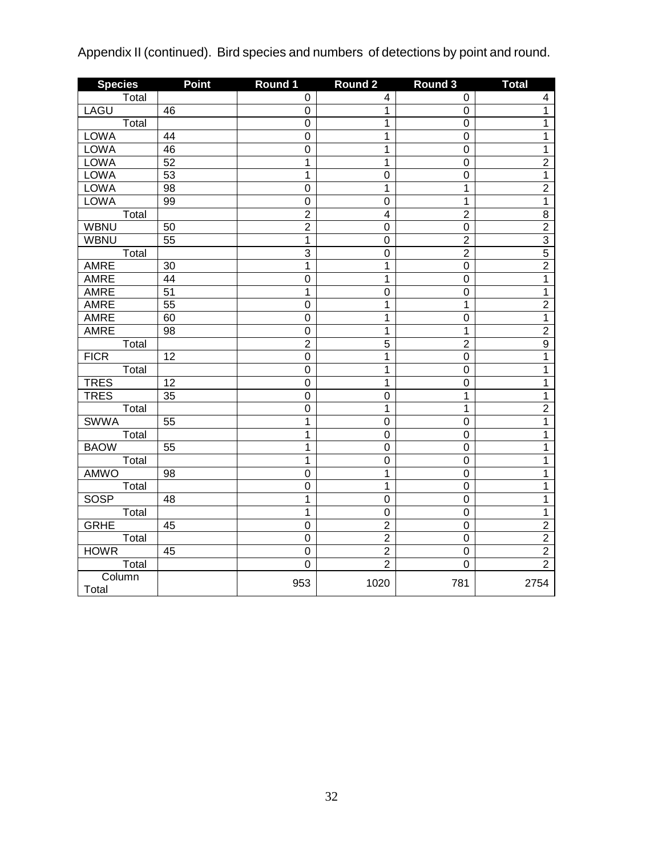| <b>Species</b>                 | <b>Point</b>    | Round 1          | <b>Round 2</b>          | <b>Round 3</b> | <b>Total</b>   |
|--------------------------------|-----------------|------------------|-------------------------|----------------|----------------|
| Total                          |                 | $\pmb{0}$        | $\overline{\mathbf{4}}$ | $\mathbf 0$    | 4              |
| <b>LAGU</b>                    | 46              | 0                | 1                       | $\overline{0}$ | $\overline{1}$ |
| Total                          |                 | $\boldsymbol{0}$ | 1                       | $\pmb{0}$      | 1              |
| <b>LOWA</b>                    | 44              | $\mathbf 0$      | 1                       | $\pmb{0}$      | $\overline{1}$ |
| <b>LOWA</b>                    | 46              | $\overline{0}$   | $\overline{1}$          | $\overline{0}$ | $\overline{1}$ |
| <b>LOWA</b>                    | 52              | $\overline{1}$   | $\mathbf 1$             | $\overline{0}$ | $\overline{2}$ |
| <b>LOWA</b>                    | 53              | $\overline{1}$   | $\overline{0}$          | $\overline{0}$ | $\overline{1}$ |
| <b>LOWA</b>                    | $\overline{98}$ | $\overline{0}$   | $\mathbf 1$             | $\overline{1}$ | $\overline{2}$ |
| <b>LOWA</b>                    | 99              | $\overline{0}$   | $\boldsymbol{0}$        | 1              | $\overline{1}$ |
| $\overline{T}$ <sub>Otal</sub> |                 | $\overline{2}$   | $\overline{\mathbf{4}}$ | $\overline{2}$ | $\overline{8}$ |
| <b>WBNU</b>                    | 50              | $\overline{2}$   | $\boldsymbol{0}$        | $\mathbf 0$    | $\overline{2}$ |
| <b>WBNU</b>                    | 55              | $\mathbf{1}$     | $\boldsymbol{0}$        | $\overline{2}$ | $\overline{3}$ |
| Total                          |                 | $\overline{3}$   | $\mathbf 0$             | $\overline{2}$ | $\overline{5}$ |
| AMRE                           | 30              | $\mathbf 1$      | $\mathbf 1$             | $\mathbf 0$    | $\overline{2}$ |
| AMRE                           | 44              | $\mathbf 0$      | 1                       | $\mathbf 0$    | $\overline{1}$ |
| <b>AMRE</b>                    | $\overline{51}$ | 1                | $\mathbf 0$             | $\mathbf 0$    | $\overline{1}$ |
| AMRE                           | $\overline{55}$ | $\mathbf 0$      | 1                       | $\mathbf{1}$   | $\overline{2}$ |
| AMRE                           | 60              | $\mathbf 0$      | $\mathbf 1$             | $\mathbf 0$    | $\overline{1}$ |
| <b>AMRE</b>                    | 98              | $\boldsymbol{0}$ | 1                       | $\mathbf 1$    | $\overline{2}$ |
| Total                          |                 | $\overline{c}$   | $\overline{5}$          | $\overline{2}$ | $\overline{9}$ |
| <b>FICR</b>                    | 12              | $\mathsf 0$      | 1                       | $\overline{0}$ | $\overline{1}$ |
| Total                          |                 | $\mathbf 0$      | 1                       | $\mathbf 0$    | $\mathbf 1$    |
| <b>TRES</b>                    | 12              | $\mathbf 0$      | 1                       | $\overline{0}$ | 1              |
| <b>TRES</b>                    | 35              | $\boldsymbol{0}$ | $\mathbf 0$             | $\mathbf{1}$   | $\mathbf{1}$   |
| Total                          |                 | $\mathbf 0$      | 1                       | $\mathbf{1}$   | $\overline{2}$ |
| <b>SWWA</b>                    | 55              | 1                | $\mathbf 0$             | $\mathbf 0$    | $\mathbf{1}$   |
| Total                          |                 | 1                | $\boldsymbol{0}$        | $\mathbf 0$    | $\mathbf{1}$   |
| <b>BAOW</b>                    | 55              | 1                | 0                       | 0              | $\mathbf{1}$   |
| Total                          |                 | 1                | $\boldsymbol{0}$        | $\mathbf 0$    | 1              |
| AMWO                           | 98              | $\boldsymbol{0}$ | 1                       | $\pmb{0}$      | 1              |
| Total                          |                 | $\overline{0}$   | $\overline{1}$          | $\overline{0}$ | 1              |
| <b>SOSP</b>                    | 48              | $\overline{1}$   | $\overline{0}$          | $\overline{0}$ | $\overline{1}$ |
| Total                          |                 | 1                | $\boldsymbol{0}$        | $\overline{0}$ | $\overline{1}$ |
| <b>GRHE</b>                    | 45              | $\overline{0}$   | $\overline{2}$          | $\overline{0}$ | $\overline{2}$ |
| Total                          |                 | $\mathbf 0$      | $\overline{2}$          | $\mathbf 0$    | $\overline{2}$ |
| <b>HOWR</b>                    | 45              | 0                | $\overline{\mathbf{c}}$ | $\mathbf 0$    | $\overline{2}$ |
| Total                          |                 | $\overline{0}$   | $\overline{2}$          | $\overline{0}$ | $\overline{2}$ |
| Column<br>Total                |                 | 953              | 1020                    | 781            | 2754           |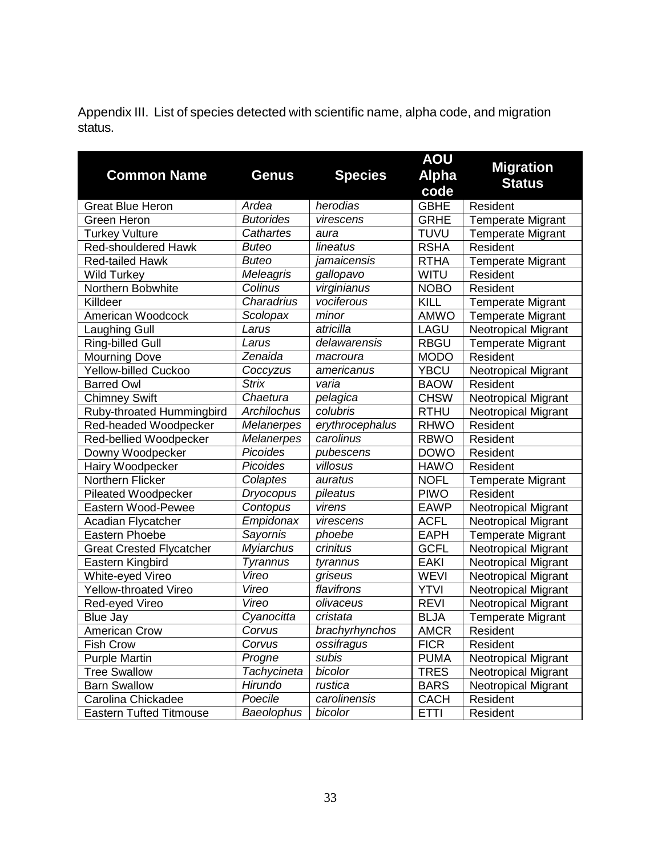Appendix III. List of species detected with scientific name, alpha code, and migration status.

| <b>Common Name</b>                           | <b>Genus</b>             | <b>Species</b>           | <b>AOU</b><br><b>Alpha</b> | <b>Migration</b><br><b>Status</b>               |
|----------------------------------------------|--------------------------|--------------------------|----------------------------|-------------------------------------------------|
| <b>Great Blue Heron</b>                      | Ardea                    | herodias                 | code<br><b>GBHE</b>        | Resident                                        |
| Green Heron                                  | <b>Butorides</b>         | virescens                | <b>GRHE</b>                | <b>Temperate Migrant</b>                        |
| <b>Turkey Vulture</b>                        | Cathartes                |                          | <b>TUVU</b>                | <b>Temperate Migrant</b>                        |
| <b>Red-shouldered Hawk</b>                   | <b>Buteo</b>             | aura<br>lineatus         | <b>RSHA</b>                | Resident                                        |
| <b>Red-tailed Hawk</b>                       | <b>Buteo</b>             | jamaicensis              | <b>RTHA</b>                | <b>Temperate Migrant</b>                        |
|                                              |                          |                          | <b>WITU</b>                | Resident                                        |
| <b>Wild Turkey</b><br>Northern Bobwhite      | Meleagris<br>Colinus     | gallopavo<br>virginianus | <b>NOBO</b>                | Resident                                        |
| Killdeer                                     | Charadrius               | vociferous               | KILL                       |                                                 |
| American Woodcock                            | Scolopax                 | minor                    | AMWO                       | <b>Temperate Migrant</b>                        |
|                                              | Larus                    | atricilla                | LAGU                       | <b>Temperate Migrant</b><br>Neotropical Migrant |
| Laughing Gull<br>Ring-billed Gull            | Larus                    | delawarensis             | <b>RBGU</b>                |                                                 |
|                                              | $\overline{Z}$ enaida    |                          | <b>MODO</b>                | <b>Temperate Migrant</b><br>Resident            |
| <b>Mourning Dove</b><br>Yellow-billed Cuckoo |                          | macroura                 |                            |                                                 |
|                                              | Coccyzus<br><b>Strix</b> | americanus<br>varia      | <b>YBCU</b>                | Neotropical Migrant<br>Resident                 |
| <b>Barred Owl</b>                            |                          |                          | <b>BAOW</b>                |                                                 |
| <b>Chimney Swift</b>                         | Chaetura                 | pelagica                 | <b>CHSW</b>                | <b>Neotropical Migrant</b>                      |
| Ruby-throated Hummingbird                    | Archilochus              | colubris                 | <b>RTHU</b>                | Neotropical Migrant                             |
| Red-headed Woodpecker                        | <b>Melanerpes</b>        | erythrocephalus          | <b>RHWO</b>                | Resident                                        |
| Red-bellied Woodpecker                       | <b>Melanerpes</b>        | carolinus                | <b>RBWO</b>                | Resident                                        |
| Downy Woodpecker                             | Picoides                 | pubescens                | <b>DOWO</b>                | Resident                                        |
| Hairy Woodpecker                             | Picoides                 | villosus                 | <b>HAWO</b>                | Resident                                        |
| Northern Flicker                             | Colaptes                 | auratus                  | <b>NOFL</b>                | <b>Temperate Migrant</b>                        |
| Pileated Woodpecker                          | <b>Dryocopus</b>         | pileatus                 | <b>PIWO</b>                | Resident                                        |
| Eastern Wood-Pewee                           | Contopus                 | virens                   | <b>EAWP</b>                | Neotropical Migrant                             |
| Acadian Flycatcher                           | Empidonax                | virescens                | <b>ACFL</b>                | Neotropical Migrant                             |
| Eastern Phoebe                               | Sayornis                 | phoebe                   | <b>EAPH</b>                | Temperate Migrant                               |
| <b>Great Crested Flycatcher</b>              | <b>Myiarchus</b>         | crinitus                 | <b>GCFL</b>                | Neotropical Migrant                             |
| Eastern Kingbird                             | Tyrannus                 | tyrannus                 | <b>EAKI</b>                | Neotropical Migrant                             |
| White-eyed Vireo                             | Vireo                    | griseus                  | <b>WEVI</b>                | Neotropical Migrant                             |
| Yellow-throated Vireo                        | Vireo                    | flavifrons               | <b>YTVI</b>                | Neotropical Migrant                             |
| Red-eyed Vireo                               | Vireo                    | olivaceus                | <b>REVI</b>                | <b>Neotropical Migrant</b>                      |
| <b>Blue Jay</b>                              | Cyanocitta               | cristata                 | <b>BLJA</b>                | <b>Temperate Migrant</b>                        |
| <b>American Crow</b>                         | Corvus                   | brachyrhynchos           | <b>AMCR</b>                | Resident                                        |
| <b>Fish Crow</b>                             | Corvus                   | ossifragus               | <b>FICR</b>                | Resident                                        |
| <b>Purple Martin</b>                         | Progne                   | subis                    | <b>PUMA</b>                | <b>Neotropical Migrant</b>                      |
| <b>Tree Swallow</b>                          | Tachycineta              | bicolor                  | <b>TRES</b>                | Neotropical Migrant                             |
| <b>Barn Swallow</b>                          | Hirundo                  | rustica                  | <b>BARS</b>                | <b>Neotropical Migrant</b>                      |
| Carolina Chickadee                           | Poecile                  | carolinensis             | <b>CACH</b>                | Resident                                        |
| <b>Eastern Tufted Titmouse</b>               | Baeolophus               | bicolor                  | <b>ETTI</b>                | Resident                                        |